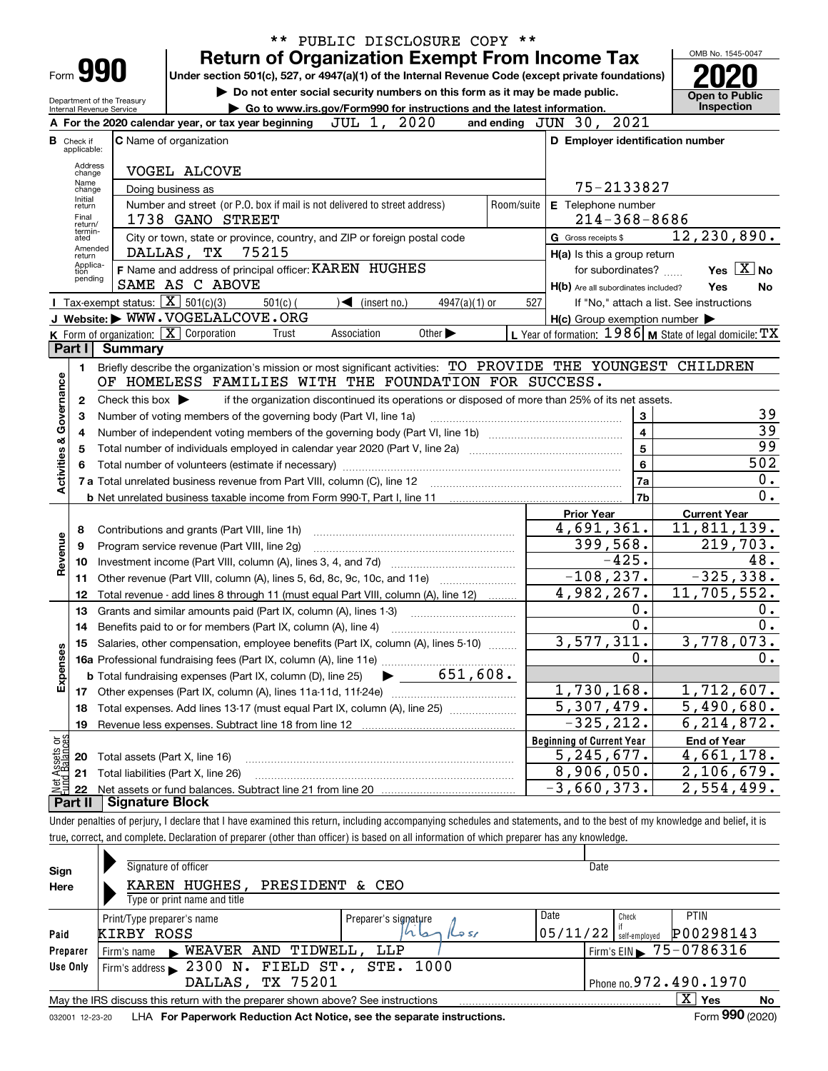|                         |                                  |                                                        | ** PUBLIC DISCLOSURE COPY **                                                                                                                                                |                         |                                                           |
|-------------------------|----------------------------------|--------------------------------------------------------|-----------------------------------------------------------------------------------------------------------------------------------------------------------------------------|-------------------------|-----------------------------------------------------------|
|                         |                                  |                                                        | <b>Return of Organization Exempt From Income Tax</b>                                                                                                                        |                         | OMB No. 1545-0047                                         |
|                         |                                  | Form 990                                               | Under section 501(c), 527, or 4947(a)(1) of the Internal Revenue Code (except private foundations)                                                                          |                         |                                                           |
|                         |                                  |                                                        | Do not enter social security numbers on this form as it may be made public.                                                                                                 |                         | <b>Open to Public</b>                                     |
|                         |                                  | Department of the Treasury<br>Internal Revenue Service | Go to www.irs.gov/Form990 for instructions and the latest information.                                                                                                      |                         | Inspection                                                |
|                         |                                  |                                                        | JUL 1, 2020<br>and ending JUN 30, 2021<br>A For the 2020 calendar year, or tax year beginning                                                                               |                         |                                                           |
|                         | <b>B</b> Check if<br>applicable: |                                                        | D Employer identification number<br><b>C</b> Name of organization                                                                                                           |                         |                                                           |
|                         | Address                          |                                                        |                                                                                                                                                                             |                         |                                                           |
|                         | change<br>Name                   |                                                        | VOGEL ALCOVE                                                                                                                                                                |                         |                                                           |
|                         | change<br>Initial                |                                                        | 75-2133827<br>Doing business as                                                                                                                                             |                         |                                                           |
|                         | return<br>Final                  |                                                        | Number and street (or P.O. box if mail is not delivered to street address)<br>Room/suite<br>E Telephone number<br>$214 - 368 - 8686$                                        |                         |                                                           |
|                         | return/<br>termin-               |                                                        | 1738 GANO STREET                                                                                                                                                            |                         | $\overline{12}$ , 230, 890.                               |
|                         | ated<br>Amended                  |                                                        | City or town, state or province, country, and ZIP or foreign postal code<br>G Gross receipts \$<br>DALLAS, TX 75215                                                         |                         |                                                           |
|                         | return<br>Applica-               |                                                        | H(a) Is this a group return<br>F Name and address of principal officer: KAREN HUGHES<br>for subordinates?                                                                   |                         | Yes $X$ No                                                |
|                         | tion<br>pending                  |                                                        | SAME AS C ABOVE<br>H(b) Are all subordinates included?                                                                                                                      |                         | Yes<br>No                                                 |
|                         |                                  | Tax-exempt status: $\boxed{\mathbf{X}}$ 501(c)(3)      | $\sqrt{\phantom{a}}$ (insert no.)<br>$501(c)$ (<br>$4947(a)(1)$ or<br>527                                                                                                   |                         | If "No," attach a list. See instructions                  |
|                         |                                  |                                                        | J Website: WWW.VOGELALCOVE.ORG<br>$H(c)$ Group exemption number $\blacktriangleright$                                                                                       |                         |                                                           |
|                         |                                  |                                                        | K Form of organization: X Corporation<br>Association<br>Other $\blacktriangleright$<br>Trust                                                                                |                         | L Year of formation: 1986   M State of legal domicile: TX |
|                         | Part I                           | <b>Summary</b>                                         |                                                                                                                                                                             |                         |                                                           |
|                         | 1                                |                                                        | Briefly describe the organization's mission or most significant activities: TO PROVIDE THE YOUNGEST CHILDREN                                                                |                         |                                                           |
| Activities & Governance |                                  |                                                        | OF HOMELESS FAMILIES WITH THE FOUNDATION FOR SUCCESS.                                                                                                                       |                         |                                                           |
|                         | 2                                | Check this box $\blacktriangleright$                   | if the organization discontinued its operations or disposed of more than 25% of its net assets.                                                                             |                         |                                                           |
|                         | з                                |                                                        | Number of voting members of the governing body (Part VI, line 1a)                                                                                                           | 3                       | 39                                                        |
|                         | 4                                |                                                        |                                                                                                                                                                             | $\overline{\mathbf{4}}$ | $\overline{39}$                                           |
|                         | 5                                |                                                        |                                                                                                                                                                             | 5                       | $\overline{99}$                                           |
|                         | 6                                |                                                        |                                                                                                                                                                             | 6                       | 502                                                       |
|                         |                                  |                                                        |                                                                                                                                                                             | 7a                      | 0.<br>$\overline{0}$ .                                    |
|                         |                                  |                                                        |                                                                                                                                                                             | 7b                      |                                                           |
|                         |                                  |                                                        | <b>Prior Year</b><br>4,691,361.                                                                                                                                             |                         | <b>Current Year</b><br>11,811,139.                        |
|                         | 8                                |                                                        | Contributions and grants (Part VIII, line 1h)<br>399,568.                                                                                                                   |                         | 219,703.                                                  |
| Revenue                 | 9<br>10                          |                                                        | Program service revenue (Part VIII, line 2g)<br>$-425.$                                                                                                                     |                         | 48.                                                       |
|                         | 11                               |                                                        | $-108, 237.$<br>Other revenue (Part VIII, column (A), lines 5, 6d, 8c, 9c, 10c, and 11e)                                                                                    |                         | $-325,338.$                                               |
|                         | 12                               |                                                        | 4,982,267.<br>Total revenue - add lines 8 through 11 (must equal Part VIII, column (A), line 12)                                                                            |                         | 11,705,552.                                               |
|                         | 13                               |                                                        | Grants and similar amounts paid (Part IX, column (A), lines 1-3)                                                                                                            | 0.                      | 0.                                                        |
|                         | 14                               |                                                        | Benefits paid to or for members (Part IX, column (A), line 4)                                                                                                               | $\overline{0}$ .        | 0.                                                        |
|                         |                                  |                                                        | 3,577,311.<br>Salaries, other compensation, employee benefits (Part IX, column (A), lines 5-10)                                                                             |                         | 3,778,073.                                                |
|                         |                                  |                                                        | 16a Professional fundraising fees (Part IX, column (A), line 11e)                                                                                                           | 0.                      | 0.                                                        |
| Expenses                |                                  |                                                        | 651,608.<br><b>b</b> Total fundraising expenses (Part IX, column (D), line 25)                                                                                              |                         |                                                           |
|                         | 17                               |                                                        | 1,730,168.<br>Other expenses (Part IX, column (A), lines 11a-11d, 11f-24e)                                                                                                  |                         | 1,712,607.                                                |
|                         | 18                               |                                                        | $\overline{5,307,479}$ .<br>Total expenses. Add lines 13-17 (must equal Part IX, column (A), line 25)                                                                       |                         | $\overline{5,490,680}$ .                                  |
|                         | 19                               |                                                        | $-325, 212.$<br>Revenue less expenses. Subtract line 18 from line 12                                                                                                        |                         | 6, 214, 872.                                              |
| Net Assets or           |                                  |                                                        | <b>Beginning of Current Year</b>                                                                                                                                            |                         | <b>End of Year</b>                                        |
|                         | 20                               | Total assets (Part X, line 16)                         | 5, 245, 677.                                                                                                                                                                |                         | 4,661,178.                                                |
|                         | 21                               |                                                        | 8,906,050.<br>Total liabilities (Part X, line 26)                                                                                                                           |                         | 2,106,679.                                                |
|                         | 22                               |                                                        | $-3,660,373.$                                                                                                                                                               |                         | 2,554,499.                                                |
|                         | <b>Part II</b>                   | <b>Signature Block</b>                                 |                                                                                                                                                                             |                         |                                                           |
|                         |                                  |                                                        | I luder penalties of periury I declare that I have examined this return, including accompanying schedules and statements, and to the best of my knowledge and belief, it is |                         |                                                           |

Under penalties of perjury, I declare that I have examined this return, including accompanying schedules and statements, and to the best of my knowledge and belief, it is true, correct, and complete. Declaration of preparer (other than officer) is based on all information of which preparer has any knowledge.

| Sign            | Signature of officer                                                                                     |                      | Date     |                                             |                        |  |  |  |  |  |  |
|-----------------|----------------------------------------------------------------------------------------------------------|----------------------|----------|---------------------------------------------|------------------------|--|--|--|--|--|--|
| Here            | KAREN HUGHES,<br>PRESIDENT<br>Type or print name and title                                               | & CEO                |          |                                             |                        |  |  |  |  |  |  |
|                 | Print/Type preparer's name                                                                               | Preparer's signature | Date     | Check                                       | <b>PTIN</b>            |  |  |  |  |  |  |
| Paid            | KIRBY ROSS                                                                                               | بمالها               | 05/11/22 | self-emploved                               | P00298143              |  |  |  |  |  |  |
| Preparer        | WEAVER AND TIDWELL, LLP<br>Firm's name                                                                   |                      |          | Firm's EIN $\blacktriangleright$ 75-0786316 |                        |  |  |  |  |  |  |
| Use Only        | Firm's address > 2300 N. FIELD ST., STE. 1000                                                            |                      |          |                                             |                        |  |  |  |  |  |  |
|                 | DALLAS, TX 75201                                                                                         |                      |          |                                             | Phone no. 972.490.1970 |  |  |  |  |  |  |
|                 | $\mathbf{X}$<br>∣ Yes<br>May the IRS discuss this return with the preparer shown above? See instructions |                      |          |                                             |                        |  |  |  |  |  |  |
| 032001 12-23-20 | LHA For Paperwork Reduction Act Notice, see the separate instructions.                                   |                      |          |                                             | Form 990 (2020)        |  |  |  |  |  |  |
|                 |                                                                                                          |                      |          |                                             |                        |  |  |  |  |  |  |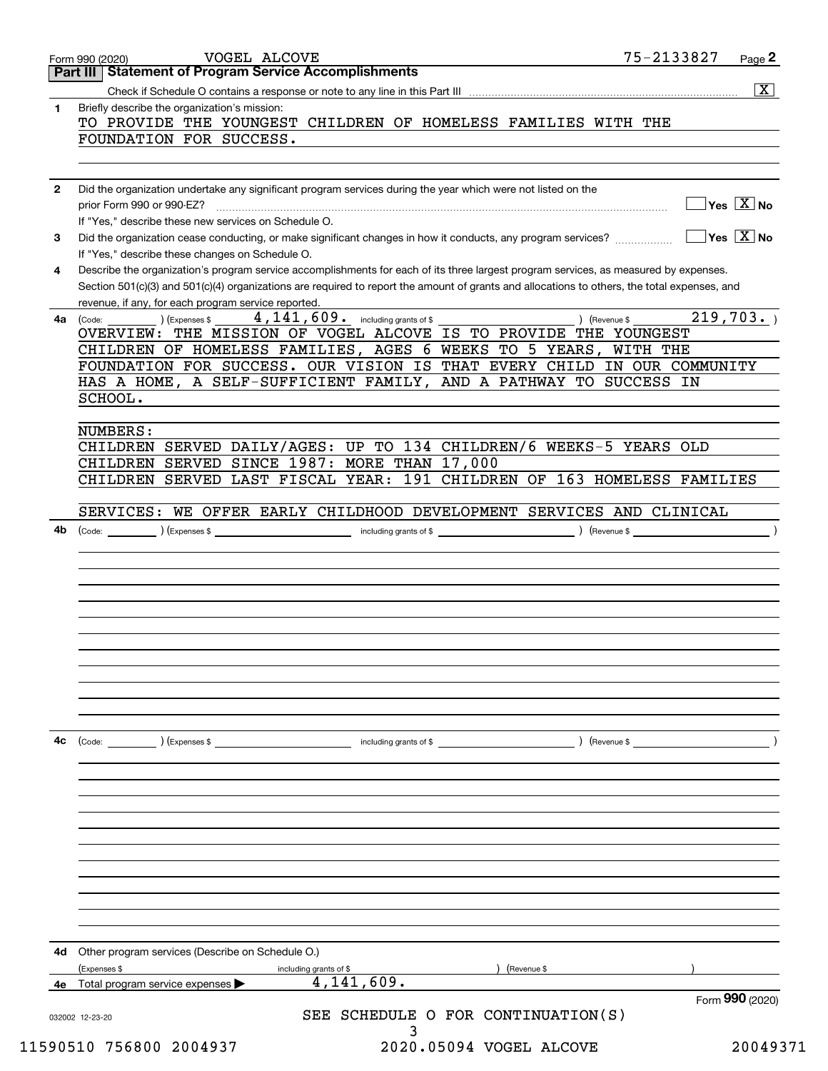|              | Part III   Statement of Program Service Accomplishments                                                                                                                                                                                                                              |                                                     | $\sqrt{X}$                                |
|--------------|--------------------------------------------------------------------------------------------------------------------------------------------------------------------------------------------------------------------------------------------------------------------------------------|-----------------------------------------------------|-------------------------------------------|
| 1            | Briefly describe the organization's mission:                                                                                                                                                                                                                                         |                                                     |                                           |
|              | TO PROVIDE THE YOUNGEST CHILDREN OF HOMELESS FAMILIES WITH THE                                                                                                                                                                                                                       |                                                     |                                           |
|              | FOUNDATION FOR SUCCESS.                                                                                                                                                                                                                                                              |                                                     |                                           |
|              |                                                                                                                                                                                                                                                                                      |                                                     |                                           |
| $\mathbf{2}$ | Did the organization undertake any significant program services during the year which were not listed on the                                                                                                                                                                         |                                                     |                                           |
|              | If "Yes," describe these new services on Schedule O.                                                                                                                                                                                                                                 |                                                     | $\sqrt{}$ Yes $\sqrt{X}$ No               |
| 3            |                                                                                                                                                                                                                                                                                      |                                                     | $\overline{\ }$ Yes $\overline{\ \ X}$ No |
|              | If "Yes," describe these changes on Schedule O.                                                                                                                                                                                                                                      |                                                     |                                           |
| 4            | Describe the organization's program service accomplishments for each of its three largest program services, as measured by expenses.<br>Section 501(c)(3) and 501(c)(4) organizations are required to report the amount of grants and allocations to others, the total expenses, and |                                                     |                                           |
| 4a           | revenue, if any, for each program service reported.<br>$\overline{4,141,609}$ . including grants of \$<br>(Expenses \$<br>(Code:                                                                                                                                                     | ) (Revenue \$                                       | 219,703.                                  |
|              | OVERVIEW: THE MISSION OF VOGEL ALCOVE IS TO PROVIDE THE YOUNGEST                                                                                                                                                                                                                     |                                                     |                                           |
|              | CHILDREN OF HOMELESS FAMILIES, AGES 6 WEEKS TO 5 YEARS, WITH THE                                                                                                                                                                                                                     |                                                     |                                           |
|              | FOUNDATION FOR SUCCESS. OUR VISION IS THAT EVERY CHILD IN OUR COMMUNITY                                                                                                                                                                                                              |                                                     |                                           |
|              | HAS A HOME, A SELF-SUFFICIENT FAMILY, AND A PATHWAY TO SUCCESS IN                                                                                                                                                                                                                    |                                                     |                                           |
|              | SCHOOL.                                                                                                                                                                                                                                                                              |                                                     |                                           |
|              | NUMBERS:<br>CHILDREN SERVED DAILY/AGES: UP TO 134 CHILDREN/6 WEEKS-5 YEARS OLD                                                                                                                                                                                                       |                                                     |                                           |
|              | CHILDREN SERVED SINCE 1987: MORE THAN 17,000                                                                                                                                                                                                                                         |                                                     |                                           |
|              | CHILDREN SERVED LAST FISCAL YEAR: 191 CHILDREN OF 163 HOMELESS FAMILIES                                                                                                                                                                                                              |                                                     |                                           |
|              |                                                                                                                                                                                                                                                                                      |                                                     |                                           |
|              | SERVICES: WE OFFER EARLY CHILDHOOD DEVELOPMENT SERVICES AND CLINICAL                                                                                                                                                                                                                 |                                                     |                                           |
| 4b           |                                                                                                                                                                                                                                                                                      |                                                     |                                           |
|              |                                                                                                                                                                                                                                                                                      |                                                     |                                           |
|              |                                                                                                                                                                                                                                                                                      |                                                     |                                           |
|              |                                                                                                                                                                                                                                                                                      |                                                     |                                           |
|              |                                                                                                                                                                                                                                                                                      |                                                     |                                           |
|              |                                                                                                                                                                                                                                                                                      |                                                     |                                           |
|              |                                                                                                                                                                                                                                                                                      |                                                     |                                           |
|              |                                                                                                                                                                                                                                                                                      |                                                     |                                           |
|              |                                                                                                                                                                                                                                                                                      |                                                     |                                           |
|              |                                                                                                                                                                                                                                                                                      |                                                     |                                           |
|              |                                                                                                                                                                                                                                                                                      |                                                     |                                           |
|              |                                                                                                                                                                                                                                                                                      |                                                     |                                           |
| 4c           | $\left(\text{Code:} \right)$ $\left(\text{Expenses $}\right)$                                                                                                                                                                                                                        | including grants of \$ (Never all 2004) (Revenue \$ |                                           |
|              |                                                                                                                                                                                                                                                                                      |                                                     |                                           |
|              |                                                                                                                                                                                                                                                                                      |                                                     |                                           |
|              |                                                                                                                                                                                                                                                                                      |                                                     |                                           |
|              |                                                                                                                                                                                                                                                                                      |                                                     |                                           |
|              |                                                                                                                                                                                                                                                                                      |                                                     |                                           |
|              |                                                                                                                                                                                                                                                                                      |                                                     |                                           |
|              |                                                                                                                                                                                                                                                                                      |                                                     |                                           |
| 4d           | Other program services (Describe on Schedule O.)                                                                                                                                                                                                                                     |                                                     |                                           |
|              | (Expenses \$<br>including grants of \$                                                                                                                                                                                                                                               | Revenue \$                                          |                                           |
| 4е           | 4,141,609.<br>Total program service expenses                                                                                                                                                                                                                                         |                                                     | Form 990 (2020)                           |
|              | 032002 12-23-20                                                                                                                                                                                                                                                                      | SEE SCHEDULE O FOR CONTINUATION(S)                  |                                           |
|              | 11590510 756800 2004937                                                                                                                                                                                                                                                              | 2020.05094 VOGEL ALCOVE                             | 20049371                                  |
|              |                                                                                                                                                                                                                                                                                      |                                                     |                                           |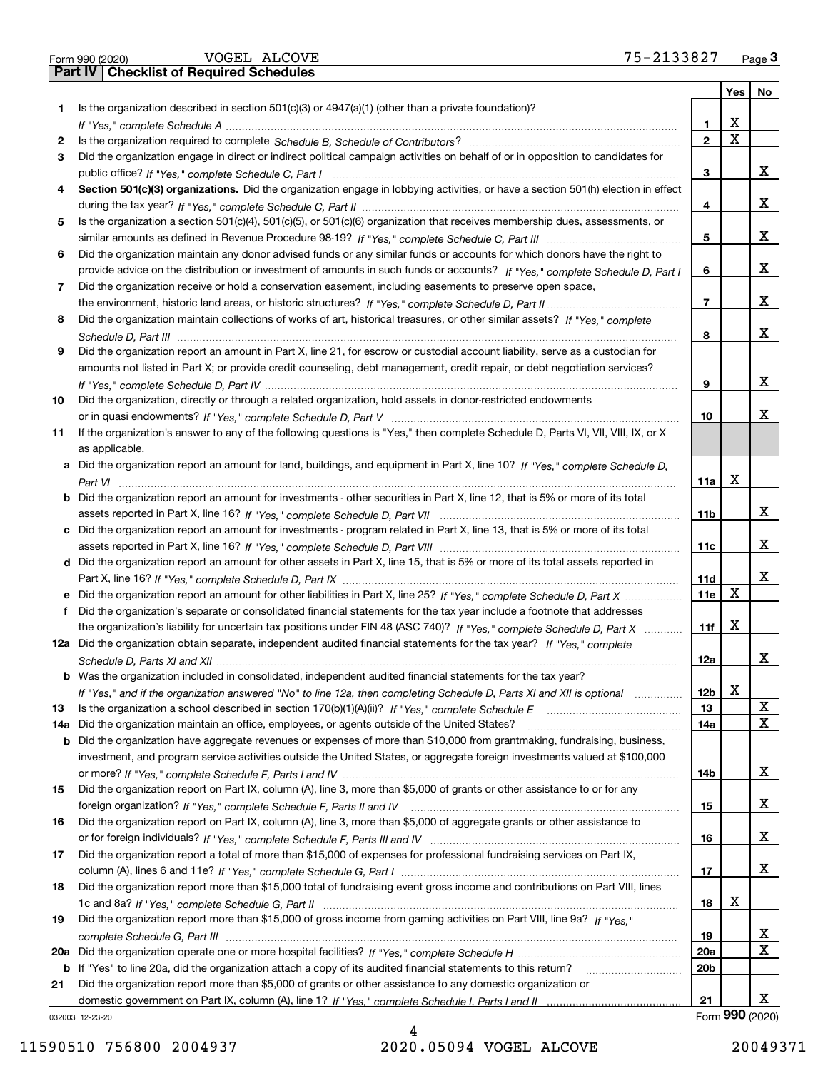|  | Form 990 (2020) |
|--|-----------------|

|     |                                                                                                                                       |                 | Yes | No              |
|-----|---------------------------------------------------------------------------------------------------------------------------------------|-----------------|-----|-----------------|
| 1.  | Is the organization described in section $501(c)(3)$ or $4947(a)(1)$ (other than a private foundation)?                               |                 |     |                 |
|     |                                                                                                                                       | 1               | х   |                 |
| 2   |                                                                                                                                       | $\overline{2}$  | X   |                 |
| 3   | Did the organization engage in direct or indirect political campaign activities on behalf of or in opposition to candidates for       |                 |     |                 |
|     |                                                                                                                                       | з               |     | x               |
| 4   | Section 501(c)(3) organizations. Did the organization engage in lobbying activities, or have a section 501(h) election in effect      |                 |     |                 |
|     |                                                                                                                                       | 4               |     | x               |
| 5   | Is the organization a section 501(c)(4), 501(c)(5), or 501(c)(6) organization that receives membership dues, assessments, or          |                 |     |                 |
|     |                                                                                                                                       | 5               |     | x               |
| 6   | Did the organization maintain any donor advised funds or any similar funds or accounts for which donors have the right to             |                 |     |                 |
|     | provide advice on the distribution or investment of amounts in such funds or accounts? If "Yes," complete Schedule D, Part I          | 6               |     | x               |
| 7   | Did the organization receive or hold a conservation easement, including easements to preserve open space,                             |                 |     |                 |
|     |                                                                                                                                       | $\overline{7}$  |     | x               |
| 8   | Did the organization maintain collections of works of art, historical treasures, or other similar assets? If "Yes," complete          |                 |     |                 |
|     |                                                                                                                                       | 8               |     | x               |
| 9   | Did the organization report an amount in Part X, line 21, for escrow or custodial account liability, serve as a custodian for         |                 |     |                 |
|     | amounts not listed in Part X; or provide credit counseling, debt management, credit repair, or debt negotiation services?             |                 |     |                 |
|     |                                                                                                                                       | 9               |     | x               |
| 10  | Did the organization, directly or through a related organization, hold assets in donor-restricted endowments                          |                 |     |                 |
|     |                                                                                                                                       | 10              |     | х               |
|     |                                                                                                                                       |                 |     |                 |
| 11  | If the organization's answer to any of the following questions is "Yes," then complete Schedule D, Parts VI, VII, VIII, IX, or X      |                 |     |                 |
|     | as applicable.                                                                                                                        |                 |     |                 |
|     | a Did the organization report an amount for land, buildings, and equipment in Part X, line 10? If "Yes," complete Schedule D,         |                 |     |                 |
|     |                                                                                                                                       | 11a             | X   |                 |
|     | <b>b</b> Did the organization report an amount for investments - other securities in Part X, line 12, that is 5% or more of its total |                 |     | x               |
|     |                                                                                                                                       | 11b             |     |                 |
|     | c Did the organization report an amount for investments - program related in Part X, line 13, that is 5% or more of its total         |                 |     |                 |
|     |                                                                                                                                       | 11c             |     | x               |
|     | d Did the organization report an amount for other assets in Part X, line 15, that is 5% or more of its total assets reported in       |                 |     |                 |
|     |                                                                                                                                       | 11d             |     | x               |
|     |                                                                                                                                       | 11e             | х   |                 |
| f.  | Did the organization's separate or consolidated financial statements for the tax year include a footnote that addresses               |                 |     |                 |
|     | the organization's liability for uncertain tax positions under FIN 48 (ASC 740)? If "Yes," complete Schedule D, Part X                | 11f             | x   |                 |
|     | 12a Did the organization obtain separate, independent audited financial statements for the tax year? If "Yes," complete               |                 |     |                 |
|     |                                                                                                                                       | 12a             |     | x               |
|     | b Was the organization included in consolidated, independent audited financial statements for the tax year?                           |                 |     |                 |
|     | If "Yes," and if the organization answered "No" to line 12a, then completing Schedule D, Parts XI and XII is optional                 | 12 <sub>b</sub> | X   |                 |
| 13  | Is the organization a school described in section 170(b)(1)(A)(ii)? If "Yes," complete Schedule E                                     | 13              |     | х               |
| 14a | Did the organization maintain an office, employees, or agents outside of the United States?                                           | 14a             |     | x               |
|     | <b>b</b> Did the organization have aggregate revenues or expenses of more than \$10,000 from grantmaking, fundraising, business,      |                 |     |                 |
|     | investment, and program service activities outside the United States, or aggregate foreign investments valued at \$100,000            |                 |     |                 |
|     |                                                                                                                                       | 14b             |     | x               |
| 15  | Did the organization report on Part IX, column (A), line 3, more than \$5,000 of grants or other assistance to or for any             |                 |     |                 |
|     |                                                                                                                                       | 15              |     | x               |
| 16  | Did the organization report on Part IX, column (A), line 3, more than \$5,000 of aggregate grants or other assistance to              |                 |     |                 |
|     |                                                                                                                                       | 16              |     | x               |
| 17  | Did the organization report a total of more than \$15,000 of expenses for professional fundraising services on Part IX,               |                 |     |                 |
|     |                                                                                                                                       | 17              |     | x               |
| 18  | Did the organization report more than \$15,000 total of fundraising event gross income and contributions on Part VIII, lines          |                 |     |                 |
|     |                                                                                                                                       | 18              | x   |                 |
| 19  | Did the organization report more than \$15,000 of gross income from gaming activities on Part VIII, line 9a? If "Yes."                |                 |     |                 |
|     |                                                                                                                                       | 19              |     | x               |
| 20a |                                                                                                                                       | 20a             |     | X               |
|     | b If "Yes" to line 20a, did the organization attach a copy of its audited financial statements to this return?                        | 20 <sub>b</sub> |     |                 |
| 21  | Did the organization report more than \$5,000 of grants or other assistance to any domestic organization or                           |                 |     |                 |
|     |                                                                                                                                       | 21              |     | х               |
|     | 032003 12-23-20                                                                                                                       |                 |     | Form 990 (2020) |

032003 12-23-20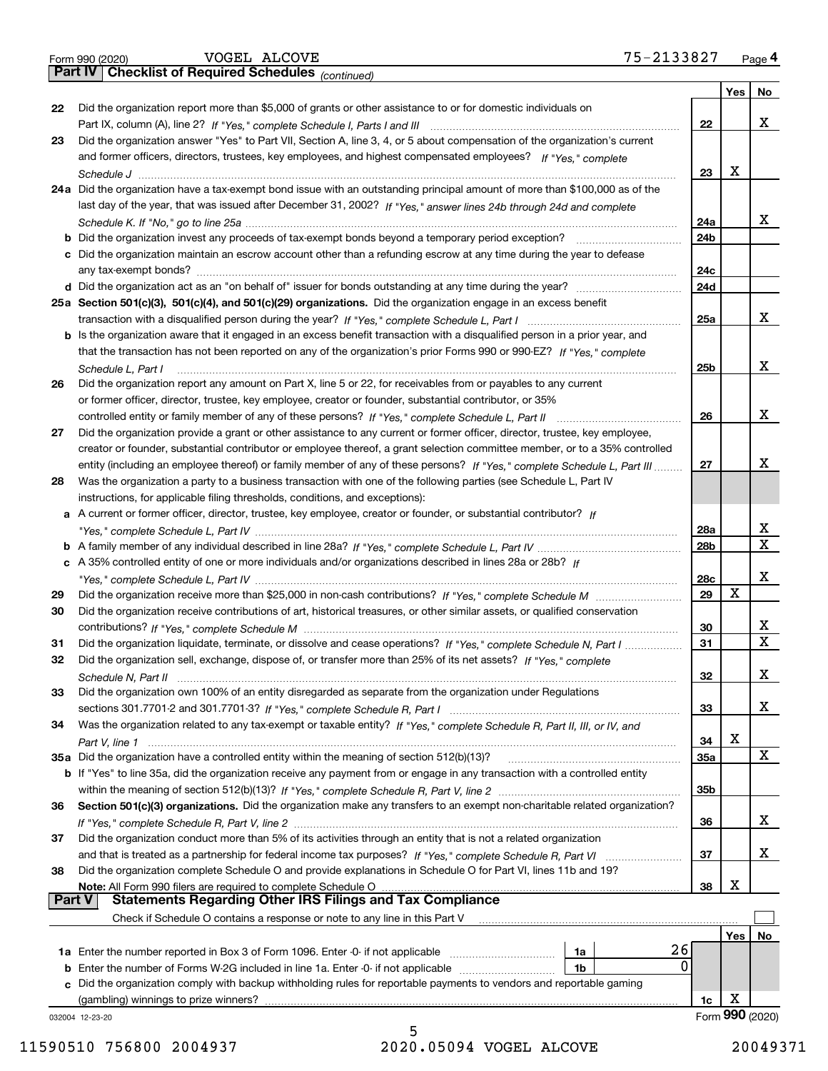|  | Form 990 (2020) |  |
|--|-----------------|--|
|  |                 |  |

*(continued)*

|               |                                                                                                                                                                                                                                        |            | Yes | No               |  |  |  |  |  |
|---------------|----------------------------------------------------------------------------------------------------------------------------------------------------------------------------------------------------------------------------------------|------------|-----|------------------|--|--|--|--|--|
| 22            | Did the organization report more than \$5,000 of grants or other assistance to or for domestic individuals on                                                                                                                          |            |     |                  |  |  |  |  |  |
|               |                                                                                                                                                                                                                                        | 22         |     | х                |  |  |  |  |  |
| 23            | Did the organization answer "Yes" to Part VII, Section A, line 3, 4, or 5 about compensation of the organization's current                                                                                                             |            |     |                  |  |  |  |  |  |
|               | and former officers, directors, trustees, key employees, and highest compensated employees? If "Yes," complete                                                                                                                         |            |     |                  |  |  |  |  |  |
|               |                                                                                                                                                                                                                                        | 23         | x   |                  |  |  |  |  |  |
|               | 24a Did the organization have a tax-exempt bond issue with an outstanding principal amount of more than \$100,000 as of the                                                                                                            |            |     |                  |  |  |  |  |  |
|               | last day of the year, that was issued after December 31, 2002? If "Yes," answer lines 24b through 24d and complete                                                                                                                     |            |     |                  |  |  |  |  |  |
|               |                                                                                                                                                                                                                                        | 24a        |     | x                |  |  |  |  |  |
|               | <b>b</b> Did the organization invest any proceeds of tax-exempt bonds beyond a temporary period exception?                                                                                                                             | 24b        |     |                  |  |  |  |  |  |
|               | c Did the organization maintain an escrow account other than a refunding escrow at any time during the year to defease                                                                                                                 | 24c        |     |                  |  |  |  |  |  |
|               | any tax-exempt bonds?                                                                                                                                                                                                                  |            |     |                  |  |  |  |  |  |
|               | 25a Section 501(c)(3), 501(c)(4), and 501(c)(29) organizations. Did the organization engage in an excess benefit                                                                                                                       | 24d        |     |                  |  |  |  |  |  |
|               |                                                                                                                                                                                                                                        | 25a        |     | х                |  |  |  |  |  |
|               | b Is the organization aware that it engaged in an excess benefit transaction with a disqualified person in a prior year, and                                                                                                           |            |     |                  |  |  |  |  |  |
|               | that the transaction has not been reported on any of the organization's prior Forms 990 or 990-EZ? If "Yes," complete                                                                                                                  |            |     |                  |  |  |  |  |  |
|               | Schedule L, Part I                                                                                                                                                                                                                     | 25b        |     | х                |  |  |  |  |  |
| 26            | Did the organization report any amount on Part X, line 5 or 22, for receivables from or payables to any current                                                                                                                        |            |     |                  |  |  |  |  |  |
|               | or former officer, director, trustee, key employee, creator or founder, substantial contributor, or 35%                                                                                                                                |            |     |                  |  |  |  |  |  |
|               |                                                                                                                                                                                                                                        | 26         |     | х                |  |  |  |  |  |
| 27            | Did the organization provide a grant or other assistance to any current or former officer, director, trustee, key employee,                                                                                                            |            |     |                  |  |  |  |  |  |
|               | creator or founder, substantial contributor or employee thereof, a grant selection committee member, or to a 35% controlled                                                                                                            |            |     |                  |  |  |  |  |  |
|               | entity (including an employee thereof) or family member of any of these persons? If "Yes," complete Schedule L. Part III                                                                                                               | 27         |     | х                |  |  |  |  |  |
| 28            | Was the organization a party to a business transaction with one of the following parties (see Schedule L, Part IV                                                                                                                      |            |     |                  |  |  |  |  |  |
|               | instructions, for applicable filing thresholds, conditions, and exceptions):                                                                                                                                                           |            |     |                  |  |  |  |  |  |
|               | a A current or former officer, director, trustee, key employee, creator or founder, or substantial contributor? If                                                                                                                     |            |     | х                |  |  |  |  |  |
|               |                                                                                                                                                                                                                                        |            |     |                  |  |  |  |  |  |
|               |                                                                                                                                                                                                                                        | 28b        |     | $\mathbf X$      |  |  |  |  |  |
|               | c A 35% controlled entity of one or more individuals and/or organizations described in lines 28a or 28b? If                                                                                                                            |            |     |                  |  |  |  |  |  |
|               |                                                                                                                                                                                                                                        | 28c        |     | X                |  |  |  |  |  |
| 29            |                                                                                                                                                                                                                                        | 29         | X   |                  |  |  |  |  |  |
| 30            | Did the organization receive contributions of art, historical treasures, or other similar assets, or qualified conservation                                                                                                            |            |     |                  |  |  |  |  |  |
|               |                                                                                                                                                                                                                                        | 30<br>31   |     | х<br>$\mathbf X$ |  |  |  |  |  |
| 31<br>32      | Did the organization liquidate, terminate, or dissolve and cease operations? If "Yes," complete Schedule N, Part I<br>Did the organization sell, exchange, dispose of, or transfer more than 25% of its net assets? If "Yes," complete |            |     |                  |  |  |  |  |  |
|               |                                                                                                                                                                                                                                        | 32         |     | х                |  |  |  |  |  |
| 33            | Schedule N, Part II<br>Did the organization own 100% of an entity disregarded as separate from the organization under Regulations                                                                                                      |            |     |                  |  |  |  |  |  |
|               |                                                                                                                                                                                                                                        | 33         |     | X                |  |  |  |  |  |
| 34            | Was the organization related to any tax-exempt or taxable entity? If "Yes," complete Schedule R, Part II, III, or IV, and                                                                                                              |            |     |                  |  |  |  |  |  |
|               |                                                                                                                                                                                                                                        | 34         | X   |                  |  |  |  |  |  |
|               | 35a Did the organization have a controlled entity within the meaning of section 512(b)(13)?                                                                                                                                            | <b>35a</b> |     | X                |  |  |  |  |  |
|               | b If "Yes" to line 35a, did the organization receive any payment from or engage in any transaction with a controlled entity                                                                                                            |            |     |                  |  |  |  |  |  |
|               |                                                                                                                                                                                                                                        | 35b        |     |                  |  |  |  |  |  |
| 36            | Section 501(c)(3) organizations. Did the organization make any transfers to an exempt non-charitable related organization?                                                                                                             |            |     |                  |  |  |  |  |  |
|               |                                                                                                                                                                                                                                        | 36         |     | х                |  |  |  |  |  |
| 37            | Did the organization conduct more than 5% of its activities through an entity that is not a related organization                                                                                                                       |            |     |                  |  |  |  |  |  |
|               | and that is treated as a partnership for federal income tax purposes? If "Yes," complete Schedule R, Part VI                                                                                                                           | 37         |     | х                |  |  |  |  |  |
| 38            | Did the organization complete Schedule O and provide explanations in Schedule O for Part VI, lines 11b and 19?                                                                                                                         |            |     |                  |  |  |  |  |  |
| <b>Part V</b> | Note: All Form 990 filers are required to complete Schedule O<br><b>Statements Regarding Other IRS Filings and Tax Compliance</b>                                                                                                      | 38         | X   |                  |  |  |  |  |  |
|               |                                                                                                                                                                                                                                        |            |     |                  |  |  |  |  |  |
|               | Check if Schedule O contains a response or note to any line in this Part V                                                                                                                                                             |            |     |                  |  |  |  |  |  |
|               | 26                                                                                                                                                                                                                                     |            | Yes | No               |  |  |  |  |  |
|               | 1a Enter the number reported in Box 3 of Form 1096. Enter -0- if not applicable<br>1a<br>0<br>1b                                                                                                                                       |            |     |                  |  |  |  |  |  |
|               | Did the organization comply with backup withholding rules for reportable payments to vendors and reportable gaming                                                                                                                     |            |     |                  |  |  |  |  |  |
|               | (gambling) winnings to prize winners?                                                                                                                                                                                                  | 1c         | X   |                  |  |  |  |  |  |
|               | 032004 12-23-20                                                                                                                                                                                                                        |            |     | Form 990 (2020)  |  |  |  |  |  |

5 11590510 756800 2004937 2020.05094 VOGEL ALCOVE 20049371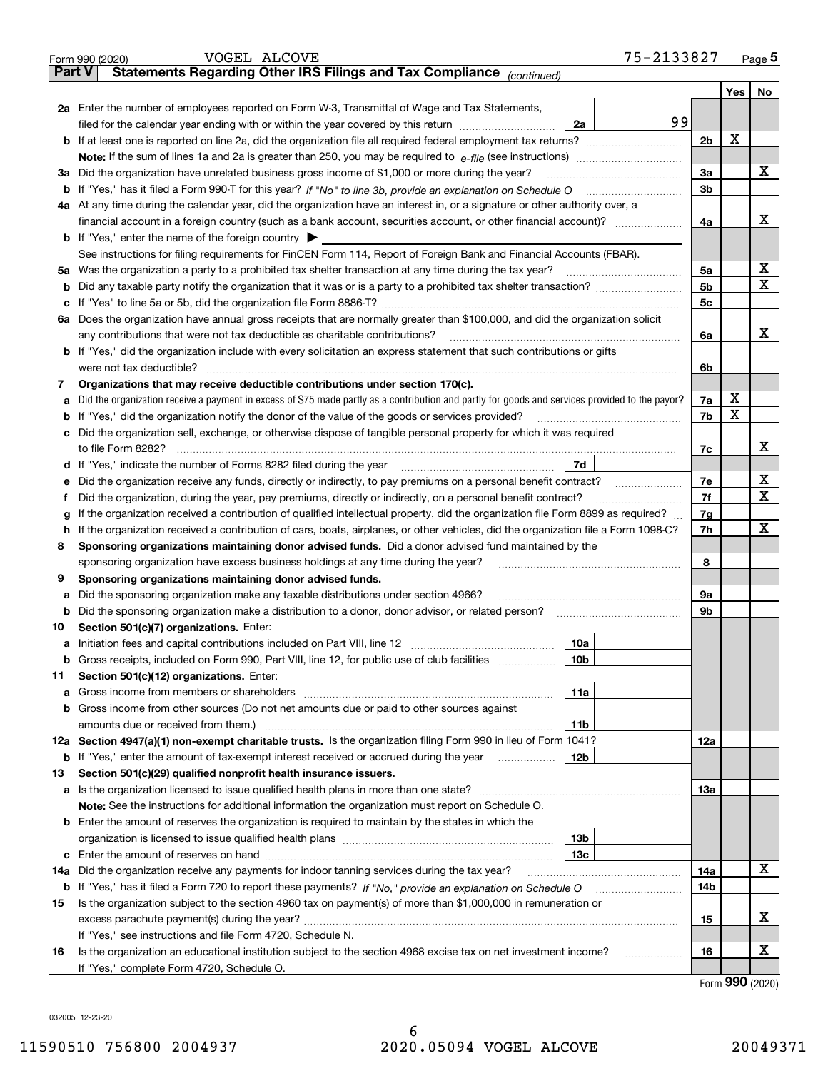|               | 75-2133827<br>VOGEL ALCOVE<br>Form 990 (2020)                                                                                                   |                |         | <u>Page 5</u> |  |  |  |  |  |  |  |
|---------------|-------------------------------------------------------------------------------------------------------------------------------------------------|----------------|---------|---------------|--|--|--|--|--|--|--|
| <b>Part V</b> | Statements Regarding Other IRS Filings and Tax Compliance (continued)                                                                           |                |         |               |  |  |  |  |  |  |  |
|               |                                                                                                                                                 |                | Yes $ $ | No            |  |  |  |  |  |  |  |
|               | 2a Enter the number of employees reported on Form W-3, Transmittal of Wage and Tax Statements,                                                  |                |         |               |  |  |  |  |  |  |  |
|               | 99<br>filed for the calendar year ending with or within the year covered by this return <i>manumumumum</i><br>2a                                |                | х       |               |  |  |  |  |  |  |  |
|               |                                                                                                                                                 |                |         |               |  |  |  |  |  |  |  |
|               |                                                                                                                                                 |                |         |               |  |  |  |  |  |  |  |
|               | 3a Did the organization have unrelated business gross income of \$1,000 or more during the year?                                                |                |         |               |  |  |  |  |  |  |  |
|               |                                                                                                                                                 | 3b             |         |               |  |  |  |  |  |  |  |
|               | 4a At any time during the calendar year, did the organization have an interest in, or a signature or other authority over, a                    |                |         |               |  |  |  |  |  |  |  |
|               |                                                                                                                                                 | 4a             |         | х             |  |  |  |  |  |  |  |
|               | <b>b</b> If "Yes," enter the name of the foreign country $\blacktriangleright$                                                                  |                |         |               |  |  |  |  |  |  |  |
|               | See instructions for filing requirements for FinCEN Form 114, Report of Foreign Bank and Financial Accounts (FBAR).                             |                |         |               |  |  |  |  |  |  |  |
|               | 5a Was the organization a party to a prohibited tax shelter transaction at any time during the tax year?                                        | 5a             |         | X             |  |  |  |  |  |  |  |
| b             |                                                                                                                                                 | 5 <sub>b</sub> |         | х             |  |  |  |  |  |  |  |
|               |                                                                                                                                                 | 5с             |         |               |  |  |  |  |  |  |  |
|               | 6a Does the organization have annual gross receipts that are normally greater than \$100,000, and did the organization solicit                  |                |         |               |  |  |  |  |  |  |  |
|               |                                                                                                                                                 | 6a             |         | х             |  |  |  |  |  |  |  |
|               | <b>b</b> If "Yes," did the organization include with every solicitation an express statement that such contributions or gifts                   |                |         |               |  |  |  |  |  |  |  |
|               | were not tax deductible?                                                                                                                        | 6b             |         |               |  |  |  |  |  |  |  |
| 7             | Organizations that may receive deductible contributions under section 170(c).                                                                   |                |         |               |  |  |  |  |  |  |  |
| а             | Did the organization receive a payment in excess of \$75 made partly as a contribution and partly for goods and services provided to the payor? | 7a             | х       |               |  |  |  |  |  |  |  |
|               | <b>b</b> If "Yes," did the organization notify the donor of the value of the goods or services provided?                                        | 7b             | X       |               |  |  |  |  |  |  |  |
|               | c Did the organization sell, exchange, or otherwise dispose of tangible personal property for which it was required                             |                |         |               |  |  |  |  |  |  |  |
|               |                                                                                                                                                 | 7с             |         | х             |  |  |  |  |  |  |  |
|               | 7d                                                                                                                                              |                |         |               |  |  |  |  |  |  |  |
| е             |                                                                                                                                                 | 7e             |         | х             |  |  |  |  |  |  |  |
| f             | Did the organization, during the year, pay premiums, directly or indirectly, on a personal benefit contract?                                    | 7f             |         | x             |  |  |  |  |  |  |  |
| g             | If the organization received a contribution of qualified intellectual property, did the organization file Form 8899 as required?                | 7g             |         |               |  |  |  |  |  |  |  |
| h.            | If the organization received a contribution of cars, boats, airplanes, or other vehicles, did the organization file a Form 1098-C?              | 7h             |         | x             |  |  |  |  |  |  |  |
| 8             | Sponsoring organizations maintaining donor advised funds. Did a donor advised fund maintained by the                                            |                |         |               |  |  |  |  |  |  |  |
|               | sponsoring organization have excess business holdings at any time during the year?                                                              | 8              |         |               |  |  |  |  |  |  |  |
| 9             | Sponsoring organizations maintaining donor advised funds.                                                                                       |                |         |               |  |  |  |  |  |  |  |
| а             | Did the sponsoring organization make any taxable distributions under section 4966?                                                              | 9а             |         |               |  |  |  |  |  |  |  |
|               | <b>b</b> Did the sponsoring organization make a distribution to a donor, donor advisor, or related person?                                      | 9b             |         |               |  |  |  |  |  |  |  |
| 10            | Section 501(c)(7) organizations. Enter:                                                                                                         |                |         |               |  |  |  |  |  |  |  |
|               | 10a<br> 10b                                                                                                                                     |                |         |               |  |  |  |  |  |  |  |
|               | Gross receipts, included on Form 990, Part VIII, line 12, for public use of club facilities                                                     |                |         |               |  |  |  |  |  |  |  |
| 11            | Section 501(c)(12) organizations. Enter:                                                                                                        |                |         |               |  |  |  |  |  |  |  |
|               | 11a<br>b Gross income from other sources (Do not net amounts due or paid to other sources against                                               |                |         |               |  |  |  |  |  |  |  |
|               | 11b                                                                                                                                             |                |         |               |  |  |  |  |  |  |  |
|               | 12a Section 4947(a)(1) non-exempt charitable trusts. Is the organization filing Form 990 in lieu of Form 1041?                                  | 12a            |         |               |  |  |  |  |  |  |  |
|               | 12b<br><b>b</b> If "Yes," enter the amount of tax-exempt interest received or accrued during the year <i>manument</i>                           |                |         |               |  |  |  |  |  |  |  |
| 13            | Section 501(c)(29) qualified nonprofit health insurance issuers.                                                                                |                |         |               |  |  |  |  |  |  |  |
|               | a Is the organization licensed to issue qualified health plans in more than one state?                                                          | 13а            |         |               |  |  |  |  |  |  |  |
|               | Note: See the instructions for additional information the organization must report on Schedule O.                                               |                |         |               |  |  |  |  |  |  |  |
|               | <b>b</b> Enter the amount of reserves the organization is required to maintain by the states in which the                                       |                |         |               |  |  |  |  |  |  |  |
|               | 13b                                                                                                                                             |                |         |               |  |  |  |  |  |  |  |
|               | 13с                                                                                                                                             |                |         |               |  |  |  |  |  |  |  |
| 14a           | Did the organization receive any payments for indoor tanning services during the tax year?                                                      | 14a            |         | x             |  |  |  |  |  |  |  |
|               | <b>b</b> If "Yes," has it filed a Form 720 to report these payments? If "No," provide an explanation on Schedule O                              | 14b            |         |               |  |  |  |  |  |  |  |
| 15            | Is the organization subject to the section 4960 tax on payment(s) of more than \$1,000,000 in remuneration or                                   |                |         |               |  |  |  |  |  |  |  |
|               |                                                                                                                                                 | 15             |         | x             |  |  |  |  |  |  |  |
|               | If "Yes," see instructions and file Form 4720, Schedule N.                                                                                      |                |         |               |  |  |  |  |  |  |  |
| 16            | Is the organization an educational institution subject to the section 4968 excise tax on net investment income?                                 | 16             |         | х             |  |  |  |  |  |  |  |
|               | If "Yes," complete Form 4720, Schedule O.                                                                                                       |                |         |               |  |  |  |  |  |  |  |

Form (2020) **990**

032005 12-23-20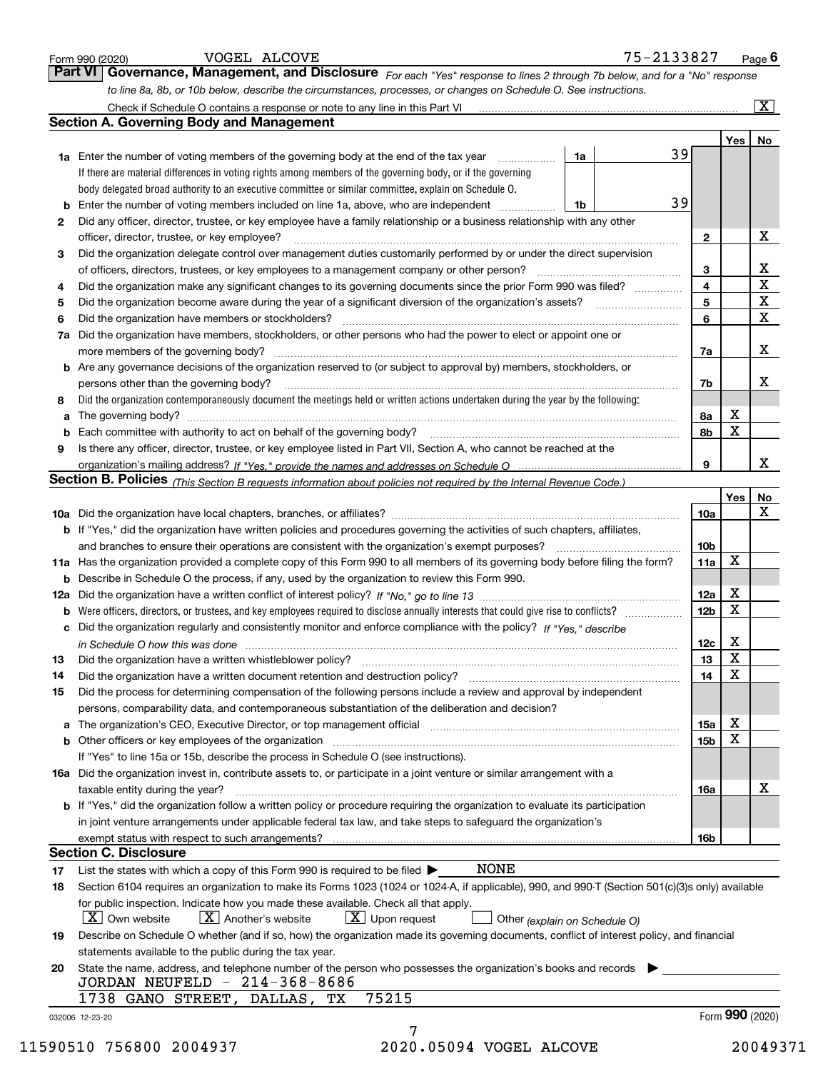|          |                                                                                                                                                  |    |    |                 |             | $\boxed{\text{X}}$      |
|----------|--------------------------------------------------------------------------------------------------------------------------------------------------|----|----|-----------------|-------------|-------------------------|
|          | <b>Section A. Governing Body and Management</b>                                                                                                  |    |    |                 |             |                         |
|          |                                                                                                                                                  |    |    |                 |             | Yes   No                |
|          | <b>1a</b> Enter the number of voting members of the governing body at the end of the tax year <i>manumum</i>                                     | 1a | 39 |                 |             |                         |
|          | If there are material differences in voting rights among members of the governing body, or if the governing                                      |    |    |                 |             |                         |
|          | body delegated broad authority to an executive committee or similar committee, explain on Schedule O.                                            |    |    |                 |             |                         |
|          | Enter the number of voting members included on line 1a, above, who are independent                                                               | 1b | 39 |                 |             |                         |
| 2        | Did any officer, director, trustee, or key employee have a family relationship or a business relationship with any other                         |    |    |                 |             |                         |
|          | officer, director, trustee, or key employee?                                                                                                     |    |    | 2               |             | X                       |
| 3        | Did the organization delegate control over management duties customarily performed by or under the direct supervision                            |    |    |                 |             |                         |
|          | of officers, directors, trustees, or key employees to a management company or other person?                                                      |    |    | 3               |             | $\frac{X}{X}$           |
| 4        | Did the organization make any significant changes to its governing documents since the prior Form 990 was filed?                                 |    |    | 4               |             |                         |
| 5        |                                                                                                                                                  |    |    | 5               |             | $\overline{\textbf{X}}$ |
| 6        | Did the organization have members or stockholders?                                                                                               |    |    | 6               |             | $\mathbf X$             |
| 7a       | Did the organization have members, stockholders, or other persons who had the power to elect or appoint one or                                   |    |    |                 |             |                         |
|          |                                                                                                                                                  |    |    | 7a              |             | x                       |
|          | b Are any governance decisions of the organization reserved to (or subject to approval by) members, stockholders, or                             |    |    |                 |             |                         |
|          | persons other than the governing body?                                                                                                           |    |    | 7b              |             | х                       |
| 8        | Did the organization contemporaneously document the meetings held or written actions undertaken during the year by the following:                |    |    |                 |             |                         |
| a        |                                                                                                                                                  |    |    | 8а              | х           |                         |
| b        |                                                                                                                                                  |    |    | 8b              | X           |                         |
| 9        | Is there any officer, director, trustee, or key employee listed in Part VII, Section A, who cannot be reached at the                             |    |    |                 |             |                         |
|          |                                                                                                                                                  |    |    | 9               |             | x                       |
|          | Section B. Policies (This Section B requests information about policies not required by the Internal Revenue Code.)                              |    |    |                 |             |                         |
|          |                                                                                                                                                  |    |    |                 | Yes         | No                      |
|          |                                                                                                                                                  |    |    | 10a             |             | X                       |
|          | <b>b</b> If "Yes," did the organization have written policies and procedures governing the activities of such chapters, affiliates,              |    |    |                 |             |                         |
|          |                                                                                                                                                  |    |    | 10 <sub>b</sub> |             |                         |
|          | 11a Has the organization provided a complete copy of this Form 990 to all members of its governing body before filing the form?                  |    |    | 11a             | X           |                         |
|          | <b>b</b> Describe in Schedule O the process, if any, used by the organization to review this Form 990.                                           |    |    |                 |             |                         |
|          |                                                                                                                                                  |    |    | 12a             | X           |                         |
|          |                                                                                                                                                  |    |    |                 |             |                         |
|          |                                                                                                                                                  |    |    |                 |             |                         |
|          | <b>b</b> Were officers, directors, or trustees, and key employees required to disclose annually interests that could give rise to conflicts?     |    |    | 12 <sub>b</sub> | X           |                         |
| с        | Did the organization regularly and consistently monitor and enforce compliance with the policy? If "Yes," describe                               |    |    |                 |             |                         |
|          | in Schedule O how this was done measured and contain an account of the state of the state of the state of the                                    |    |    | 12c             | х           |                         |
|          |                                                                                                                                                  |    |    | 13              | $\mathbf X$ |                         |
|          | Did the organization have a written document retention and destruction policy? [11] manufaction policy?                                          |    |    | 14              | х           |                         |
| 14<br>15 | Did the process for determining compensation of the following persons include a review and approval by independent                               |    |    |                 |             |                         |
|          | persons, comparability data, and contemporaneous substantiation of the deliberation and decision?                                                |    |    |                 |             |                         |
| a        | The organization's CEO, Executive Director, or top management official manufactured content and content of the                                   |    |    | 15a             | х           |                         |
|          |                                                                                                                                                  |    |    | 15 <sub>b</sub> | х           |                         |
|          | If "Yes" to line 15a or 15b, describe the process in Schedule O (see instructions).                                                              |    |    |                 |             |                         |
|          | 16a Did the organization invest in, contribute assets to, or participate in a joint venture or similar arrangement with a                        |    |    |                 |             |                         |
|          | taxable entity during the year?                                                                                                                  |    |    | 16a             |             | х                       |
|          | b If "Yes," did the organization follow a written policy or procedure requiring the organization to evaluate its participation                   |    |    |                 |             |                         |
|          | in joint venture arrangements under applicable federal tax law, and take steps to safequard the organization's                                   |    |    |                 |             |                         |
|          |                                                                                                                                                  |    |    | 16b             |             |                         |
|          | <b>Section C. Disclosure</b>                                                                                                                     |    |    |                 |             |                         |
|          | NONE<br>List the states with which a copy of this Form 990 is required to be filed $\blacktriangleright$                                         |    |    |                 |             |                         |
| 17<br>18 | Section 6104 requires an organization to make its Forms 1023 (1024 or 1024-A, if applicable), 990, and 990-T (Section 501(c)(3)s only) available |    |    |                 |             |                         |
|          | for public inspection. Indicate how you made these available. Check all that apply.                                                              |    |    |                 |             |                         |
|          | X   Own website<br>$X$ Another's website<br>$\lfloor x \rfloor$ Upon request<br>Other (explain on Schedule O)                                    |    |    |                 |             |                         |
|          | Describe on Schedule O whether (and if so, how) the organization made its governing documents, conflict of interest policy, and financial        |    |    |                 |             |                         |
|          | statements available to the public during the tax year.                                                                                          |    |    |                 |             |                         |
| 19<br>20 | State the name, address, and telephone number of the person who possesses the organization's books and records                                   |    |    |                 |             |                         |
|          | JORDAN NEUFELD - 214-368-8686<br>75215<br>1738 GANO STREET, DALLAS, TX                                                                           |    |    |                 |             |                         |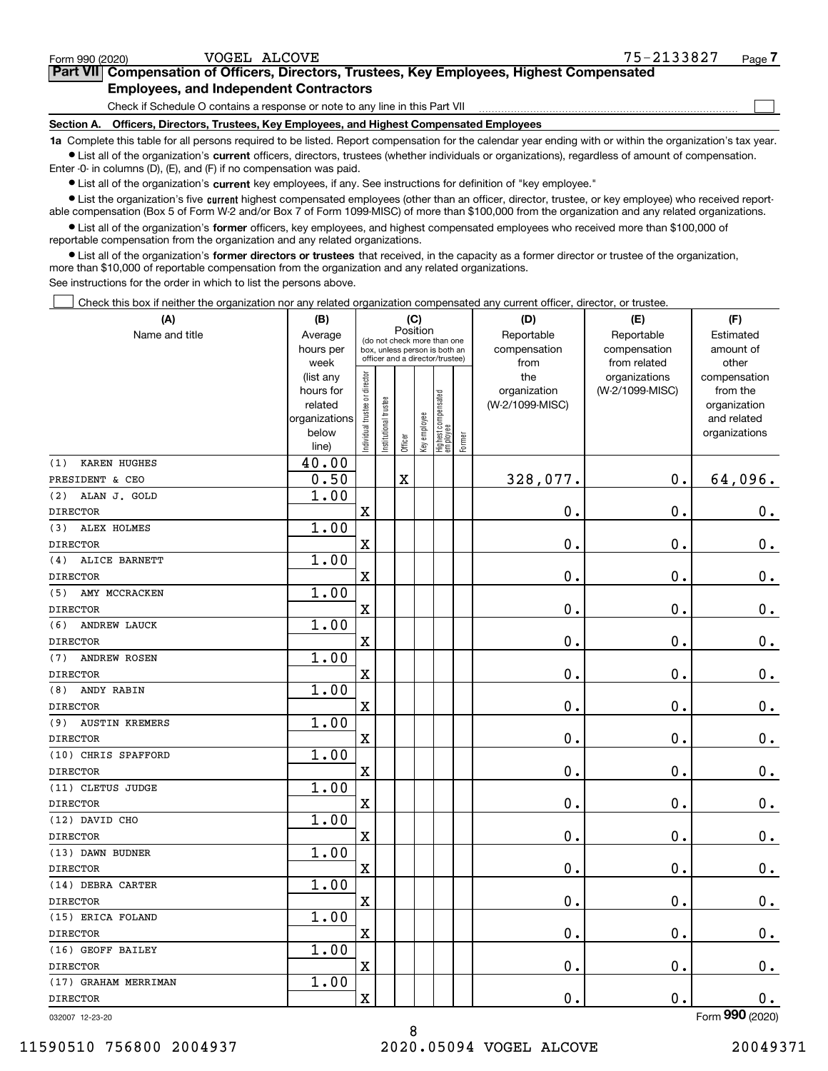$\mathcal{L}^{\text{max}}$ 

| orm 990 (2020) <sup>.</sup> |                                                                                            | VOGEL ALCOVE | 75-2133827 | Page <i>I</i> |
|-----------------------------|--------------------------------------------------------------------------------------------|--------------|------------|---------------|
|                             | Part VII Compensation of Officers, Directors, Trustees, Key Employees, Highest Compensated |              |            |               |
|                             | <b>Employees, and Independent Contractors</b>                                              |              |            |               |

Check if Schedule O contains a response or note to any line in this Part VII

**Section A. Officers, Directors, Trustees, Key Employees, and Highest Compensated Employees**

**1a**  Complete this table for all persons required to be listed. Report compensation for the calendar year ending with or within the organization's tax year. **•** List all of the organization's current officers, directors, trustees (whether individuals or organizations), regardless of amount of compensation.

Enter -0- in columns (D), (E), and (F) if no compensation was paid.

 $\bullet$  List all of the organization's  $\,$ current key employees, if any. See instructions for definition of "key employee."

**•** List the organization's five current highest compensated employees (other than an officer, director, trustee, or key employee) who received reportable compensation (Box 5 of Form W-2 and/or Box 7 of Form 1099-MISC) of more than \$100,000 from the organization and any related organizations.

**•** List all of the organization's former officers, key employees, and highest compensated employees who received more than \$100,000 of reportable compensation from the organization and any related organizations.

**former directors or trustees**  ¥ List all of the organization's that received, in the capacity as a former director or trustee of the organization, more than \$10,000 of reportable compensation from the organization and any related organizations.

See instructions for the order in which to list the persons above.

Check this box if neither the organization nor any related organization compensated any current officer, director, or trustee.  $\mathcal{L}^{\text{max}}$ 

| (A)                          | (B)                    |                                |                                                                  | (C)                                     |              |                                   |        | (D)                 | (E)                              | (F)                      |
|------------------------------|------------------------|--------------------------------|------------------------------------------------------------------|-----------------------------------------|--------------|-----------------------------------|--------|---------------------|----------------------------------|--------------------------|
| Name and title               | Average                |                                |                                                                  | Position<br>(do not check more than one |              |                                   |        | Reportable          | Reportable                       | Estimated                |
|                              | hours per              |                                | box, unless person is both an<br>officer and a director/trustee) |                                         |              |                                   |        | compensation        | compensation                     | amount of                |
|                              | week                   |                                |                                                                  |                                         |              |                                   |        | from                | from related                     | other                    |
|                              | (list any<br>hours for | Individual trustee or director |                                                                  |                                         |              |                                   |        | the<br>organization | organizations<br>(W-2/1099-MISC) | compensation<br>from the |
|                              | related                |                                |                                                                  |                                         |              |                                   |        | (W-2/1099-MISC)     |                                  | organization             |
|                              | organizations          |                                |                                                                  |                                         |              |                                   |        |                     |                                  | and related              |
|                              | below                  |                                | Institutional trustee                                            |                                         | Key employee |                                   |        |                     |                                  | organizations            |
|                              | line)                  |                                |                                                                  | Officer                                 |              | Highest compensated<br>  employee | Former |                     |                                  |                          |
| KAREN HUGHES<br>(1)          | 40.00                  |                                |                                                                  |                                         |              |                                   |        |                     |                                  |                          |
| PRESIDENT & CEO              | 0.50                   |                                |                                                                  | $\overline{\textbf{X}}$                 |              |                                   |        | 328,077.            | $\mathbf 0$ .                    | 64,096.                  |
| (2)<br>ALAN J. GOLD          | 1.00                   |                                |                                                                  |                                         |              |                                   |        |                     |                                  |                          |
| <b>DIRECTOR</b>              |                        | $\overline{\text{X}}$          |                                                                  |                                         |              |                                   |        | 0.                  | $\mathbf 0$ .                    | $\mathbf 0$ .            |
| <b>ALEX HOLMES</b><br>(3)    | 1.00                   |                                |                                                                  |                                         |              |                                   |        |                     |                                  |                          |
| <b>DIRECTOR</b>              |                        | X                              |                                                                  |                                         |              |                                   |        | 0.                  | 0.                               | $0_{.}$                  |
| (4)<br>ALICE BARNETT         | 1.00                   |                                |                                                                  |                                         |              |                                   |        |                     |                                  |                          |
| <b>DIRECTOR</b>              |                        | $\mathbf X$                    |                                                                  |                                         |              |                                   |        | 0.                  | $\mathbf 0$ .                    | $\mathbf 0$ .            |
| AMY MCCRACKEN<br>(5)         | 1.00                   |                                |                                                                  |                                         |              |                                   |        |                     |                                  |                          |
| <b>DIRECTOR</b>              |                        | $\rm X$                        |                                                                  |                                         |              |                                   |        | 0.                  | $\mathbf 0$ .                    | $0_{.}$                  |
| (6)<br><b>ANDREW LAUCK</b>   | 1.00                   |                                |                                                                  |                                         |              |                                   |        |                     |                                  |                          |
| <b>DIRECTOR</b>              |                        | $\mathbf X$                    |                                                                  |                                         |              |                                   |        | 0.                  | 0.                               | $\mathbf 0$ .            |
| <b>ANDREW ROSEN</b><br>(7)   | 1.00                   |                                |                                                                  |                                         |              |                                   |        |                     |                                  |                          |
| <b>DIRECTOR</b>              |                        | X                              |                                                                  |                                         |              |                                   |        | 0.                  | $\mathbf 0$ .                    | $0_{.}$                  |
| (8)<br>ANDY RABIN            | 1.00                   |                                |                                                                  |                                         |              |                                   |        |                     |                                  |                          |
| <b>DIRECTOR</b>              |                        | $\mathbf X$                    |                                                                  |                                         |              |                                   |        | 0.                  | $\mathbf 0$ .                    | $0_{.}$                  |
| (9)<br><b>AUSTIN KREMERS</b> | 1.00                   |                                |                                                                  |                                         |              |                                   |        |                     |                                  |                          |
| <b>DIRECTOR</b>              |                        | $\overline{\mathbf{X}}$        |                                                                  |                                         |              |                                   |        | 0.                  | $\mathbf 0$ .                    | $\mathbf 0$ .            |
| (10) CHRIS SPAFFORD          | 1.00                   |                                |                                                                  |                                         |              |                                   |        |                     |                                  |                          |
| <b>DIRECTOR</b>              |                        | $\mathbf X$                    |                                                                  |                                         |              |                                   |        | 0.                  | $\mathbf 0$ .                    | 0.                       |
| (11) CLETUS JUDGE            | 1.00                   |                                |                                                                  |                                         |              |                                   |        |                     |                                  |                          |
| <b>DIRECTOR</b>              |                        | X                              |                                                                  |                                         |              |                                   |        | 0.                  | $\mathbf 0$ .                    | $0_{.}$                  |
| (12) DAVID CHO               | 1.00                   |                                |                                                                  |                                         |              |                                   |        |                     |                                  |                          |
| <b>DIRECTOR</b>              |                        | $\rm X$                        |                                                                  |                                         |              |                                   |        | 0.                  | $\mathbf 0$ .                    | $0_{.}$                  |
| (13) DAWN BUDNER             | 1.00                   |                                |                                                                  |                                         |              |                                   |        |                     |                                  |                          |
| <b>DIRECTOR</b>              |                        | X                              |                                                                  |                                         |              |                                   |        | 0.                  | 0.                               | 0.                       |
| (14) DEBRA CARTER            | 1.00                   |                                |                                                                  |                                         |              |                                   |        |                     |                                  |                          |
| <b>DIRECTOR</b>              |                        | $\rm X$                        |                                                                  |                                         |              |                                   |        | 0.                  | $\mathbf 0$ .                    | 0.                       |
| (15) ERICA FOLAND            | 1.00                   |                                |                                                                  |                                         |              |                                   |        |                     |                                  |                          |
| <b>DIRECTOR</b>              |                        | X                              |                                                                  |                                         |              |                                   |        | 0.                  | $\mathbf 0$ .                    | $\mathbf 0$ .            |
| (16) GEOFF BAILEY            | 1.00                   |                                |                                                                  |                                         |              |                                   |        |                     |                                  |                          |
| <b>DIRECTOR</b>              |                        | X                              |                                                                  |                                         |              |                                   |        | 0.                  | 0.                               | $0_{.}$                  |
| (17) GRAHAM MERRIMAN         | 1.00                   |                                |                                                                  |                                         |              |                                   |        |                     |                                  |                          |
| <b>DIRECTOR</b>              |                        | $\mathbf X$                    |                                                                  |                                         |              |                                   |        | 0.                  | $\mathbf 0$ .                    | 0.                       |
|                              |                        |                                |                                                                  |                                         |              |                                   |        |                     |                                  | $\overline{2}$           |

032007 12-23-20

Form (2020) **990**

8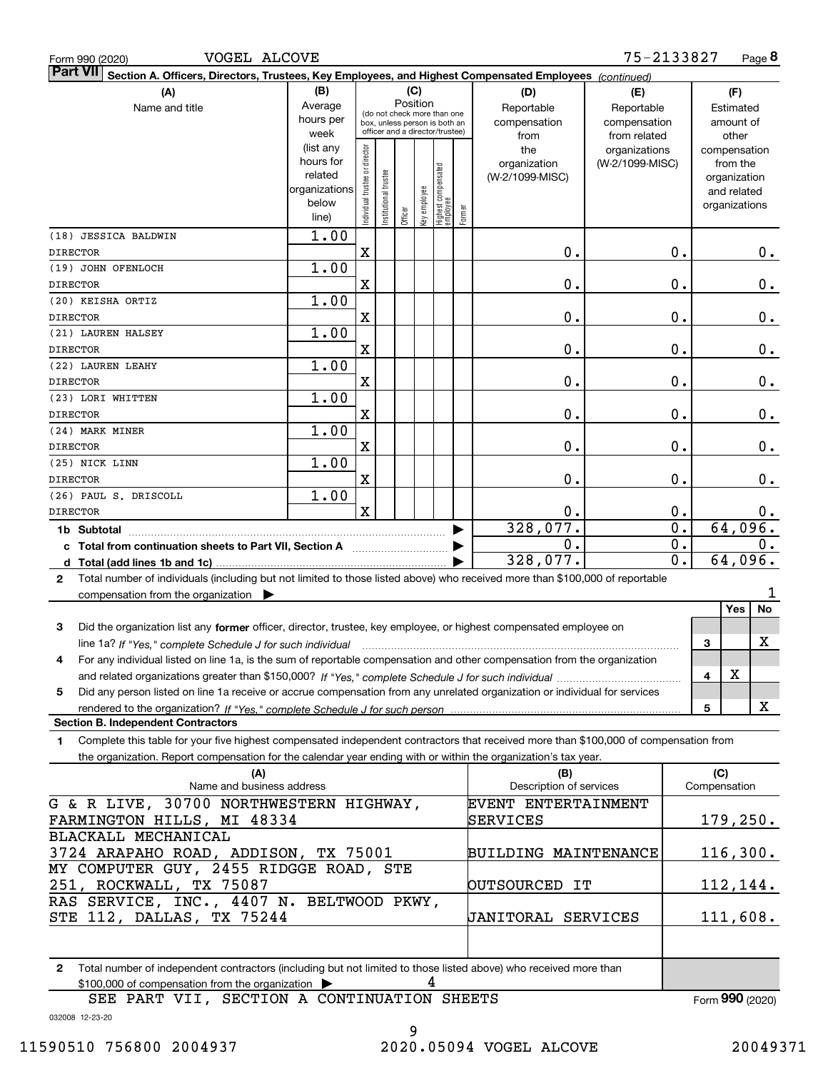| VOGEL ALCOVE<br>Form 990 (2020)                                                                                                              |                        |                                |                       |                                                                                                 |              |                                   |        |                                    | 75-2133827                                 |                  |              | Page 8                          |
|----------------------------------------------------------------------------------------------------------------------------------------------|------------------------|--------------------------------|-----------------------|-------------------------------------------------------------------------------------------------|--------------|-----------------------------------|--------|------------------------------------|--------------------------------------------|------------------|--------------|---------------------------------|
| <b>Part VII</b><br>Section A. Officers, Directors, Trustees, Key Employees, and Highest Compensated Employees (continued)                    |                        |                                |                       |                                                                                                 |              |                                   |        |                                    |                                            |                  |              |                                 |
| (B)<br>(C)<br>(A)<br>(D)<br>(E)<br>Position<br>Average                                                                                       |                        |                                |                       |                                                                                                 |              |                                   |        |                                    |                                            | (F)              |              |                                 |
| Name and title<br>hours per<br>week                                                                                                          |                        |                                |                       | (do not check more than one<br>box, unless person is both an<br>officer and a director/trustee) |              |                                   |        | Reportable<br>compensation<br>from | Reportable<br>compensation<br>from related |                  |              | Estimated<br>amount of<br>other |
|                                                                                                                                              | (list any<br>hours for | Individual trustee or director |                       |                                                                                                 |              |                                   |        | the<br>organization                | organizations<br>(W-2/1099-MISC)           |                  |              | compensation<br>from the        |
|                                                                                                                                              | related                |                                |                       |                                                                                                 |              |                                   |        | (W-2/1099-MISC)                    |                                            |                  |              | organization                    |
|                                                                                                                                              | organizations<br>below |                                | Institutional trustee |                                                                                                 | Key employee | Highest compensated<br>  employee |        |                                    |                                            |                  |              | and related<br>organizations    |
|                                                                                                                                              | line)                  |                                |                       | Officer                                                                                         |              |                                   | Former |                                    |                                            |                  |              |                                 |
| (18) JESSICA BALDWIN                                                                                                                         | 1.00                   |                                |                       |                                                                                                 |              |                                   |        |                                    |                                            |                  |              |                                 |
| <b>DIRECTOR</b>                                                                                                                              |                        | $\mathbf x$                    |                       |                                                                                                 |              |                                   |        | 0.                                 |                                            | 0.               |              | 0.                              |
| (19) JOHN OFENLOCH                                                                                                                           | 1.00                   |                                |                       |                                                                                                 |              |                                   |        |                                    |                                            |                  |              |                                 |
| <b>DIRECTOR</b>                                                                                                                              |                        | X                              |                       |                                                                                                 |              |                                   |        | 0.                                 |                                            | 0.               |              | 0.                              |
| (20) KEISHA ORTIZ                                                                                                                            | 1.00                   |                                |                       |                                                                                                 |              |                                   |        |                                    |                                            |                  |              |                                 |
| <b>DIRECTOR</b>                                                                                                                              |                        | X                              |                       |                                                                                                 |              |                                   |        | 0.                                 |                                            | 0.               |              | 0.                              |
| (21) LAUREN HALSEY                                                                                                                           | 1.00                   |                                |                       |                                                                                                 |              |                                   |        |                                    |                                            |                  |              |                                 |
| <b>DIRECTOR</b>                                                                                                                              |                        | X                              |                       |                                                                                                 |              |                                   |        | 0.                                 |                                            | 0.               |              | 0.                              |
| (22) LAUREN LEAHY                                                                                                                            | 1.00                   |                                |                       |                                                                                                 |              |                                   |        |                                    |                                            |                  |              |                                 |
| <b>DIRECTOR</b>                                                                                                                              |                        | X                              |                       |                                                                                                 |              |                                   |        | 0.                                 |                                            | 0.               |              | 0.                              |
| (23) LORI WHITTEN                                                                                                                            | 1.00                   |                                |                       |                                                                                                 |              |                                   |        |                                    |                                            |                  |              |                                 |
| <b>DIRECTOR</b>                                                                                                                              |                        | X                              |                       |                                                                                                 |              |                                   |        | 0.                                 |                                            | 0.               |              | 0.                              |
| (24) MARK MINER                                                                                                                              | 1.00                   |                                |                       |                                                                                                 |              |                                   |        |                                    |                                            |                  |              |                                 |
| <b>DIRECTOR</b>                                                                                                                              |                        | X                              |                       |                                                                                                 |              |                                   |        | 0.                                 |                                            | 0.               |              | 0.                              |
| (25) NICK LINN                                                                                                                               | 1.00                   |                                |                       |                                                                                                 |              |                                   |        |                                    |                                            |                  |              |                                 |
| <b>DIRECTOR</b><br>(26) PAUL S. DRISCOLL                                                                                                     | 1.00                   | X                              |                       |                                                                                                 |              |                                   |        | 0.                                 |                                            | 0.               |              | 0.                              |
| <b>DIRECTOR</b>                                                                                                                              |                        | $\mathbf x$                    |                       |                                                                                                 |              |                                   |        | 0.                                 |                                            | 0.               |              | 0.                              |
|                                                                                                                                              |                        |                                |                       |                                                                                                 |              |                                   |        | 328,077.                           |                                            | $\overline{0}$ . |              | 64,096.                         |
| 1b Subtotal<br>c Total from continuation sheets to Part VII, Section A                                                                       |                        |                                |                       |                                                                                                 |              |                                   |        | 0.                                 |                                            | $\overline{0}$ . |              | 0.                              |
|                                                                                                                                              |                        |                                |                       |                                                                                                 |              |                                   |        | 328,077.                           |                                            | $\overline{0}$ . |              | 64,096.                         |
| Total number of individuals (including but not limited to those listed above) who received more than \$100,000 of reportable<br>$\mathbf{2}$ |                        |                                |                       |                                                                                                 |              |                                   |        |                                    |                                            |                  |              |                                 |
| compensation from the organization $\blacktriangleright$                                                                                     |                        |                                |                       |                                                                                                 |              |                                   |        |                                    |                                            |                  |              | 1                               |
|                                                                                                                                              |                        |                                |                       |                                                                                                 |              |                                   |        |                                    |                                            |                  |              | Yes<br>No                       |
| 3<br>Did the organization list any former officer, director, trustee, key employee, or highest compensated employee on                       |                        |                                |                       |                                                                                                 |              |                                   |        |                                    |                                            |                  |              |                                 |
| line 1a? If "Yes," complete Schedule J for such individual manufactured contained and the Ves," complete Schedule J for such individual      |                        |                                |                       |                                                                                                 |              |                                   |        |                                    |                                            |                  | 3            | X                               |
| For any individual listed on line 1a, is the sum of reportable compensation and other compensation from the organization                     |                        |                                |                       |                                                                                                 |              |                                   |        |                                    |                                            |                  |              |                                 |
|                                                                                                                                              |                        |                                |                       |                                                                                                 |              |                                   |        |                                    |                                            |                  | 4            | X                               |
| Did any person listed on line 1a receive or accrue compensation from any unrelated organization or individual for services<br>5              |                        |                                |                       |                                                                                                 |              |                                   |        |                                    |                                            |                  |              |                                 |
| rendered to the organization? If "Yes." complete Schedule J for such person                                                                  |                        |                                |                       |                                                                                                 |              |                                   |        |                                    |                                            |                  | 5            | X                               |
| <b>Section B. Independent Contractors</b>                                                                                                    |                        |                                |                       |                                                                                                 |              |                                   |        |                                    |                                            |                  |              |                                 |
| Complete this table for your five highest compensated independent contractors that received more than \$100,000 of compensation from<br>1.   |                        |                                |                       |                                                                                                 |              |                                   |        |                                    |                                            |                  |              |                                 |
| the organization. Report compensation for the calendar year ending with or within the organization's tax year.                               |                        |                                |                       |                                                                                                 |              |                                   |        |                                    |                                            |                  |              |                                 |
| (A)                                                                                                                                          |                        |                                |                       |                                                                                                 |              |                                   |        | (B)                                |                                            |                  | (C)          |                                 |
| Name and business address                                                                                                                    |                        |                                |                       |                                                                                                 |              |                                   |        | Description of services            |                                            |                  | Compensation |                                 |
| G & R LIVE, 30700 NORTHWESTERN HIGHWAY,                                                                                                      |                        |                                |                       |                                                                                                 |              |                                   |        | EVENT ENTERTAINMENT                |                                            |                  |              |                                 |
| FARMINGTON HILLS, MI 48334                                                                                                                   |                        |                                |                       |                                                                                                 |              |                                   |        | SERVICES                           |                                            |                  |              | 179, 250.                       |
| BLACKALL MECHANICAL                                                                                                                          |                        |                                |                       |                                                                                                 |              |                                   |        |                                    |                                            |                  |              |                                 |
| 3724 ARAPAHO ROAD, ADDISON, TX 75001                                                                                                         |                        |                                |                       |                                                                                                 |              |                                   |        | <b>BUILDING MAINTENANCE</b>        |                                            |                  |              | 116,300.                        |
| MY COMPUTER GUY, 2455 RIDGGE ROAD, STE<br>251, ROCKWALL, TX 75087                                                                            |                        |                                |                       |                                                                                                 |              |                                   |        | OUTSOURCED IT                      |                                            |                  |              | 112,144.                        |
| RAS SERVICE, INC., 4407 N. BELTWOOD PKWY,                                                                                                    |                        |                                |                       |                                                                                                 |              |                                   |        |                                    |                                            |                  |              |                                 |
| STE 112, DALLAS, TX 75244                                                                                                                    |                        |                                |                       |                                                                                                 |              |                                   |        | <b>JANITORAL SERVICES</b>          |                                            |                  |              | 111,608.                        |
|                                                                                                                                              |                        |                                |                       |                                                                                                 |              |                                   |        |                                    |                                            |                  |              |                                 |
|                                                                                                                                              |                        |                                |                       |                                                                                                 |              |                                   |        |                                    |                                            |                  |              |                                 |
| Total number of independent contractors (including but not limited to those listed above) who received more than<br>$\mathbf{2}$             |                        |                                |                       |                                                                                                 |              |                                   |        |                                    |                                            |                  |              |                                 |
| \$100,000 of compensation from the organization                                                                                              |                        |                                |                       |                                                                                                 | 4            |                                   |        |                                    |                                            |                  |              |                                 |
| SEE PART VII, SECTION A CONTINUATION SHEETS                                                                                                  |                        |                                |                       |                                                                                                 |              |                                   |        |                                    |                                            |                  |              | Form 990 (2020)                 |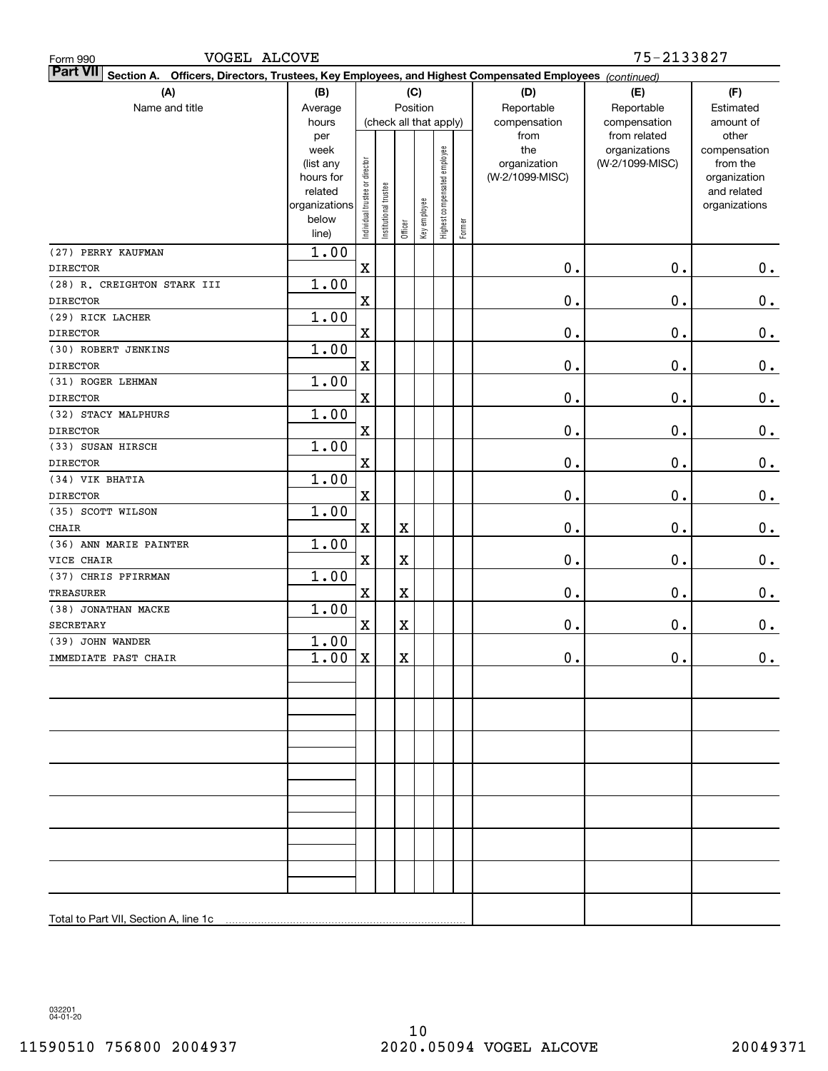| VOGEL ALCOVE<br>Form 990                                                                                                     |                                                         |                                |                       |             |                        |                              |        |                                             | 75-2133827                                                       |                                                |  |  |
|------------------------------------------------------------------------------------------------------------------------------|---------------------------------------------------------|--------------------------------|-----------------------|-------------|------------------------|------------------------------|--------|---------------------------------------------|------------------------------------------------------------------|------------------------------------------------|--|--|
| <b>Part VII</b><br>Section A.<br>Officers, Directors, Trustees, Key Employees, and Highest Compensated Employees (continued) |                                                         |                                |                       |             |                        |                              |        |                                             |                                                                  |                                                |  |  |
| (A)                                                                                                                          | (B)                                                     | (C)                            |                       |             |                        |                              |        | (D)                                         | (E)                                                              |                                                |  |  |
| Name and title                                                                                                               | Average                                                 |                                |                       |             | Position               |                              |        | Reportable                                  | Reportable                                                       | Estimated                                      |  |  |
|                                                                                                                              | hours<br>per<br>week<br>(list any                       |                                |                       |             | (check all that apply) |                              |        | compensation<br>from<br>the<br>organization | compensation<br>from related<br>organizations<br>(W-2/1099-MISC) | amount of<br>other<br>compensation<br>from the |  |  |
|                                                                                                                              | hours for<br>related<br>organizations<br>below<br>line) | Individual trustee or director | Institutional trustee | Officer     | Key employee           | Highest compensated employee | Former | (W-2/1099-MISC)                             |                                                                  | organization<br>and related<br>organizations   |  |  |
| (27) PERRY KAUFMAN                                                                                                           | 1.00                                                    |                                |                       |             |                        |                              |        |                                             |                                                                  |                                                |  |  |
| <b>DIRECTOR</b>                                                                                                              |                                                         | $\mathbf X$                    |                       |             |                        |                              |        | $\mathbf 0$ .                               | 0.                                                               | 0.                                             |  |  |
| (28) R. CREIGHTON STARK III<br><b>DIRECTOR</b>                                                                               | 1.00                                                    | $\mathbf X$                    |                       |             |                        |                              |        | $\mathbf 0$ .                               | 0.                                                               | $\mathbf 0$ .                                  |  |  |
| (29) RICK LACHER                                                                                                             | 1.00                                                    |                                |                       |             |                        |                              |        |                                             |                                                                  |                                                |  |  |
| <b>DIRECTOR</b>                                                                                                              |                                                         | $\mathbf X$                    |                       |             |                        |                              |        | $\mathbf 0$ .                               | 0.                                                               | $\mathbf 0$ .                                  |  |  |
| (30) ROBERT JENKINS                                                                                                          | 1.00                                                    |                                |                       |             |                        |                              |        |                                             |                                                                  |                                                |  |  |
| <b>DIRECTOR</b>                                                                                                              |                                                         | $\mathbf X$                    |                       |             |                        |                              |        | $\mathbf 0$ .                               | 0.                                                               | $\mathbf 0$ .                                  |  |  |
| (31) ROGER LEHMAN<br><b>DIRECTOR</b>                                                                                         | 1.00                                                    | $\mathbf X$                    |                       |             |                        |                              |        | $\mathbf 0$ .                               | 0.                                                               | $\mathbf 0$ .                                  |  |  |
| (32) STACY MALPHURS                                                                                                          | 1.00                                                    |                                |                       |             |                        |                              |        |                                             |                                                                  |                                                |  |  |
| <b>DIRECTOR</b>                                                                                                              |                                                         | $\mathbf X$                    |                       |             |                        |                              |        | $\mathbf 0$ .                               | 0.                                                               | $\mathbf 0$ .                                  |  |  |
| (33) SUSAN HIRSCH                                                                                                            | 1.00                                                    |                                |                       |             |                        |                              |        |                                             |                                                                  |                                                |  |  |
| <b>DIRECTOR</b>                                                                                                              |                                                         | $\mathbf X$                    |                       |             |                        |                              |        | $\mathbf 0$ .                               | 0.                                                               | $\mathbf 0$ .                                  |  |  |
| (34) VIK BHATIA                                                                                                              | 1.00                                                    |                                |                       |             |                        |                              |        |                                             |                                                                  |                                                |  |  |
| <b>DIRECTOR</b>                                                                                                              |                                                         | $\mathbf X$                    |                       |             |                        |                              |        | $\mathbf 0$ .                               | 0.                                                               | $\mathbf 0$ .                                  |  |  |
| (35) SCOTT WILSON                                                                                                            | 1.00                                                    |                                |                       |             |                        |                              |        |                                             |                                                                  |                                                |  |  |
| CHAIR                                                                                                                        |                                                         | $\mathbf X$                    |                       | $\mathbf X$ |                        |                              |        | $\mathbf 0$ .                               | 0.                                                               | $\mathbf 0$ .                                  |  |  |
| (36) ANN MARIE PAINTER                                                                                                       | 1.00                                                    |                                |                       |             |                        |                              |        |                                             |                                                                  |                                                |  |  |
| VICE CHAIR<br>(37) CHRIS PFIRRMAN                                                                                            | 1.00                                                    | $\mathbf X$                    |                       | $\mathbf X$ |                        |                              |        | $\mathbf 0$ .                               | 0.                                                               | $\mathbf 0$ .                                  |  |  |
| <b>TREASURER</b>                                                                                                             |                                                         | $\mathbf X$                    |                       | $\mathbf X$ |                        |                              |        | $\mathbf 0$ .                               | 0.                                                               | 0.                                             |  |  |
| (38) JONATHAN MACKE                                                                                                          | 1.00                                                    |                                |                       |             |                        |                              |        |                                             |                                                                  |                                                |  |  |
| <b>SECRETARY</b>                                                                                                             |                                                         | $\mathbf X$                    |                       | $\mathbf X$ |                        |                              |        | $\mathbf 0$ .                               | 0.                                                               | 0.                                             |  |  |
| (39) JOHN WANDER                                                                                                             | 1.00                                                    |                                |                       |             |                        |                              |        |                                             |                                                                  |                                                |  |  |
| IMMEDIATE PAST CHAIR                                                                                                         | $1.00 \mid X$                                           |                                |                       | X           |                        |                              |        | $\mathbf 0$ .                               | $0$ .                                                            | 0.                                             |  |  |
|                                                                                                                              |                                                         |                                |                       |             |                        |                              |        |                                             |                                                                  |                                                |  |  |
|                                                                                                                              |                                                         |                                |                       |             |                        |                              |        |                                             |                                                                  |                                                |  |  |
|                                                                                                                              |                                                         |                                |                       |             |                        |                              |        |                                             |                                                                  |                                                |  |  |
|                                                                                                                              |                                                         |                                |                       |             |                        |                              |        |                                             |                                                                  |                                                |  |  |
|                                                                                                                              |                                                         |                                |                       |             |                        |                              |        |                                             |                                                                  |                                                |  |  |
|                                                                                                                              |                                                         |                                |                       |             |                        |                              |        |                                             |                                                                  |                                                |  |  |
|                                                                                                                              |                                                         |                                |                       |             |                        |                              |        |                                             |                                                                  |                                                |  |  |
|                                                                                                                              |                                                         |                                |                       |             |                        |                              |        |                                             |                                                                  |                                                |  |  |
| Total to Part VII, Section A, line 1c                                                                                        |                                                         |                                |                       |             |                        |                              |        |                                             |                                                                  |                                                |  |  |
|                                                                                                                              |                                                         |                                |                       |             |                        |                              |        |                                             |                                                                  |                                                |  |  |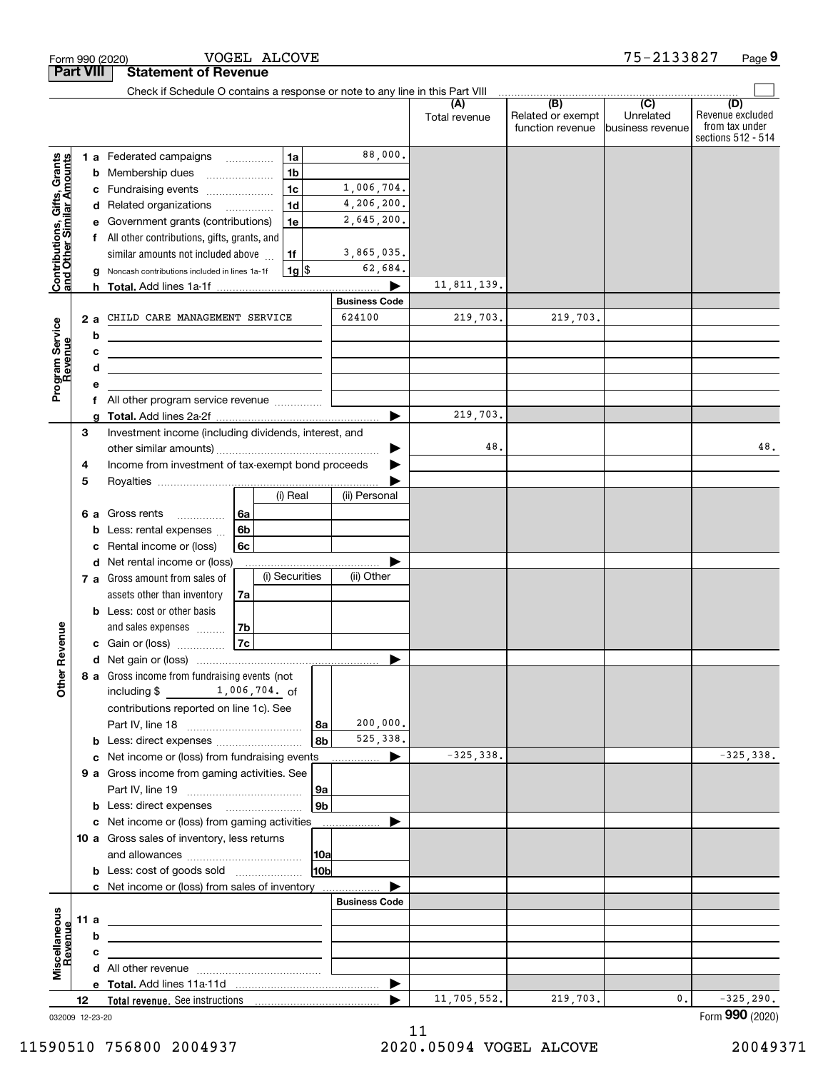|                                                           |      |                                                                                                                  | Form 990 (2020)                                                                                                       |          |                          | VOGEL ALCOVE   |                      |          |                      |                                       | 75-2133827                    | Page 9                                                   |
|-----------------------------------------------------------|------|------------------------------------------------------------------------------------------------------------------|-----------------------------------------------------------------------------------------------------------------------|----------|--------------------------|----------------|----------------------|----------|----------------------|---------------------------------------|-------------------------------|----------------------------------------------------------|
| <b>Part VIII</b>                                          |      |                                                                                                                  | <b>Statement of Revenue</b>                                                                                           |          |                          |                |                      |          |                      |                                       |                               |                                                          |
|                                                           |      |                                                                                                                  | Check if Schedule O contains a response or note to any line in this Part VIII                                         |          |                          |                |                      |          |                      | $\overline{(B)}$                      | $\overline{(C)}$              | (D)                                                      |
|                                                           |      |                                                                                                                  |                                                                                                                       |          |                          |                |                      |          | (A)<br>Total revenue | Related or exempt<br>function revenue | Unrelated<br>business revenue | Revenue excluded<br>from tax under<br>sections 512 - 514 |
|                                                           |      |                                                                                                                  | <b>1 a</b> Federated campaigns                                                                                        |          |                          | 1a             |                      | 88,000.  |                      |                                       |                               |                                                          |
| Contributions, Gifts, Grants<br>and Other Similar Amounts |      | b                                                                                                                | Membership dues                                                                                                       |          |                          | 1 <sub>b</sub> |                      |          |                      |                                       |                               |                                                          |
|                                                           |      | c                                                                                                                | Fundraising events <i></i>                                                                                            |          |                          | 1 <sub>c</sub> | 1,006,704.           |          |                      |                                       |                               |                                                          |
|                                                           |      | d                                                                                                                | Related organizations                                                                                                 |          | $\overline{\phantom{a}}$ | 1 <sub>d</sub> | 4,206,200.           |          |                      |                                       |                               |                                                          |
|                                                           |      |                                                                                                                  | Government grants (contributions)                                                                                     |          |                          | 1e             | 2,645,200.           |          |                      |                                       |                               |                                                          |
|                                                           |      |                                                                                                                  | All other contributions, gifts, grants, and                                                                           |          |                          |                |                      |          |                      |                                       |                               |                                                          |
|                                                           |      |                                                                                                                  | similar amounts not included above                                                                                    |          |                          | 1f             | 3,865,035.           |          |                      |                                       |                               |                                                          |
|                                                           |      | g                                                                                                                | Noncash contributions included in lines 1a-1f                                                                         |          |                          | $1g$ \$        |                      | 62,684.  |                      |                                       |                               |                                                          |
|                                                           |      |                                                                                                                  | <b>h</b> Total. Add lines 1a-1f                                                                                       |          |                          |                |                      |          | 11,811,139.          |                                       |                               |                                                          |
|                                                           |      |                                                                                                                  |                                                                                                                       |          |                          |                | <b>Business Code</b> |          |                      |                                       |                               |                                                          |
|                                                           |      | 2a                                                                                                               | CHILD CARE MANAGEMENT SERVICE                                                                                         |          |                          |                | 624100               |          | 219,703.             | 219,703.                              |                               |                                                          |
|                                                           |      | b                                                                                                                | <u> 1989 - Johann Barn, mars ann an t-Amhain Aonaich an t-Aonaich an t-Aonaich ann an t-Aonaich ann an t-Aonaich</u>  |          |                          |                |                      |          |                      |                                       |                               |                                                          |
|                                                           |      | с                                                                                                                | <u> 1999 - Johann Harry Harry Harry Harry Harry Harry Harry Harry Harry Harry Harry Harry Harry Harry Harry Harry</u> |          |                          |                |                      |          |                      |                                       |                               |                                                          |
| Program Service<br>Revenue                                |      | d                                                                                                                | <u> 1989 - Johann Stein, marwolaethau a bhann an t-Amhainn an t-Amhainn an t-Amhainn an t-Amhainn an t-Amhainn an</u> |          |                          |                |                      |          |                      |                                       |                               |                                                          |
|                                                           |      | f                                                                                                                | All other program service revenue                                                                                     |          |                          |                |                      |          |                      |                                       |                               |                                                          |
|                                                           |      |                                                                                                                  |                                                                                                                       |          |                          |                |                      |          | 219,703.             |                                       |                               |                                                          |
|                                                           | 3    |                                                                                                                  |                                                                                                                       |          |                          |                |                      |          |                      |                                       |                               |                                                          |
|                                                           |      | Investment income (including dividends, interest, and<br>Income from investment of tax-exempt bond proceeds<br>4 |                                                                                                                       |          |                          |                |                      |          | 48.                  |                                       |                               | 48.                                                      |
|                                                           |      |                                                                                                                  |                                                                                                                       |          |                          |                |                      |          |                      |                                       |                               |                                                          |
|                                                           | 5    |                                                                                                                  |                                                                                                                       |          |                          |                |                      |          |                      |                                       |                               |                                                          |
|                                                           |      |                                                                                                                  |                                                                                                                       |          |                          | (i) Real       | (ii) Personal        |          |                      |                                       |                               |                                                          |
|                                                           |      | 6а                                                                                                               | Gross rents                                                                                                           | 6a       |                          |                |                      |          |                      |                                       |                               |                                                          |
|                                                           |      |                                                                                                                  | Less: rental expenses                                                                                                 | 6b       |                          |                |                      |          |                      |                                       |                               |                                                          |
|                                                           |      |                                                                                                                  | Rental income or (loss)                                                                                               | 6c       |                          |                |                      |          |                      |                                       |                               |                                                          |
|                                                           |      |                                                                                                                  | d Net rental income or (loss)                                                                                         |          |                          |                |                      |          |                      |                                       |                               |                                                          |
|                                                           |      |                                                                                                                  | 7 a Gross amount from sales of                                                                                        |          |                          | (i) Securities | (ii) Other           |          |                      |                                       |                               |                                                          |
|                                                           |      |                                                                                                                  | assets other than inventory                                                                                           | 7a       |                          |                |                      |          |                      |                                       |                               |                                                          |
|                                                           |      |                                                                                                                  | <b>b</b> Less: cost or other basis                                                                                    |          |                          |                |                      |          |                      |                                       |                               |                                                          |
| evenue                                                    |      |                                                                                                                  | and sales expenses<br>c Gain or (loss)                                                                                | 7b<br>7c |                          |                |                      |          |                      |                                       |                               |                                                          |
|                                                           |      |                                                                                                                  |                                                                                                                       |          |                          |                |                      |          |                      |                                       |                               |                                                          |
| č                                                         |      |                                                                                                                  | 8 a Gross income from fundraising events (not                                                                         |          |                          |                |                      |          |                      |                                       |                               |                                                          |
| Other <sup>1</sup>                                        |      |                                                                                                                  | including \$ 1,006,704. of                                                                                            |          |                          |                |                      |          |                      |                                       |                               |                                                          |
|                                                           |      |                                                                                                                  | contributions reported on line 1c). See                                                                               |          |                          |                |                      |          |                      |                                       |                               |                                                          |
|                                                           |      |                                                                                                                  |                                                                                                                       |          |                          |                | ∣8a                  | 200,000. |                      |                                       |                               |                                                          |
|                                                           |      | b                                                                                                                |                                                                                                                       |          |                          |                | 8 <sub>b</sub>       | 525,338. |                      |                                       |                               |                                                          |
|                                                           |      |                                                                                                                  | c Net income or (loss) from fundraising events                                                                        |          |                          |                | .                    | ▶        | $-325,338.$          |                                       |                               | $-325,338.$                                              |
|                                                           |      |                                                                                                                  | 9 a Gross income from gaming activities. See                                                                          |          |                          |                |                      |          |                      |                                       |                               |                                                          |
|                                                           |      |                                                                                                                  |                                                                                                                       |          |                          |                | 9a                   |          |                      |                                       |                               |                                                          |
|                                                           |      |                                                                                                                  |                                                                                                                       |          |                          |                | 9 <sub>b</sub>       |          |                      |                                       |                               |                                                          |
|                                                           |      |                                                                                                                  | c Net income or (loss) from gaming activities                                                                         |          |                          |                |                      |          |                      |                                       |                               |                                                          |
|                                                           |      |                                                                                                                  | 10 a Gross sales of inventory, less returns                                                                           |          |                          |                |                      |          |                      |                                       |                               |                                                          |
|                                                           |      |                                                                                                                  |                                                                                                                       |          |                          |                | 10a                  |          |                      |                                       |                               |                                                          |
|                                                           |      |                                                                                                                  | <b>b</b> Less: cost of goods sold                                                                                     |          |                          |                | 10b                  |          |                      |                                       |                               |                                                          |
|                                                           |      |                                                                                                                  | c Net income or (loss) from sales of inventory                                                                        |          |                          |                | <b>Business Code</b> |          |                      |                                       |                               |                                                          |
|                                                           | 11 a |                                                                                                                  |                                                                                                                       |          |                          |                |                      |          |                      |                                       |                               |                                                          |
| Miscellaneous                                             |      | b                                                                                                                | <u> 1989 - Johann Barbara, martin amerikan basar dan berasal dalam basa dalam basar dalam basar dalam basa dalam</u>  |          |                          |                |                      |          |                      |                                       |                               |                                                          |
| Revenue                                                   |      | с                                                                                                                |                                                                                                                       |          |                          |                |                      |          |                      |                                       |                               |                                                          |
|                                                           |      |                                                                                                                  |                                                                                                                       |          |                          |                |                      |          |                      |                                       |                               |                                                          |
|                                                           |      |                                                                                                                  |                                                                                                                       |          |                          |                |                      | ▶        |                      |                                       |                               |                                                          |
|                                                           | 12   |                                                                                                                  |                                                                                                                       |          |                          |                |                      |          | 11,705,552.          | 219,703.                              | 0.                            | $-325, 290.$                                             |

032009 12-23-20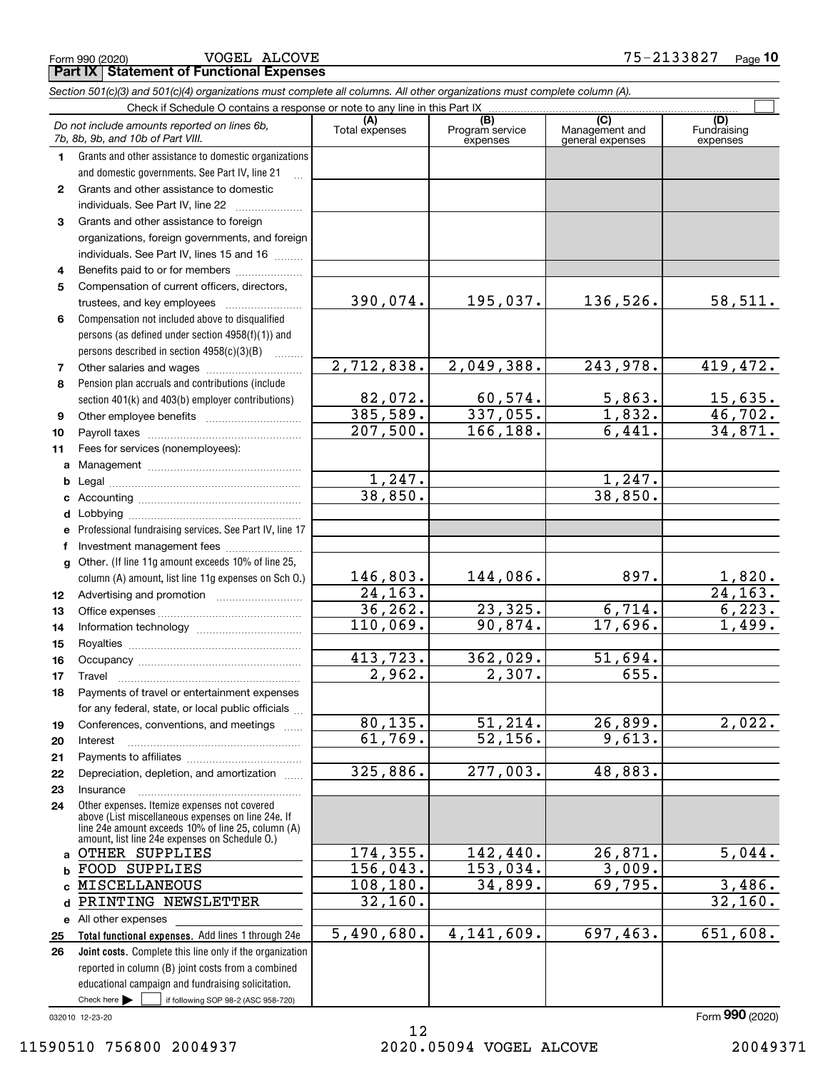Form 990 (2020) Page **Part IX Statement of Functional Expenses** VOGEL ALCOVE 75-2133827

*Section 501(c)(3) and 501(c)(4) organizations must complete all columns. All other organizations must complete column (A).*

|              | Do not include amounts reported on lines 6b,<br>7b, 8b, 9b, and 10b of Part VIII.                              | (A)<br>Total expenses | (B)<br>Program service<br>expenses | $\overline{C}$<br>Management and<br>general expenses | (D)<br>Fundraising<br>expenses |  |  |  |  |  |  |
|--------------|----------------------------------------------------------------------------------------------------------------|-----------------------|------------------------------------|------------------------------------------------------|--------------------------------|--|--|--|--|--|--|
| 1.           | Grants and other assistance to domestic organizations                                                          |                       |                                    |                                                      |                                |  |  |  |  |  |  |
|              | and domestic governments. See Part IV, line 21                                                                 |                       |                                    |                                                      |                                |  |  |  |  |  |  |
| $\mathbf{2}$ | Grants and other assistance to domestic                                                                        |                       |                                    |                                                      |                                |  |  |  |  |  |  |
|              | individuals. See Part IV, line 22                                                                              |                       |                                    |                                                      |                                |  |  |  |  |  |  |
| 3            | Grants and other assistance to foreign                                                                         |                       |                                    |                                                      |                                |  |  |  |  |  |  |
|              | organizations, foreign governments, and foreign                                                                |                       |                                    |                                                      |                                |  |  |  |  |  |  |
|              | individuals. See Part IV, lines 15 and 16                                                                      |                       |                                    |                                                      |                                |  |  |  |  |  |  |
| 4            | Benefits paid to or for members                                                                                |                       |                                    |                                                      |                                |  |  |  |  |  |  |
| 5            | Compensation of current officers, directors,                                                                   |                       |                                    |                                                      |                                |  |  |  |  |  |  |
|              | trustees, and key employees                                                                                    | 390,074.              | 195,037.                           | 136,526.                                             | 58,511.                        |  |  |  |  |  |  |
| 6            | Compensation not included above to disqualified                                                                |                       |                                    |                                                      |                                |  |  |  |  |  |  |
|              | persons (as defined under section 4958(f)(1)) and                                                              |                       |                                    |                                                      |                                |  |  |  |  |  |  |
|              | persons described in section 4958(c)(3)(B)<br>1.1.1.1.1.1.1                                                    |                       |                                    |                                                      |                                |  |  |  |  |  |  |
| 7            | Other salaries and wages                                                                                       | 2,712,838.            | 2,049,388.                         | 243,978.                                             | 419,472.                       |  |  |  |  |  |  |
| 8            | Pension plan accruals and contributions (include                                                               |                       |                                    |                                                      |                                |  |  |  |  |  |  |
|              | section 401(k) and 403(b) employer contributions)                                                              | 82,072.               | 60,574.                            | 5,863.                                               | <u>15,635.</u>                 |  |  |  |  |  |  |
| 9            |                                                                                                                | 385,589.              | 337,055.                           | 1,832.                                               | 46,702.                        |  |  |  |  |  |  |
| 10           |                                                                                                                | 207,500.              | 166, 188.                          | 6,441.                                               | 34,871.                        |  |  |  |  |  |  |
| 11           | Fees for services (nonemployees):                                                                              |                       |                                    |                                                      |                                |  |  |  |  |  |  |
| a            |                                                                                                                |                       |                                    |                                                      |                                |  |  |  |  |  |  |
| b            |                                                                                                                | 1,247.                |                                    | 1,247.                                               |                                |  |  |  |  |  |  |
| c            |                                                                                                                | 38,850.               |                                    | 38,850.                                              |                                |  |  |  |  |  |  |
| d            |                                                                                                                |                       |                                    |                                                      |                                |  |  |  |  |  |  |
| e            | Professional fundraising services. See Part IV, line 17                                                        |                       |                                    |                                                      |                                |  |  |  |  |  |  |
| f            | Investment management fees                                                                                     |                       |                                    |                                                      |                                |  |  |  |  |  |  |
| $\mathbf{q}$ | Other. (If line 11g amount exceeds 10% of line 25,                                                             |                       |                                    |                                                      |                                |  |  |  |  |  |  |
|              | column (A) amount, list line 11g expenses on Sch 0.)                                                           | 146,803.              | 144,086.                           | 897.                                                 | <u>1,820.</u>                  |  |  |  |  |  |  |
| 12           |                                                                                                                | 24, 163.              |                                    |                                                      | 24, 163.                       |  |  |  |  |  |  |
| 13           |                                                                                                                | 36, 262.              | 23,325.                            | 6,714.                                               | 6,223.                         |  |  |  |  |  |  |
| 14           |                                                                                                                | 110,069.              | 90,874.                            | 17,696.                                              | 1,499.                         |  |  |  |  |  |  |
| 15           |                                                                                                                |                       |                                    |                                                      |                                |  |  |  |  |  |  |
| 16           |                                                                                                                | 413,723.              | 362,029.                           | $\overline{51,694}$ .                                |                                |  |  |  |  |  |  |
| 17           | Travel                                                                                                         | 2,962.                | 2,307.                             | 655.                                                 |                                |  |  |  |  |  |  |
| 18           | Payments of travel or entertainment expenses                                                                   |                       |                                    |                                                      |                                |  |  |  |  |  |  |
|              | for any federal, state, or local public officials                                                              |                       |                                    |                                                      |                                |  |  |  |  |  |  |
| 19           | Conferences, conventions, and meetings                                                                         | 80, 135.              | 51,214.                            | 26,899.                                              | 2,022.                         |  |  |  |  |  |  |
| 20           | Interest                                                                                                       | 61,769.               | $\overline{52,156}$ .              | 9,613.                                               |                                |  |  |  |  |  |  |
| 21           |                                                                                                                |                       |                                    |                                                      |                                |  |  |  |  |  |  |
| 22           | Depreciation, depletion, and amortization                                                                      | 325,886.              | 277,003.                           | 48,883.                                              |                                |  |  |  |  |  |  |
| 23           | Insurance                                                                                                      |                       |                                    |                                                      |                                |  |  |  |  |  |  |
| 24           | Other expenses. Itemize expenses not covered<br>above (List miscellaneous expenses on line 24e. If             |                       |                                    |                                                      |                                |  |  |  |  |  |  |
|              | line 24e amount exceeds 10% of line 25, column (A)                                                             |                       |                                    |                                                      |                                |  |  |  |  |  |  |
|              | amount, list line 24e expenses on Schedule O.)<br>OTHER SUPPLIES                                               | 174, 355.             | 142,440.                           | 26,871.                                              | 5,044.                         |  |  |  |  |  |  |
| a            |                                                                                                                | 156,043.              | 153,034.                           | 3,009.                                               |                                |  |  |  |  |  |  |
| b            | FOOD SUPPLIES<br>MISCELLANEOUS                                                                                 | 108, 180.             | 34,899.                            | 69,795.                                              | 3,486.                         |  |  |  |  |  |  |
| c            | PRINTING NEWSLETTER                                                                                            | 32,160.               |                                    |                                                      | 32,160.                        |  |  |  |  |  |  |
| d            |                                                                                                                |                       |                                    |                                                      |                                |  |  |  |  |  |  |
|              | e All other expenses                                                                                           | 5,490,680.            | 4, 141, 609.                       | 697, 463.                                            | 651,608.                       |  |  |  |  |  |  |
| 25           | Total functional expenses. Add lines 1 through 24e<br>Joint costs. Complete this line only if the organization |                       |                                    |                                                      |                                |  |  |  |  |  |  |
| 26           |                                                                                                                |                       |                                    |                                                      |                                |  |  |  |  |  |  |
|              | reported in column (B) joint costs from a combined<br>educational campaign and fundraising solicitation.       |                       |                                    |                                                      |                                |  |  |  |  |  |  |
|              | Check here $\blacktriangleright$<br>if following SOP 98-2 (ASC 958-720)                                        |                       |                                    |                                                      |                                |  |  |  |  |  |  |
|              |                                                                                                                |                       |                                    |                                                      |                                |  |  |  |  |  |  |

032010 12-23-20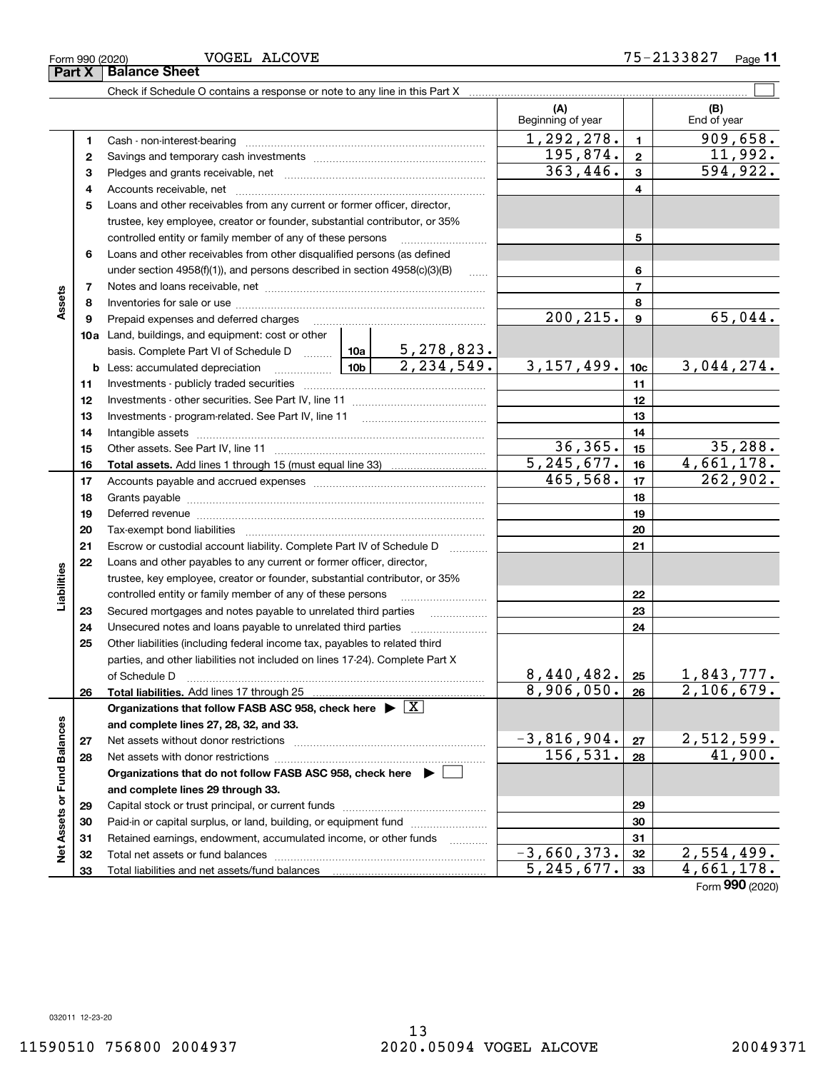**33**

VOGEL ALCOVE

**Part X** Balance Sheet

Check if Schedule O contains a response or note to any line in this Part X

Beginning of year | | End of year  $1,292,278.$   $1$  909,658. **11**Cash - non-interest-bearing ~~~~~~~~~~~~~~~~~~~~~~~~~  $195,874. | z | 11,992.$ **22**Savings and temporary cash investments ~~~~~~~~~~~~~~~~~~ $363,446.$   $3 \mid 594,922.$ **33** Pledges and grants receivable, net  $\ldots$  **multimes contained and grants receivable**, net **multimes contained and grants receivable**, net **multimes contained and grants receivable** Accounts receivable, net ~~~~~~~~~~~~~~~~~~~~~~~~~~ **445**Loans and other receivables from any current or former officer, director, trustee, key employee, creator or founder, substantial contributor, or 35% controlled entity or family member of any of these persons ............................ **5**Loans and other receivables from other disqualified persons (as defined **6**under section  $4958(f)(1)$ , and persons described in section  $4958(c)(3)(B)$ **677**Notes and loans receivable, net ~~~~~~~~~~~~~~~~~~~~~~~**Assets 88**Inventories for sale or use ~~~~~~~~~~~~~~~~~~~~~~~~~~  $200, 215.$  | 9 | 65,044. **99**Prepaid expenses and deferred charges ~~~~~~~~~~~~~~~~~~ **10a**Land, buildings, and equipment: cost or other 5,278,823. basis. Complete Part VI of Schedule D will aller  $2,234,549.$  3,157,499.  $\vert \cdot \vert$  3,044,274. **10cb** Less: accumulated depreciation  $\ldots$  **10b 1111**Investments - publicly traded securities ~~~~~~~~~~~~~~~~~~~ **1212**Investments - other securities. See Part IV, line 11 ~~~~~~~~~~~~~~ **1313**Investments - program-related. See Part IV, line 11 [2010] [2010] [2010] [2010] [2010] [2010] [2010] [2010] [2 **1414**Intangible assets ~~~~~~~~~~~~~~~~~~~~~~~~~~~~~~ Other assets. See Part IV, line 11 ~~~~~~~~~~~~~~~~~~~~~~  $36,365.$   $15$  35,288. **1515** $5,245,677.$  16 4,661,178. **1616Total assets.**  Add lines 1 through 15 (must equal line 33)  $465,568.$   $17$  262,902. **1717**Accounts payable and accrued expenses ~~~~~~~~~~~~~~~~~~ **1818**Grants payable ~~~~~~~~~~~~~~~~~~~~~~~~~~~~~~~ **1919**Deferred revenue ~~~~~~~~~~~~~~~~~~~~~~~~~~~~~~ **2020**Tax-exempt bond liabilities …………………………………………………………… Escrow or custodial account liability. Complete Part IV of Schedule D **212122**Loans and other payables to any current or former officer, director, iabilities **Liabilities** trustee, key employee, creator or founder, substantial contributor, or 35% controlled entity or family member of any of these persons ~~~~~~~~~**2223**Secured mortgages and notes payable to unrelated third parties **23**Unsecured notes and loans payable to unrelated third parties **242425**Other liabilities (including federal income tax, payables to related third parties, and other liabilities not included on lines 17-24). Complete Part X  $8,440,482.$  |  $25$  | 1,843,777. **25**of Schedule D ~~~~~~~~~~~~~~~~~~~~~~~~~~~~~~~  $8,906,050. |26 | 2,106,679.$ **2626Total liabilities.**  Add lines 17 through 25 **Organizations that follow FASB ASC 958, check here** | X Assets or Fund Balances **Net Assets or Fund Balances and complete lines 27, 28, 32, and 33.**  $-3,816,904. |z_7|$  2,512,599. **2727**Net assets without donor restrictions ~~~~~~~~~~~~~~~~~~~~  $156,531. |28$  41,900. **2828**Net assets with donor restrictions ~~~~~~~~~~~~~~~~~~~~~~ **Organizations that do not follow FASB ASC 958, check here** | **and complete lines 29 through 33. 2929**Capital stock or trust principal, or current funds ~~~~~~~~~~~~~~~**3030**Paid-in or capital surplus, or land, building, or equipment fund www.commun.com **3131**Retained earnings, endowment, accumulated income, or other funds www.com ğ Total net assets or fund balances ~~~~~~~~~~~~~~~~~~~~~~  $-3,660,373.$   $32 \mid 2,554,499.$ **3232** $5,245,677.$  33 4,661,178. Total liabilities and net assets/fund balances **33**

 $\mathcal{L}^{\text{max}}$ 

**(A) (B)**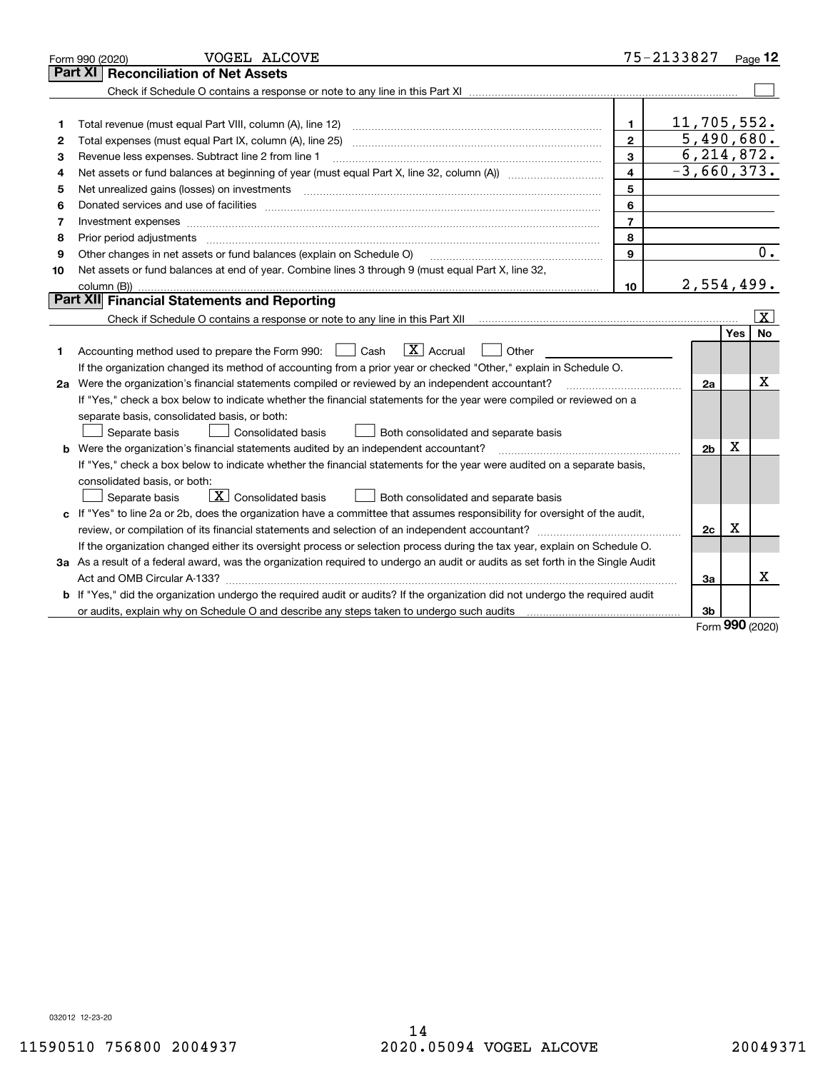|    | VOGEL ALCOVE<br>Form 990 (2020)                                                                                                                                                                                                |                         | 75-2133827              |      | Page 12               |
|----|--------------------------------------------------------------------------------------------------------------------------------------------------------------------------------------------------------------------------------|-------------------------|-------------------------|------|-----------------------|
|    | <b>Reconciliation of Net Assets</b><br><b>Part XI</b>                                                                                                                                                                          |                         |                         |      |                       |
|    |                                                                                                                                                                                                                                |                         |                         |      |                       |
|    |                                                                                                                                                                                                                                |                         |                         |      |                       |
| 1  | Total revenue (must equal Part VIII, column (A), line 12)                                                                                                                                                                      | 1.                      | 11,705,552.             |      |                       |
| 2  |                                                                                                                                                                                                                                | $\overline{2}$          | 5,490,680.              |      |                       |
| з  | Revenue less expenses. Subtract line 2 from line 1                                                                                                                                                                             | 3                       | $\overline{6,214},872.$ |      |                       |
| 4  |                                                                                                                                                                                                                                | $\overline{\mathbf{4}}$ | $-3,660,373.$           |      |                       |
| 5  | Net unrealized gains (losses) on investments [11] [12] [12] [13] [13] [13] [13] [14] [15] [15] [15] [15] [15] [                                                                                                                | 5                       |                         |      |                       |
| 6  | Donated services and use of facilities [111] matter contracts and the facilities in the matter of facilities [11] matter contracts and use of facilities [11] matter contracts and the service of the service of the service o | 6                       |                         |      |                       |
| 7  |                                                                                                                                                                                                                                | $\overline{7}$          |                         |      |                       |
| 8  | Prior period adjustments                                                                                                                                                                                                       | 8                       |                         |      |                       |
| 9  | Other changes in net assets or fund balances (explain on Schedule O)                                                                                                                                                           | 9                       |                         |      | 0.                    |
| 10 | Net assets or fund balances at end of year. Combine lines 3 through 9 (must equal Part X, line 32,                                                                                                                             |                         |                         |      |                       |
|    |                                                                                                                                                                                                                                | 10                      | 2,554,499.              |      |                       |
|    | Part XII Financial Statements and Reporting                                                                                                                                                                                    |                         |                         |      |                       |
|    |                                                                                                                                                                                                                                |                         |                         |      | $\overline{\text{X}}$ |
|    |                                                                                                                                                                                                                                |                         |                         | Yes  | <b>No</b>             |
| 1  | $\boxed{\mathbf{X}}$ Accrual<br>Accounting method used to prepare the Form 990: <u>June</u> Cash<br>Other                                                                                                                      |                         |                         |      |                       |
|    | If the organization changed its method of accounting from a prior year or checked "Other," explain in Schedule O.                                                                                                              |                         |                         |      |                       |
|    | 2a Were the organization's financial statements compiled or reviewed by an independent accountant?                                                                                                                             |                         | 2a                      |      | x                     |
|    | If "Yes," check a box below to indicate whether the financial statements for the year were compiled or reviewed on a                                                                                                           |                         |                         |      |                       |
|    | separate basis, consolidated basis, or both:                                                                                                                                                                                   |                         |                         |      |                       |
|    | Separate basis<br>Consolidated basis<br>Both consolidated and separate basis                                                                                                                                                   |                         |                         |      |                       |
|    | <b>b</b> Were the organization's financial statements audited by an independent accountant?                                                                                                                                    |                         | 2 <sub>b</sub>          | х    |                       |
|    | If "Yes," check a box below to indicate whether the financial statements for the year were audited on a separate basis,                                                                                                        |                         |                         |      |                       |
|    | consolidated basis, or both:                                                                                                                                                                                                   |                         |                         |      |                       |
|    | $\mathbf{X}$ Consolidated basis<br>Separate basis<br>Both consolidated and separate basis                                                                                                                                      |                         |                         |      |                       |
|    | c If "Yes" to line 2a or 2b, does the organization have a committee that assumes responsibility for oversight of the audit,                                                                                                    |                         |                         |      |                       |
|    |                                                                                                                                                                                                                                |                         | 2c                      | х    |                       |
|    | If the organization changed either its oversight process or selection process during the tax year, explain on Schedule O.                                                                                                      |                         |                         |      |                       |
|    | 3a As a result of a federal award, was the organization required to undergo an audit or audits as set forth in the Single Audit                                                                                                |                         |                         |      |                       |
|    |                                                                                                                                                                                                                                |                         | За                      |      | X                     |
|    | b If "Yes," did the organization undergo the required audit or audits? If the organization did not undergo the required audit                                                                                                  |                         |                         |      |                       |
|    |                                                                                                                                                                                                                                |                         | 3b                      | nnn. |                       |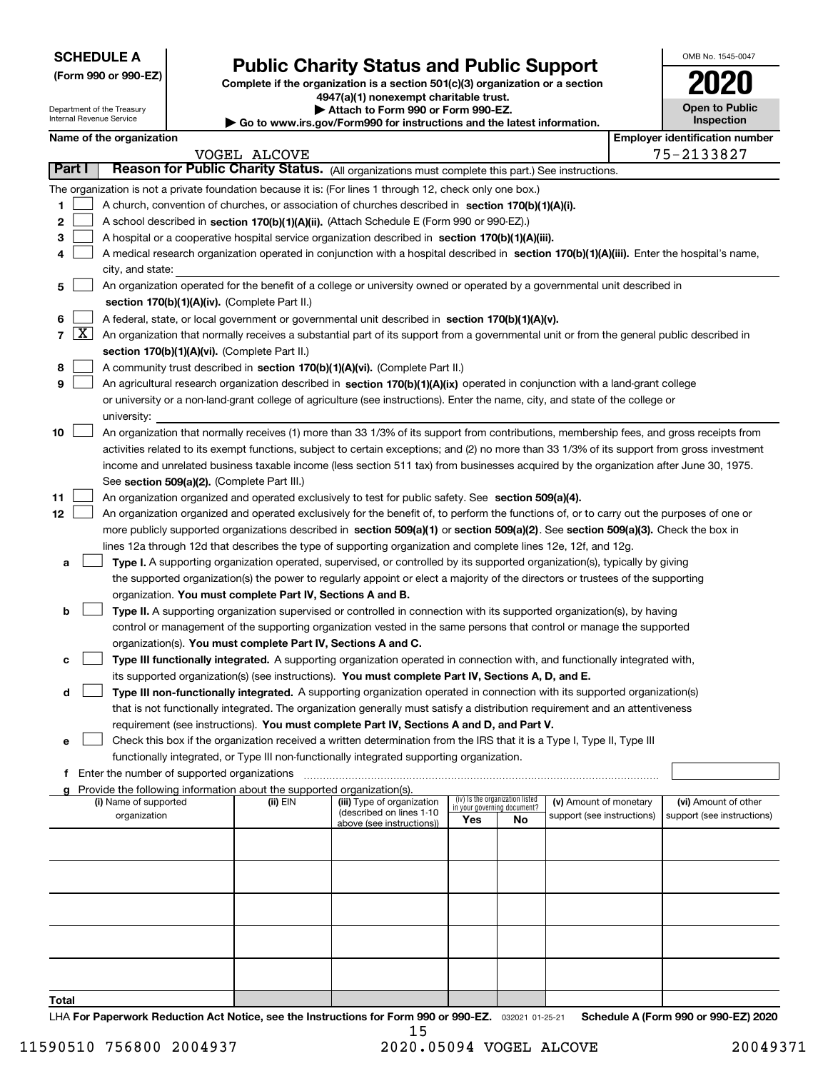| <b>SCHEDULE A</b> |  |
|-------------------|--|
|-------------------|--|

Department of the Treasury

| (Form 990 or 990-EZ) |  |  |  |  |
|----------------------|--|--|--|--|
|----------------------|--|--|--|--|

## **Public Charity Status and Public Support**

**Complete if the organization is a section 501(c)(3) organization or a section 4947(a)(1) nonexempt charitable trust. | Attach to Form 990 or Form 990-EZ.** 

| www.irs.gov/Form990 for instructions and the latest information. |  |  |
|------------------------------------------------------------------|--|--|
|                                                                  |  |  |

| OMB No. 1545-0047     |
|-----------------------|
| 2020                  |
| <b>Open to Public</b> |

|               |                       | Internal Revenue Service |                                               |                                                                                                                                           | $\blacktriangleright$ Go to www.irs.gov/Form990 for instructions and the latest information.                                                 |     |                                          |                            |  |  | <b>Inspection</b>                     |
|---------------|-----------------------|--------------------------|-----------------------------------------------|-------------------------------------------------------------------------------------------------------------------------------------------|----------------------------------------------------------------------------------------------------------------------------------------------|-----|------------------------------------------|----------------------------|--|--|---------------------------------------|
|               |                       | Name of the organization |                                               |                                                                                                                                           |                                                                                                                                              |     |                                          |                            |  |  | <b>Employer identification number</b> |
|               |                       |                          |                                               | VOGEL ALCOVE                                                                                                                              |                                                                                                                                              |     |                                          |                            |  |  | 75-2133827                            |
| <b>Part I</b> |                       |                          |                                               |                                                                                                                                           | Reason for Public Charity Status. (All organizations must complete this part.) See instructions.                                             |     |                                          |                            |  |  |                                       |
|               |                       |                          |                                               |                                                                                                                                           | The organization is not a private foundation because it is: (For lines 1 through 12, check only one box.)                                    |     |                                          |                            |  |  |                                       |
| 1             |                       |                          |                                               |                                                                                                                                           | A church, convention of churches, or association of churches described in section 170(b)(1)(A)(i).                                           |     |                                          |                            |  |  |                                       |
| 2             |                       |                          |                                               |                                                                                                                                           | A school described in section 170(b)(1)(A)(ii). (Attach Schedule E (Form 990 or 990-EZ).)                                                    |     |                                          |                            |  |  |                                       |
| з             |                       |                          |                                               |                                                                                                                                           | A hospital or a cooperative hospital service organization described in section 170(b)(1)(A)(iii).                                            |     |                                          |                            |  |  |                                       |
| 4             |                       |                          |                                               |                                                                                                                                           | A medical research organization operated in conjunction with a hospital described in section 170(b)(1)(A)(iii). Enter the hospital's name,   |     |                                          |                            |  |  |                                       |
|               |                       | city, and state:         |                                               |                                                                                                                                           |                                                                                                                                              |     |                                          |                            |  |  |                                       |
| 5             |                       |                          |                                               |                                                                                                                                           | An organization operated for the benefit of a college or university owned or operated by a governmental unit described in                    |     |                                          |                            |  |  |                                       |
|               |                       |                          |                                               | section 170(b)(1)(A)(iv). (Complete Part II.)                                                                                             |                                                                                                                                              |     |                                          |                            |  |  |                                       |
| 6             |                       |                          |                                               | A federal, state, or local government or governmental unit described in section 170(b)(1)(A)(v).                                          |                                                                                                                                              |     |                                          |                            |  |  |                                       |
|               | 7 $\lfloor x \rfloor$ |                          |                                               | An organization that normally receives a substantial part of its support from a governmental unit or from the general public described in |                                                                                                                                              |     |                                          |                            |  |  |                                       |
|               |                       |                          |                                               | section 170(b)(1)(A)(vi). (Complete Part II.)                                                                                             |                                                                                                                                              |     |                                          |                            |  |  |                                       |
| 8             |                       |                          |                                               |                                                                                                                                           | A community trust described in section 170(b)(1)(A)(vi). (Complete Part II.)                                                                 |     |                                          |                            |  |  |                                       |
| 9             |                       |                          |                                               |                                                                                                                                           | An agricultural research organization described in section 170(b)(1)(A)(ix) operated in conjunction with a land-grant college                |     |                                          |                            |  |  |                                       |
|               |                       |                          |                                               |                                                                                                                                           | or university or a non-land-grant college of agriculture (see instructions). Enter the name, city, and state of the college or               |     |                                          |                            |  |  |                                       |
|               |                       | university:              |                                               |                                                                                                                                           |                                                                                                                                              |     |                                          |                            |  |  |                                       |
| 10            |                       |                          |                                               |                                                                                                                                           | An organization that normally receives (1) more than 33 1/3% of its support from contributions, membership fees, and gross receipts from     |     |                                          |                            |  |  |                                       |
|               |                       |                          |                                               |                                                                                                                                           | activities related to its exempt functions, subject to certain exceptions; and (2) no more than 33 1/3% of its support from gross investment |     |                                          |                            |  |  |                                       |
|               |                       |                          |                                               |                                                                                                                                           | income and unrelated business taxable income (less section 511 tax) from businesses acquired by the organization after June 30, 1975.        |     |                                          |                            |  |  |                                       |
|               |                       |                          |                                               | See section 509(a)(2). (Complete Part III.)                                                                                               |                                                                                                                                              |     |                                          |                            |  |  |                                       |
| 11            |                       |                          |                                               |                                                                                                                                           | An organization organized and operated exclusively to test for public safety. See section 509(a)(4).                                         |     |                                          |                            |  |  |                                       |
| 12            |                       |                          |                                               |                                                                                                                                           | An organization organized and operated exclusively for the benefit of, to perform the functions of, or to carry out the purposes of one or   |     |                                          |                            |  |  |                                       |
|               |                       |                          |                                               |                                                                                                                                           | more publicly supported organizations described in section 509(a)(1) or section 509(a)(2). See section 509(a)(3). Check the box in           |     |                                          |                            |  |  |                                       |
|               |                       |                          |                                               |                                                                                                                                           | lines 12a through 12d that describes the type of supporting organization and complete lines 12e, 12f, and 12g.                               |     |                                          |                            |  |  |                                       |
| а             |                       |                          |                                               |                                                                                                                                           | Type I. A supporting organization operated, supervised, or controlled by its supported organization(s), typically by giving                  |     |                                          |                            |  |  |                                       |
|               |                       |                          |                                               |                                                                                                                                           | the supported organization(s) the power to regularly appoint or elect a majority of the directors or trustees of the supporting              |     |                                          |                            |  |  |                                       |
|               |                       |                          |                                               | organization. You must complete Part IV, Sections A and B.                                                                                |                                                                                                                                              |     |                                          |                            |  |  |                                       |
| b             |                       |                          |                                               |                                                                                                                                           | Type II. A supporting organization supervised or controlled in connection with its supported organization(s), by having                      |     |                                          |                            |  |  |                                       |
|               |                       |                          |                                               |                                                                                                                                           | control or management of the supporting organization vested in the same persons that control or manage the supported                         |     |                                          |                            |  |  |                                       |
|               |                       |                          |                                               | organization(s). You must complete Part IV, Sections A and C.                                                                             |                                                                                                                                              |     |                                          |                            |  |  |                                       |
| с             |                       |                          |                                               |                                                                                                                                           | Type III functionally integrated. A supporting organization operated in connection with, and functionally integrated with,                   |     |                                          |                            |  |  |                                       |
|               |                       |                          |                                               |                                                                                                                                           | its supported organization(s) (see instructions). You must complete Part IV, Sections A, D, and E.                                           |     |                                          |                            |  |  |                                       |
| d             |                       |                          |                                               |                                                                                                                                           | Type III non-functionally integrated. A supporting organization operated in connection with its supported organization(s)                    |     |                                          |                            |  |  |                                       |
|               |                       |                          |                                               |                                                                                                                                           | that is not functionally integrated. The organization generally must satisfy a distribution requirement and an attentiveness                 |     |                                          |                            |  |  |                                       |
|               |                       |                          |                                               |                                                                                                                                           | requirement (see instructions). You must complete Part IV, Sections A and D, and Part V.                                                     |     |                                          |                            |  |  |                                       |
| е             |                       |                          |                                               |                                                                                                                                           | Check this box if the organization received a written determination from the IRS that it is a Type I, Type II, Type III                      |     |                                          |                            |  |  |                                       |
|               |                       |                          |                                               |                                                                                                                                           | functionally integrated, or Type III non-functionally integrated supporting organization.                                                    |     |                                          |                            |  |  |                                       |
|               |                       |                          | f Enter the number of supported organizations |                                                                                                                                           |                                                                                                                                              |     |                                          |                            |  |  |                                       |
|               |                       | (i) Name of supported    |                                               | Provide the following information about the supported organization(s).<br>(ii) EIN                                                        | (iii) Type of organization                                                                                                                   |     | (iv) Is the organization listed          | (v) Amount of monetary     |  |  | (vi) Amount of other                  |
|               |                       | organization             |                                               |                                                                                                                                           | (described on lines 1-10                                                                                                                     | Yes | in your governing document?<br><b>No</b> | support (see instructions) |  |  | support (see instructions)            |
|               |                       |                          |                                               |                                                                                                                                           | above (see instructions))                                                                                                                    |     |                                          |                            |  |  |                                       |
|               |                       |                          |                                               |                                                                                                                                           |                                                                                                                                              |     |                                          |                            |  |  |                                       |
|               |                       |                          |                                               |                                                                                                                                           |                                                                                                                                              |     |                                          |                            |  |  |                                       |
|               |                       |                          |                                               |                                                                                                                                           |                                                                                                                                              |     |                                          |                            |  |  |                                       |
|               |                       |                          |                                               |                                                                                                                                           |                                                                                                                                              |     |                                          |                            |  |  |                                       |
|               |                       |                          |                                               |                                                                                                                                           |                                                                                                                                              |     |                                          |                            |  |  |                                       |
|               |                       |                          |                                               |                                                                                                                                           |                                                                                                                                              |     |                                          |                            |  |  |                                       |
|               |                       |                          |                                               |                                                                                                                                           |                                                                                                                                              |     |                                          |                            |  |  |                                       |
|               |                       |                          |                                               |                                                                                                                                           |                                                                                                                                              |     |                                          |                            |  |  |                                       |
|               |                       |                          |                                               |                                                                                                                                           |                                                                                                                                              |     |                                          |                            |  |  |                                       |
| Total         |                       |                          |                                               |                                                                                                                                           |                                                                                                                                              |     |                                          |                            |  |  |                                       |
|               |                       |                          |                                               |                                                                                                                                           |                                                                                                                                              |     |                                          |                            |  |  |                                       |

LHA For Paperwork Reduction Act Notice, see the Instructions for Form 990 or 990-EZ. <sub>032021</sub> o1-25-21 Schedule A (Form 990 or 990-EZ) 2020 15

٦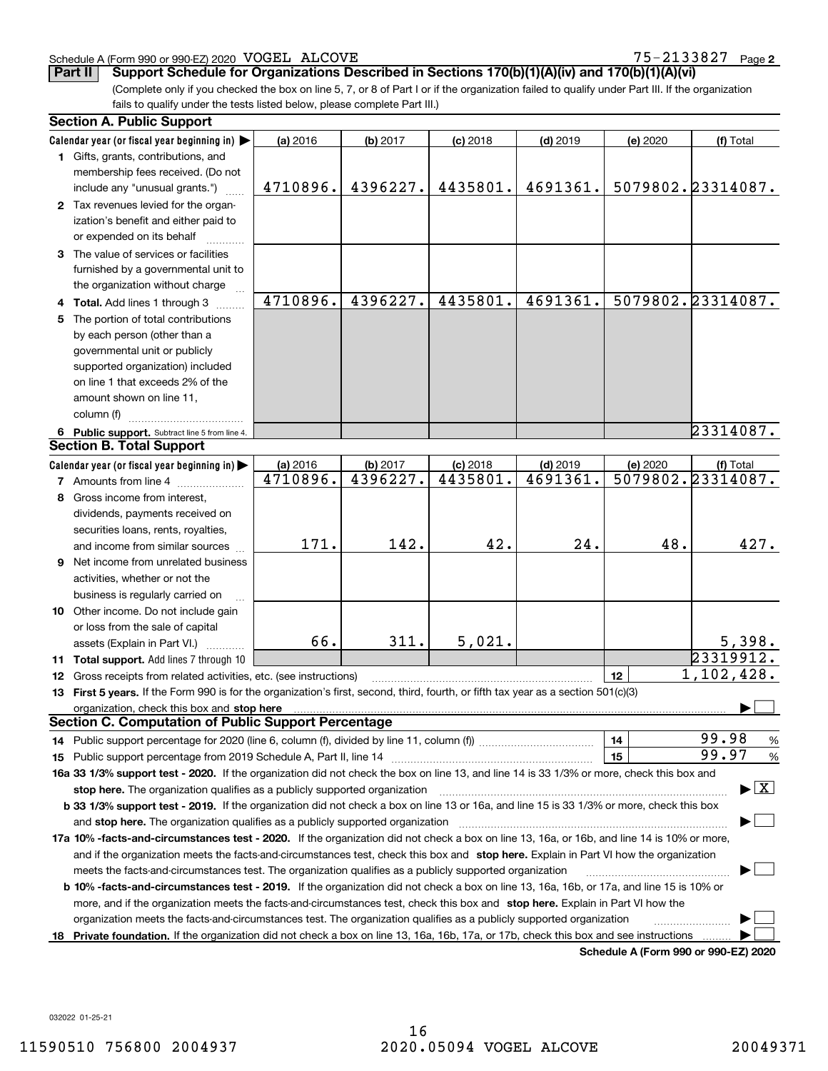### Schedule A (Form 990 or 990-EZ) 2020 Page VOGEL ALCOVE 75-2133827

**2**

**Part II** Support Schedule for Organizations Described in Sections 170(b)(1)(A)(iv) and 170(b)(1)(A)(vi)

(Complete only if you checked the box on line 5, 7, or 8 of Part I or if the organization failed to qualify under Part III. If the organization fails to qualify under the tests listed below, please complete Part III.)

|    | <b>Section A. Public Support</b>                                                                                                                                                                                               |          |          |            |            |          |                                          |
|----|--------------------------------------------------------------------------------------------------------------------------------------------------------------------------------------------------------------------------------|----------|----------|------------|------------|----------|------------------------------------------|
|    | Calendar year (or fiscal year beginning in)                                                                                                                                                                                    | (a) 2016 | (b) 2017 | $(c)$ 2018 | $(d)$ 2019 | (e) 2020 | (f) Total                                |
|    | 1 Gifts, grants, contributions, and                                                                                                                                                                                            |          |          |            |            |          |                                          |
|    | membership fees received. (Do not                                                                                                                                                                                              |          |          |            |            |          |                                          |
|    | include any "unusual grants.")                                                                                                                                                                                                 | 4710896. | 4396227. | 4435801.   | 4691361.   |          | 5079802.23314087.                        |
|    | 2 Tax revenues levied for the organ-                                                                                                                                                                                           |          |          |            |            |          |                                          |
|    | ization's benefit and either paid to                                                                                                                                                                                           |          |          |            |            |          |                                          |
|    | or expended on its behalf                                                                                                                                                                                                      |          |          |            |            |          |                                          |
|    | 3 The value of services or facilities                                                                                                                                                                                          |          |          |            |            |          |                                          |
|    | furnished by a governmental unit to                                                                                                                                                                                            |          |          |            |            |          |                                          |
|    | the organization without charge                                                                                                                                                                                                |          |          |            |            |          |                                          |
|    | 4 Total. Add lines 1 through 3                                                                                                                                                                                                 | 4710896. | 4396227. | 4435801.   | 4691361.   |          | 5079802.23314087.                        |
| 5. | The portion of total contributions                                                                                                                                                                                             |          |          |            |            |          |                                          |
|    | by each person (other than a                                                                                                                                                                                                   |          |          |            |            |          |                                          |
|    | governmental unit or publicly                                                                                                                                                                                                  |          |          |            |            |          |                                          |
|    | supported organization) included                                                                                                                                                                                               |          |          |            |            |          |                                          |
|    | on line 1 that exceeds 2% of the                                                                                                                                                                                               |          |          |            |            |          |                                          |
|    | amount shown on line 11,                                                                                                                                                                                                       |          |          |            |            |          |                                          |
|    | column (f)                                                                                                                                                                                                                     |          |          |            |            |          |                                          |
|    | 6 Public support. Subtract line 5 from line 4.                                                                                                                                                                                 |          |          |            |            |          | 23314087.                                |
|    | <b>Section B. Total Support</b>                                                                                                                                                                                                |          |          |            |            |          |                                          |
|    | Calendar year (or fiscal year beginning in)                                                                                                                                                                                    | (a) 2016 | (b) 2017 | $(c)$ 2018 | $(d)$ 2019 | (e) 2020 | (f) Total                                |
|    | <b>7</b> Amounts from line 4                                                                                                                                                                                                   | 4710896. | 4396227. | 4435801.   | 4691361.   |          | 5079802.23314087.                        |
|    | 8 Gross income from interest,                                                                                                                                                                                                  |          |          |            |            |          |                                          |
|    | dividends, payments received on                                                                                                                                                                                                |          |          |            |            |          |                                          |
|    | securities loans, rents, royalties,                                                                                                                                                                                            |          |          |            |            |          |                                          |
|    | and income from similar sources                                                                                                                                                                                                | 171.     | 142.     | 42.        | 24.        | 48.      | 427.                                     |
|    | <b>9</b> Net income from unrelated business                                                                                                                                                                                    |          |          |            |            |          |                                          |
|    | activities, whether or not the                                                                                                                                                                                                 |          |          |            |            |          |                                          |
|    | business is regularly carried on                                                                                                                                                                                               |          |          |            |            |          |                                          |
|    | 10 Other income. Do not include gain                                                                                                                                                                                           |          |          |            |            |          |                                          |
|    | or loss from the sale of capital                                                                                                                                                                                               |          |          |            |            |          |                                          |
|    | assets (Explain in Part VI.)                                                                                                                                                                                                   | 66.      | 311.     | 5,021.     |            |          | 5,398.                                   |
|    | 11 Total support. Add lines 7 through 10                                                                                                                                                                                       |          |          |            |            |          | 23319912.                                |
|    | 12 Gross receipts from related activities, etc. (see instructions)                                                                                                                                                             |          |          |            |            | 12       | 1,102,428.                               |
|    | 13 First 5 years. If the Form 990 is for the organization's first, second, third, fourth, or fifth tax year as a section 501(c)(3)                                                                                             |          |          |            |            |          |                                          |
|    | organization, check this box and stop here manufactured and stop here and stop here are all the contractions of the state of the state of the contract of the state of the state of the state of the state of the state of the |          |          |            |            |          |                                          |
|    | <b>Section C. Computation of Public Support Percentage</b>                                                                                                                                                                     |          |          |            |            |          |                                          |
|    | 14 Public support percentage for 2020 (line 6, column (f), divided by line 11, column (f) <i>mummumumum</i>                                                                                                                    |          |          |            |            | 14       | 99.98<br>$\%$                            |
|    |                                                                                                                                                                                                                                |          |          |            |            | 15       | 99.97<br>%                               |
|    | 16a 33 1/3% support test - 2020. If the organization did not check the box on line 13, and line 14 is 33 1/3% or more, check this box and                                                                                      |          |          |            |            |          |                                          |
|    | stop here. The organization qualifies as a publicly supported organization                                                                                                                                                     |          |          |            |            |          | $\blacktriangleright$ $\boxed{\text{X}}$ |
|    | b 33 1/3% support test - 2019. If the organization did not check a box on line 13 or 16a, and line 15 is 33 1/3% or more, check this box                                                                                       |          |          |            |            |          |                                          |
|    | and stop here. The organization qualifies as a publicly supported organization                                                                                                                                                 |          |          |            |            |          |                                          |
|    | 17a 10% -facts-and-circumstances test - 2020. If the organization did not check a box on line 13, 16a, or 16b, and line 14 is 10% or more,                                                                                     |          |          |            |            |          |                                          |
|    | and if the organization meets the facts-and-circumstances test, check this box and stop here. Explain in Part VI how the organization                                                                                          |          |          |            |            |          |                                          |
|    | meets the facts-and-circumstances test. The organization qualifies as a publicly supported organization                                                                                                                        |          |          |            |            |          |                                          |
|    | <b>b 10% -facts-and-circumstances test - 2019.</b> If the organization did not check a box on line 13, 16a, 16b, or 17a, and line 15 is 10% or                                                                                 |          |          |            |            |          |                                          |
|    | more, and if the organization meets the facts-and-circumstances test, check this box and stop here. Explain in Part VI how the                                                                                                 |          |          |            |            |          |                                          |
|    | organization meets the facts-and-circumstances test. The organization qualifies as a publicly supported organization                                                                                                           |          |          |            |            |          |                                          |
|    | 18 Private foundation. If the organization did not check a box on line 13, 16a, 16b, 17a, or 17b, check this box and see instructions                                                                                          |          |          |            |            |          |                                          |
|    |                                                                                                                                                                                                                                |          |          |            |            |          | Schodule A (Form 000 or 000 F7) 2020     |

**Schedule A (Form 990 or 990-EZ) 2020**

032022 01-25-21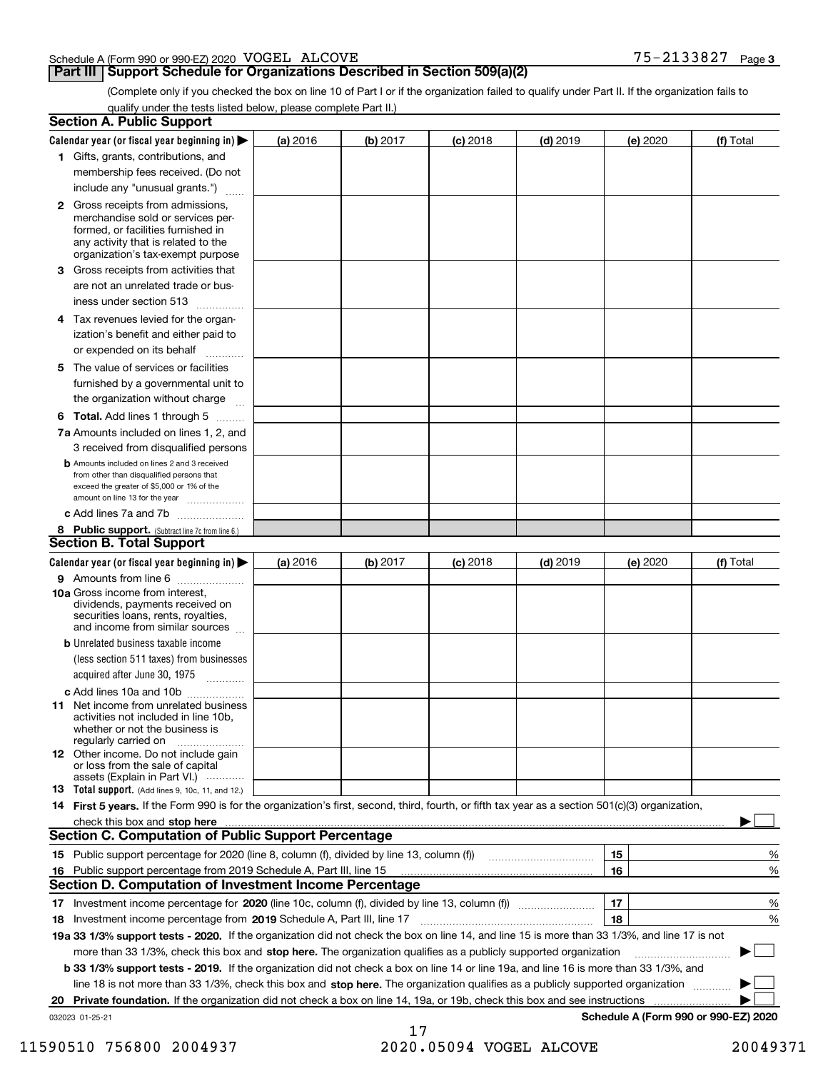| Schedule A (Form 990 or 990-EZ) 2020 $\rm\,VOGEL$ | ALCOVE | ח המרי<br>$\sim$ $\sim$<br>213302 | Page 3 |
|---------------------------------------------------|--------|-----------------------------------|--------|
|                                                   |        |                                   |        |

### **Part III Support Schedule for Organizations Described in Section 509(a)(2)**

(Complete only if you checked the box on line 10 of Part I or if the organization failed to qualify under Part II. If the organization fails to qualify under the tests listed below, please complete Part II.)

|    | <b>Section A. Public Support</b>                                                                                                                                                                                               |          |          |            |            |          |                                      |
|----|--------------------------------------------------------------------------------------------------------------------------------------------------------------------------------------------------------------------------------|----------|----------|------------|------------|----------|--------------------------------------|
|    | Calendar year (or fiscal year beginning in) $\blacktriangleright$                                                                                                                                                              | (a) 2016 | (b) 2017 | $(c)$ 2018 | $(d)$ 2019 | (e) 2020 | (f) Total                            |
|    | 1 Gifts, grants, contributions, and                                                                                                                                                                                            |          |          |            |            |          |                                      |
|    | membership fees received. (Do not                                                                                                                                                                                              |          |          |            |            |          |                                      |
|    | include any "unusual grants.")                                                                                                                                                                                                 |          |          |            |            |          |                                      |
|    | <b>2</b> Gross receipts from admissions,<br>merchandise sold or services per-<br>formed, or facilities furnished in<br>any activity that is related to the<br>organization's tax-exempt purpose                                |          |          |            |            |          |                                      |
|    | 3 Gross receipts from activities that<br>are not an unrelated trade or bus-                                                                                                                                                    |          |          |            |            |          |                                      |
|    | iness under section 513                                                                                                                                                                                                        |          |          |            |            |          |                                      |
|    | 4 Tax revenues levied for the organ-<br>ization's benefit and either paid to                                                                                                                                                   |          |          |            |            |          |                                      |
|    | or expended on its behalf<br>.                                                                                                                                                                                                 |          |          |            |            |          |                                      |
|    | 5 The value of services or facilities<br>furnished by a governmental unit to<br>the organization without charge                                                                                                                |          |          |            |            |          |                                      |
|    |                                                                                                                                                                                                                                |          |          |            |            |          |                                      |
|    | <b>6 Total.</b> Add lines 1 through 5<br>7a Amounts included on lines 1, 2, and<br>3 received from disqualified persons                                                                                                        |          |          |            |            |          |                                      |
|    | <b>b</b> Amounts included on lines 2 and 3 received<br>from other than disqualified persons that<br>exceed the greater of \$5,000 or 1% of the<br>amount on line 13 for the year                                               |          |          |            |            |          |                                      |
|    | c Add lines 7a and 7b                                                                                                                                                                                                          |          |          |            |            |          |                                      |
|    | 8 Public support. (Subtract line 7c from line 6.)                                                                                                                                                                              |          |          |            |            |          |                                      |
|    | <b>Section B. Total Support</b>                                                                                                                                                                                                |          |          |            |            |          |                                      |
|    | Calendar year (or fiscal year beginning in)                                                                                                                                                                                    | (a) 2016 | (b) 2017 | $(c)$ 2018 | $(d)$ 2019 | (e) 2020 | (f) Total                            |
|    | 9 Amounts from line 6<br>10a Gross income from interest,                                                                                                                                                                       |          |          |            |            |          |                                      |
|    | dividends, payments received on<br>securities loans, rents, royalties,<br>and income from similar sources                                                                                                                      |          |          |            |            |          |                                      |
|    | <b>b</b> Unrelated business taxable income<br>(less section 511 taxes) from businesses<br>acquired after June 30, 1975                                                                                                         |          |          |            |            |          |                                      |
|    | c Add lines 10a and 10b                                                                                                                                                                                                        |          |          |            |            |          |                                      |
|    | 11 Net income from unrelated business<br>activities not included in line 10b,<br>whether or not the business is<br>regularly carried on                                                                                        |          |          |            |            |          |                                      |
|    | <b>12</b> Other income. Do not include gain<br>or loss from the sale of capital<br>assets (Explain in Part VI.)                                                                                                                |          |          |            |            |          |                                      |
|    | <b>13</b> Total support. (Add lines 9, 10c, 11, and 12.)                                                                                                                                                                       |          |          |            |            |          |                                      |
|    | 14 First 5 years. If the Form 990 is for the organization's first, second, third, fourth, or fifth tax year as a section 501(c)(3) organization,                                                                               |          |          |            |            |          |                                      |
|    | check this box and stop here measurements are all the state of the state of the state of the state of the state of the state of the state of the state of the state of the state of the state of the state of the state of the |          |          |            |            |          |                                      |
|    | Section C. Computation of Public Support Percentage                                                                                                                                                                            |          |          |            |            |          |                                      |
|    |                                                                                                                                                                                                                                |          |          |            |            | 15       | %                                    |
|    | 16 Public support percentage from 2019 Schedule A, Part III, line 15                                                                                                                                                           |          |          |            |            | 16       | %                                    |
|    | <b>Section D. Computation of Investment Income Percentage</b>                                                                                                                                                                  |          |          |            |            |          |                                      |
|    | 17 Investment income percentage for 2020 (line 10c, column (f), divided by line 13, column (f))<br>18 Investment income percentage from 2019 Schedule A, Part III, line 17                                                     |          |          |            |            | 17<br>18 | %<br>%                               |
|    | 19a 33 1/3% support tests - 2020. If the organization did not check the box on line 14, and line 15 is more than 33 1/3%, and line 17 is not                                                                                   |          |          |            |            |          |                                      |
|    | more than 33 1/3%, check this box and stop here. The organization qualifies as a publicly supported organization                                                                                                               |          |          |            |            |          | $\sim$ 1                             |
|    | b 33 1/3% support tests - 2019. If the organization did not check a box on line 14 or line 19a, and line 16 is more than 33 1/3%, and                                                                                          |          |          |            |            |          |                                      |
|    | line 18 is not more than 33 1/3%, check this box and stop here. The organization qualifies as a publicly supported organization                                                                                                |          |          |            |            |          |                                      |
| 20 | <b>Private foundation.</b> If the organization did not check a box on line 14, 19a, or 19b, check this box and see instructions                                                                                                |          |          |            |            |          |                                      |
|    | 032023 01-25-21                                                                                                                                                                                                                |          |          |            |            |          | Schedule A (Form 990 or 990-EZ) 2020 |
|    |                                                                                                                                                                                                                                |          | 17       |            |            |          |                                      |

 <sup>11590510 756800 2004937 2020.05094</sup> VOGEL ALCOVE 20049371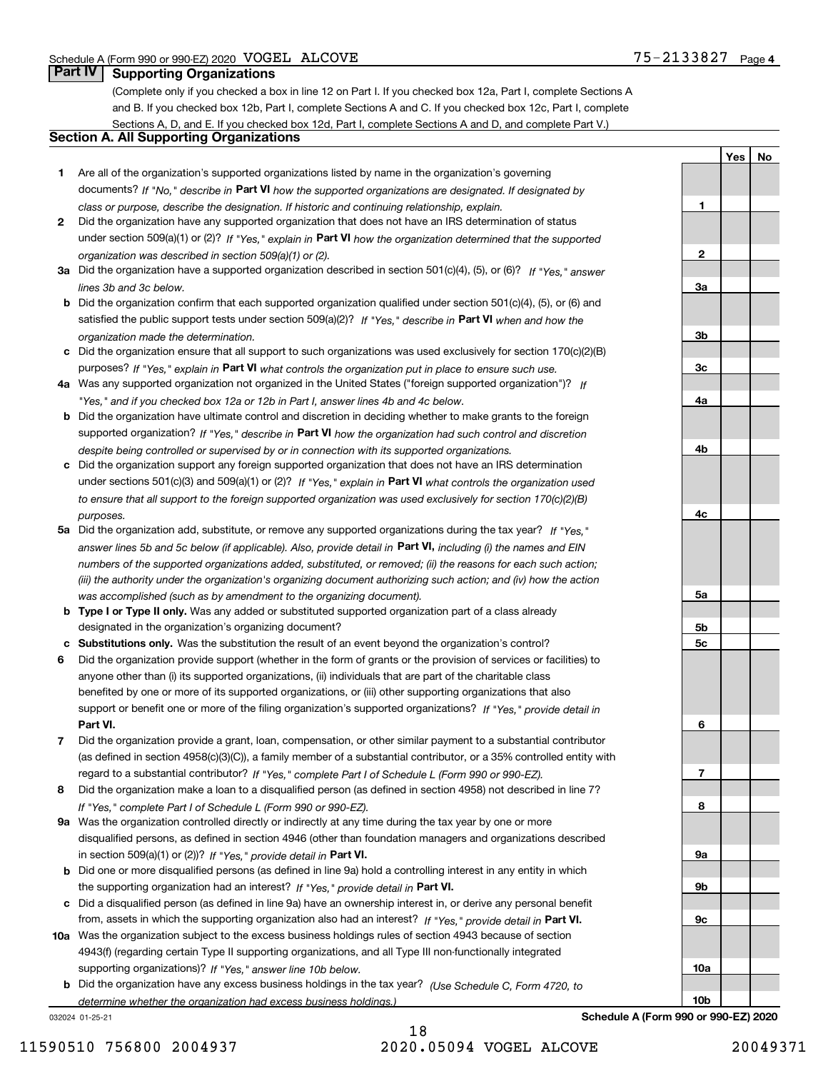**1**

**2**

**3a**

**3b**

**3c**

**4a**

**4b**

**4c**

**5a**

**5b5c**

**6**

**7**

**8**

**9a**

**9b**

**9c**

**10a**

**10b**

**YesNo**

### **Part IV Supporting Organizations**

(Complete only if you checked a box in line 12 on Part I. If you checked box 12a, Part I, complete Sections A and B. If you checked box 12b, Part I, complete Sections A and C. If you checked box 12c, Part I, complete Sections A, D, and E. If you checked box 12d, Part I, complete Sections A and D, and complete Part V.)

### **Section A. All Supporting Organizations**

- **1** Are all of the organization's supported organizations listed by name in the organization's governing documents? If "No," describe in **Part VI** how the supported organizations are designated. If designated by *class or purpose, describe the designation. If historic and continuing relationship, explain.*
- **2** Did the organization have any supported organization that does not have an IRS determination of status under section 509(a)(1) or (2)? If "Yes," explain in Part VI how the organization determined that the supported *organization was described in section 509(a)(1) or (2).*
- **3a** Did the organization have a supported organization described in section 501(c)(4), (5), or (6)? If "Yes," answer *lines 3b and 3c below.*
- **b** Did the organization confirm that each supported organization qualified under section 501(c)(4), (5), or (6) and satisfied the public support tests under section 509(a)(2)? If "Yes," describe in **Part VI** when and how the *organization made the determination.*
- **c**Did the organization ensure that all support to such organizations was used exclusively for section 170(c)(2)(B) purposes? If "Yes," explain in **Part VI** what controls the organization put in place to ensure such use.
- **4a***If* Was any supported organization not organized in the United States ("foreign supported organization")? *"Yes," and if you checked box 12a or 12b in Part I, answer lines 4b and 4c below.*
- **b** Did the organization have ultimate control and discretion in deciding whether to make grants to the foreign supported organization? If "Yes," describe in **Part VI** how the organization had such control and discretion *despite being controlled or supervised by or in connection with its supported organizations.*
- **c** Did the organization support any foreign supported organization that does not have an IRS determination under sections 501(c)(3) and 509(a)(1) or (2)? If "Yes," explain in **Part VI** what controls the organization used *to ensure that all support to the foreign supported organization was used exclusively for section 170(c)(2)(B) purposes.*
- **5a** Did the organization add, substitute, or remove any supported organizations during the tax year? If "Yes," answer lines 5b and 5c below (if applicable). Also, provide detail in **Part VI,** including (i) the names and EIN *numbers of the supported organizations added, substituted, or removed; (ii) the reasons for each such action; (iii) the authority under the organization's organizing document authorizing such action; and (iv) how the action was accomplished (such as by amendment to the organizing document).*
- **b** Type I or Type II only. Was any added or substituted supported organization part of a class already designated in the organization's organizing document?
- **cSubstitutions only.**  Was the substitution the result of an event beyond the organization's control?
- **6** Did the organization provide support (whether in the form of grants or the provision of services or facilities) to **Part VI.** *If "Yes," provide detail in* support or benefit one or more of the filing organization's supported organizations? anyone other than (i) its supported organizations, (ii) individuals that are part of the charitable class benefited by one or more of its supported organizations, or (iii) other supporting organizations that also
- **7**Did the organization provide a grant, loan, compensation, or other similar payment to a substantial contributor *If "Yes," complete Part I of Schedule L (Form 990 or 990-EZ).* regard to a substantial contributor? (as defined in section 4958(c)(3)(C)), a family member of a substantial contributor, or a 35% controlled entity with
- **8** Did the organization make a loan to a disqualified person (as defined in section 4958) not described in line 7? *If "Yes," complete Part I of Schedule L (Form 990 or 990-EZ).*
- **9a** Was the organization controlled directly or indirectly at any time during the tax year by one or more in section 509(a)(1) or (2))? If "Yes," *provide detail in* <code>Part VI.</code> disqualified persons, as defined in section 4946 (other than foundation managers and organizations described
- **b** Did one or more disqualified persons (as defined in line 9a) hold a controlling interest in any entity in which the supporting organization had an interest? If "Yes," provide detail in P**art VI**.
- **c**Did a disqualified person (as defined in line 9a) have an ownership interest in, or derive any personal benefit from, assets in which the supporting organization also had an interest? If "Yes," provide detail in P**art VI.**
- **10a** Was the organization subject to the excess business holdings rules of section 4943 because of section supporting organizations)? If "Yes," answer line 10b below. 4943(f) (regarding certain Type II supporting organizations, and all Type III non-functionally integrated
- **b** Did the organization have any excess business holdings in the tax year? (Use Schedule C, Form 4720, to *determine whether the organization had excess business holdings.)*

032024 01-25-21

18 11590510 756800 2004937 2020.05094 VOGEL ALCOVE 20049371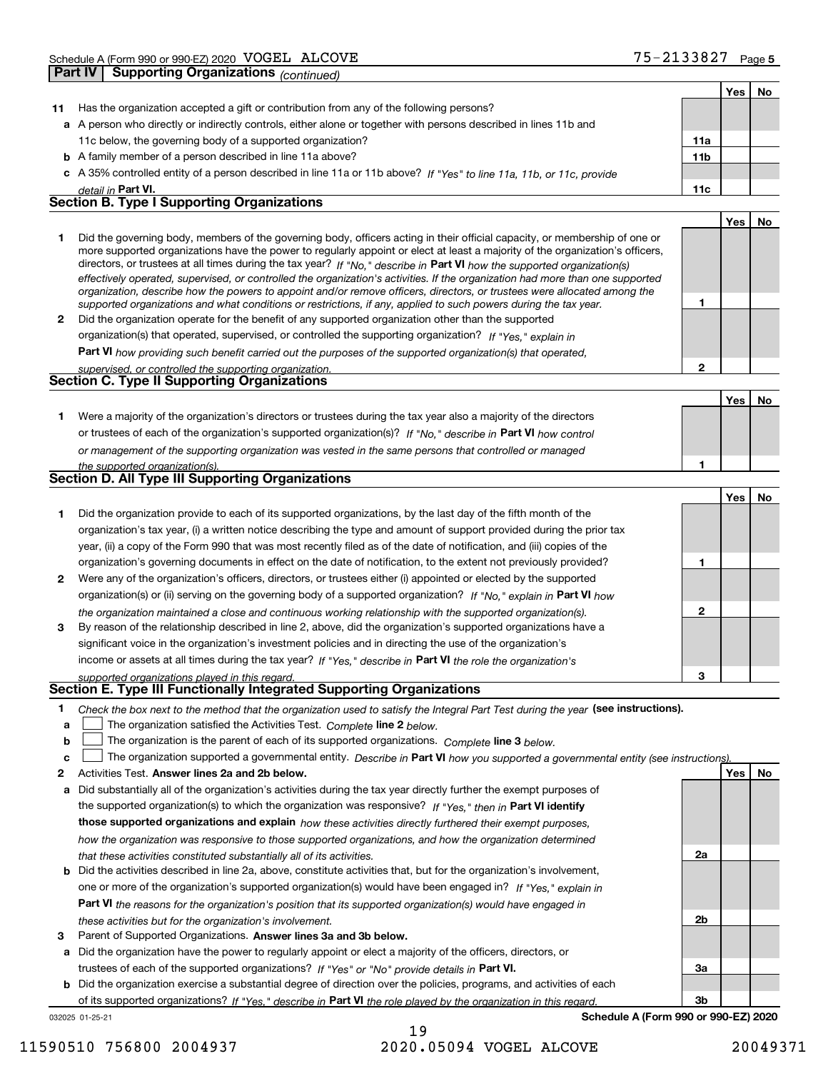|    |                                                                                                                                                                                                                         |              | Yes   No |    |
|----|-------------------------------------------------------------------------------------------------------------------------------------------------------------------------------------------------------------------------|--------------|----------|----|
| 11 | Has the organization accepted a gift or contribution from any of the following persons?                                                                                                                                 |              |          |    |
|    | a A person who directly or indirectly controls, either alone or together with persons described in lines 11b and                                                                                                        |              |          |    |
|    | 11c below, the governing body of a supported organization?                                                                                                                                                              | 11a          |          |    |
|    | <b>b</b> A family member of a person described in line 11a above?                                                                                                                                                       | 11b          |          |    |
|    | c A 35% controlled entity of a person described in line 11a or 11b above? If "Yes" to line 11a, 11b, or 11c, provide                                                                                                    |              |          |    |
|    | detail in Part VI.                                                                                                                                                                                                      | 11c          |          |    |
|    | <b>Section B. Type I Supporting Organizations</b>                                                                                                                                                                       |              |          |    |
|    |                                                                                                                                                                                                                         |              | Yes      | No |
| 1  | Did the governing body, members of the governing body, officers acting in their official capacity, or membership of one or                                                                                              |              |          |    |
|    | more supported organizations have the power to regularly appoint or elect at least a majority of the organization's officers,                                                                                           |              |          |    |
|    | directors, or trustees at all times during the tax year? If "No," describe in Part VI how the supported organization(s)                                                                                                 |              |          |    |
|    | effectively operated, supervised, or controlled the organization's activities. If the organization had more than one supported                                                                                          |              |          |    |
|    | organization, describe how the powers to appoint and/or remove officers, directors, or trustees were allocated among the                                                                                                | 1            |          |    |
| 2  | supported organizations and what conditions or restrictions, if any, applied to such powers during the tax year.<br>Did the organization operate for the benefit of any supported organization other than the supported |              |          |    |
|    |                                                                                                                                                                                                                         |              |          |    |
|    | organization(s) that operated, supervised, or controlled the supporting organization? If "Yes," explain in                                                                                                              |              |          |    |
|    | Part VI how providing such benefit carried out the purposes of the supported organization(s) that operated,                                                                                                             |              |          |    |
|    | supervised, or controlled the supporting organization.<br><b>Section C. Type II Supporting Organizations</b>                                                                                                            | $\mathbf{2}$ |          |    |
|    |                                                                                                                                                                                                                         |              |          |    |
|    |                                                                                                                                                                                                                         |              | Yes      | No |
| 1. | Were a majority of the organization's directors or trustees during the tax year also a majority of the directors                                                                                                        |              |          |    |
|    | or trustees of each of the organization's supported organization(s)? If "No," describe in Part VI how control                                                                                                           |              |          |    |
|    | or management of the supporting organization was vested in the same persons that controlled or managed                                                                                                                  |              |          |    |
|    | the supported organization(s).                                                                                                                                                                                          | 1            |          |    |
|    | Section D. All Type III Supporting Organizations                                                                                                                                                                        |              |          |    |
|    |                                                                                                                                                                                                                         |              | Yes      | No |
| 1. | Did the organization provide to each of its supported organizations, by the last day of the fifth month of the                                                                                                          |              |          |    |
|    | organization's tax year, (i) a written notice describing the type and amount of support provided during the prior tax                                                                                                   |              |          |    |
|    | year, (ii) a copy of the Form 990 that was most recently filed as of the date of notification, and (iii) copies of the                                                                                                  |              |          |    |
|    | organization's governing documents in effect on the date of notification, to the extent not previously provided?                                                                                                        | 1            |          |    |
| 2  | Were any of the organization's officers, directors, or trustees either (i) appointed or elected by the supported                                                                                                        |              |          |    |
|    | organization(s) or (ii) serving on the governing body of a supported organization? If "No," explain in Part VI how                                                                                                      |              |          |    |
|    | the organization maintained a close and continuous working relationship with the supported organization(s).                                                                                                             | 2            |          |    |
| 3  | By reason of the relationship described in line 2, above, did the organization's supported organizations have a                                                                                                         |              |          |    |
|    | significant voice in the organization's investment policies and in directing the use of the organization's                                                                                                              |              |          |    |
|    | income or assets at all times during the tax year? If "Yes," describe in Part VI the role the organization's                                                                                                            |              |          |    |
|    | supported organizations played in this regard.                                                                                                                                                                          | 3            |          |    |
|    | Section E. Type III Functionally Integrated Supporting Organizations                                                                                                                                                    |              |          |    |
| 1  | Check the box next to the method that the organization used to satisfy the Integral Part Test during the year (see instructions).                                                                                       |              |          |    |
| a  | The organization satisfied the Activities Test. Complete line 2 below.                                                                                                                                                  |              |          |    |
| b  | The organization is the parent of each of its supported organizations. Complete line 3 below.                                                                                                                           |              |          |    |
| c  | The organization supported a governmental entity. Describe in Part VI how you supported a governmental entity (see instructions).                                                                                       |              |          |    |
| 2  | Activities Test. Answer lines 2a and 2b below.                                                                                                                                                                          |              | Yes      | No |
| а  | Did substantially all of the organization's activities during the tax year directly further the exempt purposes of                                                                                                      |              |          |    |
|    | the supported organization(s) to which the organization was responsive? If "Yes," then in Part VI identify                                                                                                              |              |          |    |
|    | those supported organizations and explain how these activities directly furthered their exempt purposes,                                                                                                                |              |          |    |
|    | how the organization was responsive to those supported organizations, and how the organization determined                                                                                                               |              |          |    |
|    | that these activities constituted substantially all of its activities.                                                                                                                                                  | 2a           |          |    |
| b  | Did the activities described in line 2a, above, constitute activities that, but for the organization's involvement,                                                                                                     |              |          |    |
|    | one or more of the organization's supported organization(s) would have been engaged in? If "Yes," explain in                                                                                                            |              |          |    |
|    | Part VI the reasons for the organization's position that its supported organization(s) would have engaged in                                                                                                            |              |          |    |
|    | these activities but for the organization's involvement.                                                                                                                                                                | 2b           |          |    |
| 3  | Parent of Supported Organizations. Answer lines 3a and 3b below.                                                                                                                                                        |              |          |    |
|    | a Did the organization have the power to regularly appoint or elect a majority of the officers, directors, or                                                                                                           |              |          |    |
|    | trustees of each of the supported organizations? If "Yes" or "No" provide details in Part VI.                                                                                                                           | За           |          |    |
|    | <b>b</b> Did the organization exercise a substantial degree of direction over the policies, programs, and activities of each                                                                                            |              |          |    |
|    |                                                                                                                                                                                                                         |              |          |    |

032025 01-25-21 of its supported organizations? If "Yes," describe in Part VI the role played by the organization in this regard.

**Schedule A (Form 990 or 990-EZ) 2020**

**3b**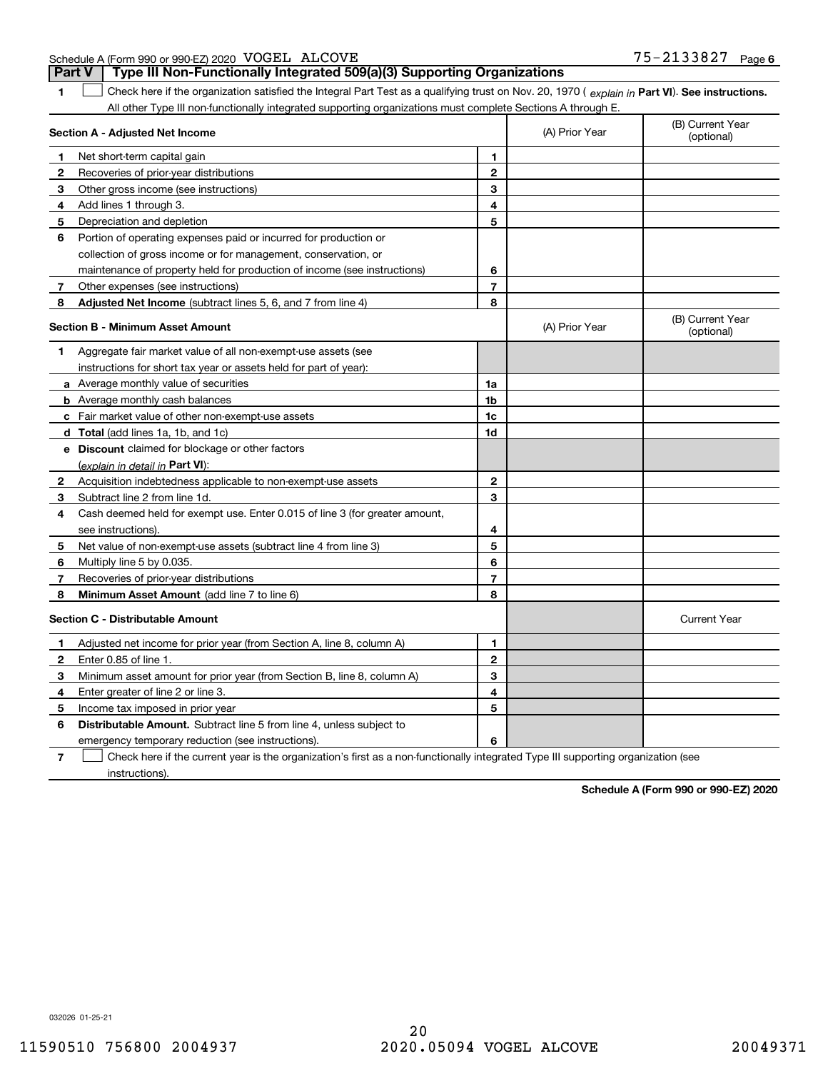| Schedule A (Form 990 or 990-EZ) 2020 VOGEL ALCOVE |  | 75-2133827 | Page 6 |
|---------------------------------------------------|--|------------|--------|
|                                                   |  |            |        |

| <b>Part V</b>                                                                                                                                  |  | Type III Non-Functionally Integrated 509(a)(3) Supporting Organizations |  |  |  |  |
|------------------------------------------------------------------------------------------------------------------------------------------------|--|-------------------------------------------------------------------------|--|--|--|--|
| Check here if the organization satisfied the Integral Part Test as a qualifying trust on Nov. 20, 1970 (explain in Part VI). See instructions. |  |                                                                         |  |  |  |  |
| All other Type III non-functionally integrated supporting organizations must complete Sections A through E.                                    |  |                                                                         |  |  |  |  |

| Section A - Adjusted Net Income |                                                                             |                | (A) Prior Year | (B) Current Year<br>(optional) |
|---------------------------------|-----------------------------------------------------------------------------|----------------|----------------|--------------------------------|
| 1                               | Net short-term capital gain                                                 | $\mathbf{1}$   |                |                                |
| 2                               | Recoveries of prior-year distributions                                      | $\mathbf{2}$   |                |                                |
| 3                               | Other gross income (see instructions)                                       | 3              |                |                                |
| 4                               | Add lines 1 through 3.                                                      | 4              |                |                                |
| 5                               | Depreciation and depletion                                                  | 5              |                |                                |
| 6                               | Portion of operating expenses paid or incurred for production or            |                |                |                                |
|                                 | collection of gross income or for management, conservation, or              |                |                |                                |
|                                 | maintenance of property held for production of income (see instructions)    | 6              |                |                                |
| 7                               | Other expenses (see instructions)                                           | $\overline{7}$ |                |                                |
| 8                               | Adjusted Net Income (subtract lines 5, 6, and 7 from line 4)                | 8              |                |                                |
|                                 | <b>Section B - Minimum Asset Amount</b>                                     |                | (A) Prior Year | (B) Current Year<br>(optional) |
| 1                               | Aggregate fair market value of all non-exempt-use assets (see               |                |                |                                |
|                                 | instructions for short tax year or assets held for part of year):           |                |                |                                |
|                                 | a Average monthly value of securities                                       | 1a             |                |                                |
|                                 | <b>b</b> Average monthly cash balances                                      | 1b             |                |                                |
|                                 | c Fair market value of other non-exempt-use assets                          | 1c             |                |                                |
|                                 | d Total (add lines 1a, 1b, and 1c)                                          | 1 <sub>d</sub> |                |                                |
|                                 | e Discount claimed for blockage or other factors                            |                |                |                                |
|                                 | (explain in detail in <b>Part VI</b> ):                                     |                |                |                                |
| 2                               | Acquisition indebtedness applicable to non-exempt-use assets                | $\mathbf{2}$   |                |                                |
| 3                               | Subtract line 2 from line 1d.                                               | 3              |                |                                |
| 4                               | Cash deemed held for exempt use. Enter 0.015 of line 3 (for greater amount, |                |                |                                |
|                                 | see instructions).                                                          | 4              |                |                                |
| 5                               | Net value of non-exempt-use assets (subtract line 4 from line 3)            | 5              |                |                                |
| 6                               | Multiply line 5 by 0.035.                                                   | 6              |                |                                |
| 7                               | Recoveries of prior-year distributions                                      | $\overline{7}$ |                |                                |
| 8                               | <b>Minimum Asset Amount</b> (add line 7 to line 6)                          | 8              |                |                                |
|                                 | <b>Section C - Distributable Amount</b>                                     |                |                | <b>Current Year</b>            |
| 1                               | Adjusted net income for prior year (from Section A, line 8, column A)       | 1              |                |                                |
| $\mathbf{2}$                    | Enter 0.85 of line 1.                                                       | $\mathbf{2}$   |                |                                |
| З                               | Minimum asset amount for prior year (from Section B, line 8, column A)      | 3              |                |                                |
| 4                               | Enter greater of line 2 or line 3.                                          | 4              |                |                                |
| 5                               | Income tax imposed in prior year                                            | 5              |                |                                |
| 6                               | <b>Distributable Amount.</b> Subtract line 5 from line 4, unless subject to |                |                |                                |
|                                 | emergency temporary reduction (see instructions).                           | 6              |                |                                |
|                                 |                                                                             |                |                |                                |

**7**Check here if the current year is the organization's first as a non-functionally integrated Type III supporting organization (see instructions).

**Schedule A (Form 990 or 990-EZ) 2020**

032026 01-25-21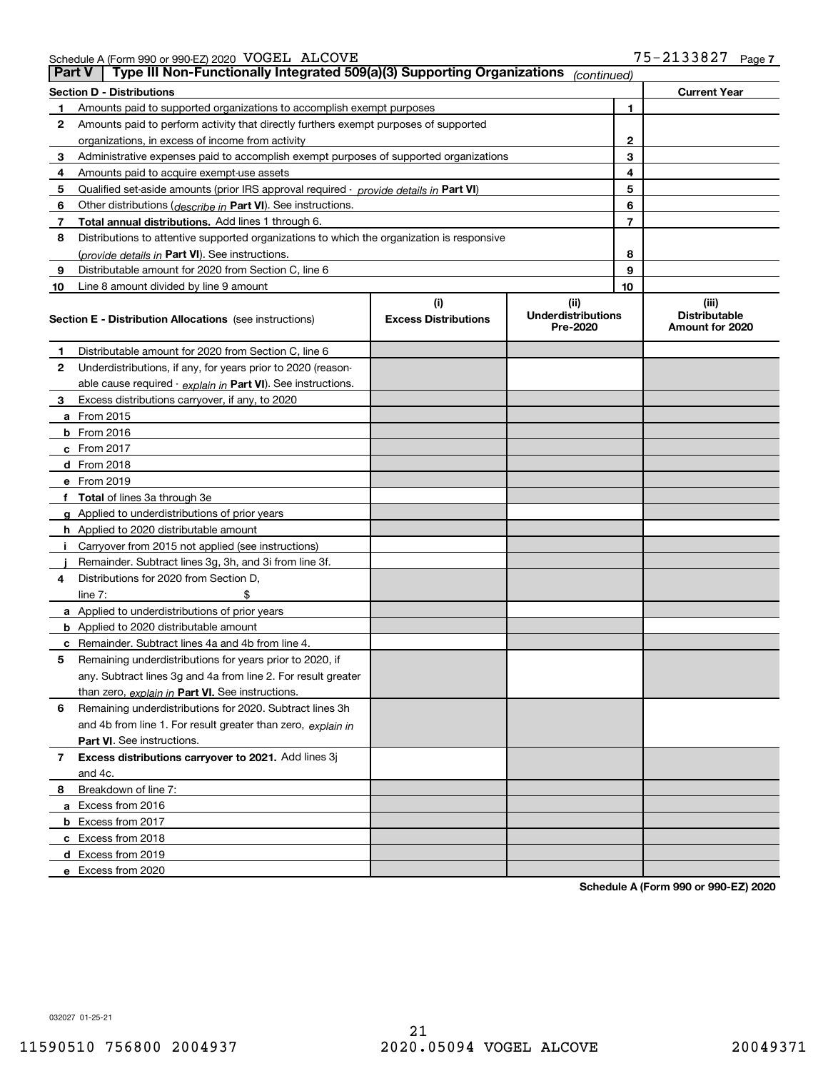Schedule A (Form 990 or 990-EZ) 2020 Page VOGEL ALCOVE 75-2133827

| <b>Part V</b> | Type III Non-Functionally Integrated 509(a)(3) Supporting Organizations                    |                             | (continued)                           |                                         |  |  |  |
|---------------|--------------------------------------------------------------------------------------------|-----------------------------|---------------------------------------|-----------------------------------------|--|--|--|
|               | <b>Section D - Distributions</b><br><b>Current Year</b>                                    |                             |                                       |                                         |  |  |  |
| 1             | 1<br>Amounts paid to supported organizations to accomplish exempt purposes                 |                             |                                       |                                         |  |  |  |
| 2             | Amounts paid to perform activity that directly furthers exempt purposes of supported       |                             |                                       |                                         |  |  |  |
|               | organizations, in excess of income from activity                                           |                             | 2                                     |                                         |  |  |  |
| 3             | Administrative expenses paid to accomplish exempt purposes of supported organizations      |                             | 3                                     |                                         |  |  |  |
| 4             | Amounts paid to acquire exempt-use assets                                                  |                             | 4                                     |                                         |  |  |  |
| 5             | Qualified set-aside amounts (prior IRS approval required - provide details in Part VI)     |                             | 5                                     |                                         |  |  |  |
| 6             | Other distributions ( <i>describe in</i> Part VI). See instructions.                       |                             | 6                                     |                                         |  |  |  |
| 7             | Total annual distributions. Add lines 1 through 6.                                         |                             | 7                                     |                                         |  |  |  |
| 8             | Distributions to attentive supported organizations to which the organization is responsive |                             |                                       |                                         |  |  |  |
|               | (provide details in Part VI). See instructions.                                            |                             | 8                                     |                                         |  |  |  |
| 9             | Distributable amount for 2020 from Section C, line 6                                       |                             | 9                                     |                                         |  |  |  |
| 10            | Line 8 amount divided by line 9 amount                                                     |                             | 10                                    |                                         |  |  |  |
|               |                                                                                            | (i)                         | (ii)                                  | (iii)                                   |  |  |  |
|               | <b>Section E - Distribution Allocations</b> (see instructions)                             | <b>Excess Distributions</b> | <b>Underdistributions</b><br>Pre-2020 | <b>Distributable</b><br>Amount for 2020 |  |  |  |
| 1             | Distributable amount for 2020 from Section C, line 6                                       |                             |                                       |                                         |  |  |  |
| 2             | Underdistributions, if any, for years prior to 2020 (reason-                               |                             |                                       |                                         |  |  |  |
|               | able cause required - explain in Part VI). See instructions.                               |                             |                                       |                                         |  |  |  |
| 3             | Excess distributions carryover, if any, to 2020                                            |                             |                                       |                                         |  |  |  |
|               | <b>a</b> From 2015                                                                         |                             |                                       |                                         |  |  |  |
|               | <b>b</b> From 2016                                                                         |                             |                                       |                                         |  |  |  |
|               | c From $2017$                                                                              |                             |                                       |                                         |  |  |  |
|               | d From 2018                                                                                |                             |                                       |                                         |  |  |  |
|               | e From 2019                                                                                |                             |                                       |                                         |  |  |  |
|               | f Total of lines 3a through 3e                                                             |                             |                                       |                                         |  |  |  |
|               | g Applied to underdistributions of prior years                                             |                             |                                       |                                         |  |  |  |
|               | <b>h</b> Applied to 2020 distributable amount                                              |                             |                                       |                                         |  |  |  |
|               | Carryover from 2015 not applied (see instructions)                                         |                             |                                       |                                         |  |  |  |
|               | Remainder. Subtract lines 3g, 3h, and 3i from line 3f.                                     |                             |                                       |                                         |  |  |  |
| 4             | Distributions for 2020 from Section D,                                                     |                             |                                       |                                         |  |  |  |
|               | line $7:$                                                                                  |                             |                                       |                                         |  |  |  |
|               | a Applied to underdistributions of prior years                                             |                             |                                       |                                         |  |  |  |
|               | <b>b</b> Applied to 2020 distributable amount                                              |                             |                                       |                                         |  |  |  |
|               | c Remainder. Subtract lines 4a and 4b from line 4.                                         |                             |                                       |                                         |  |  |  |
| 5.            | Remaining underdistributions for years prior to 2020, if                                   |                             |                                       |                                         |  |  |  |
|               | any. Subtract lines 3g and 4a from line 2. For result greater                              |                             |                                       |                                         |  |  |  |
|               | than zero, explain in Part VI. See instructions.                                           |                             |                                       |                                         |  |  |  |
| 6             | Remaining underdistributions for 2020. Subtract lines 3h                                   |                             |                                       |                                         |  |  |  |
|               | and 4b from line 1. For result greater than zero, explain in                               |                             |                                       |                                         |  |  |  |
|               | Part VI. See instructions.                                                                 |                             |                                       |                                         |  |  |  |
| 7             | Excess distributions carryover to 2021. Add lines 3j                                       |                             |                                       |                                         |  |  |  |
|               | and 4c.                                                                                    |                             |                                       |                                         |  |  |  |
| 8             | Breakdown of line 7:                                                                       |                             |                                       |                                         |  |  |  |
|               | a Excess from 2016                                                                         |                             |                                       |                                         |  |  |  |
|               | <b>b</b> Excess from 2017                                                                  |                             |                                       |                                         |  |  |  |
|               | c Excess from 2018                                                                         |                             |                                       |                                         |  |  |  |
|               | d Excess from 2019                                                                         |                             |                                       |                                         |  |  |  |
|               | e Excess from 2020                                                                         |                             |                                       |                                         |  |  |  |

**Schedule A (Form 990 or 990-EZ) 2020**

032027 01-25-21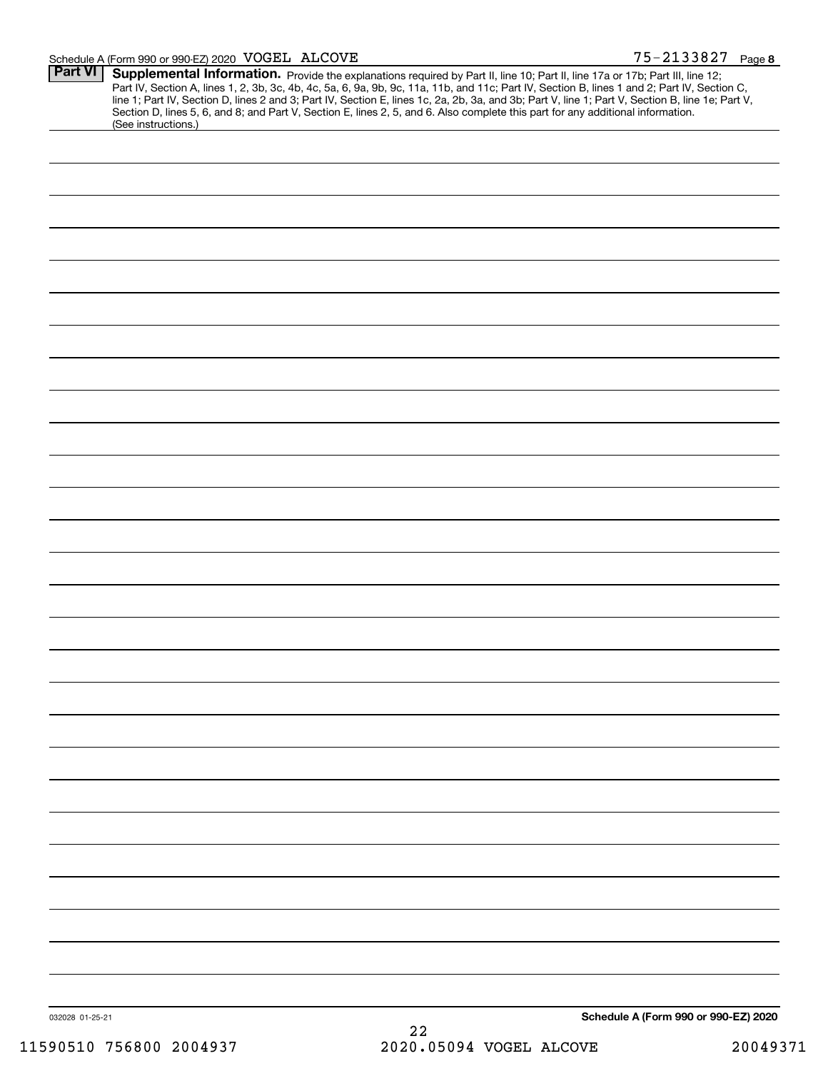| <b>Part VI</b>  | Schedule A (Form 990 or 990-EZ) 2020 VOGEL ALCOVE |                                                                                                                                                                                                                                                                                     | 75-2133827 Page 8                    |
|-----------------|---------------------------------------------------|-------------------------------------------------------------------------------------------------------------------------------------------------------------------------------------------------------------------------------------------------------------------------------------|--------------------------------------|
|                 |                                                   | Supplemental Information. Provide the explanations required by Part II, line 10; Part II, line 17a or 17b; Part III, line 12;                                                                                                                                                       |                                      |
|                 |                                                   | Part IV, Section A, lines 1, 2, 3b, 3c, 4b, 4c, 5a, 6, 9a, 9b, 9c, 11a, 11b, and 11c; Part IV, Section B, lines 1 and 2; Part IV, Section C,                                                                                                                                        |                                      |
|                 |                                                   | line 1; Part IV, Section D, lines 2 and 3; Part IV, Section E, lines 1c, 2a, 2b, 3a, and 3b; Part V, line 1; Part V, Section B, line 1e; Part V,<br>Section D, lines 5, 6, and 8; and Part V, Section E, lines 2, 5, and 6. Also complete this part for any additional information. |                                      |
|                 | (See instructions.)                               |                                                                                                                                                                                                                                                                                     |                                      |
|                 |                                                   |                                                                                                                                                                                                                                                                                     |                                      |
|                 |                                                   |                                                                                                                                                                                                                                                                                     |                                      |
|                 |                                                   |                                                                                                                                                                                                                                                                                     |                                      |
|                 |                                                   |                                                                                                                                                                                                                                                                                     |                                      |
|                 |                                                   |                                                                                                                                                                                                                                                                                     |                                      |
|                 |                                                   |                                                                                                                                                                                                                                                                                     |                                      |
|                 |                                                   |                                                                                                                                                                                                                                                                                     |                                      |
|                 |                                                   |                                                                                                                                                                                                                                                                                     |                                      |
|                 |                                                   |                                                                                                                                                                                                                                                                                     |                                      |
|                 |                                                   |                                                                                                                                                                                                                                                                                     |                                      |
|                 |                                                   |                                                                                                                                                                                                                                                                                     |                                      |
|                 |                                                   |                                                                                                                                                                                                                                                                                     |                                      |
|                 |                                                   |                                                                                                                                                                                                                                                                                     |                                      |
|                 |                                                   |                                                                                                                                                                                                                                                                                     |                                      |
|                 |                                                   |                                                                                                                                                                                                                                                                                     |                                      |
|                 |                                                   |                                                                                                                                                                                                                                                                                     |                                      |
|                 |                                                   |                                                                                                                                                                                                                                                                                     |                                      |
|                 |                                                   |                                                                                                                                                                                                                                                                                     |                                      |
|                 |                                                   |                                                                                                                                                                                                                                                                                     |                                      |
|                 |                                                   |                                                                                                                                                                                                                                                                                     |                                      |
|                 |                                                   |                                                                                                                                                                                                                                                                                     |                                      |
|                 |                                                   |                                                                                                                                                                                                                                                                                     |                                      |
|                 |                                                   |                                                                                                                                                                                                                                                                                     |                                      |
|                 |                                                   |                                                                                                                                                                                                                                                                                     |                                      |
|                 |                                                   |                                                                                                                                                                                                                                                                                     |                                      |
|                 |                                                   |                                                                                                                                                                                                                                                                                     |                                      |
|                 |                                                   |                                                                                                                                                                                                                                                                                     |                                      |
|                 |                                                   |                                                                                                                                                                                                                                                                                     |                                      |
|                 |                                                   |                                                                                                                                                                                                                                                                                     |                                      |
|                 |                                                   |                                                                                                                                                                                                                                                                                     |                                      |
|                 |                                                   |                                                                                                                                                                                                                                                                                     |                                      |
|                 |                                                   |                                                                                                                                                                                                                                                                                     |                                      |
|                 |                                                   |                                                                                                                                                                                                                                                                                     |                                      |
|                 |                                                   |                                                                                                                                                                                                                                                                                     |                                      |
|                 |                                                   |                                                                                                                                                                                                                                                                                     |                                      |
|                 |                                                   |                                                                                                                                                                                                                                                                                     |                                      |
|                 |                                                   |                                                                                                                                                                                                                                                                                     |                                      |
|                 |                                                   |                                                                                                                                                                                                                                                                                     |                                      |
|                 |                                                   |                                                                                                                                                                                                                                                                                     |                                      |
|                 |                                                   |                                                                                                                                                                                                                                                                                     |                                      |
|                 |                                                   |                                                                                                                                                                                                                                                                                     |                                      |
|                 |                                                   |                                                                                                                                                                                                                                                                                     |                                      |
|                 |                                                   |                                                                                                                                                                                                                                                                                     |                                      |
|                 |                                                   |                                                                                                                                                                                                                                                                                     |                                      |
|                 |                                                   |                                                                                                                                                                                                                                                                                     |                                      |
|                 |                                                   |                                                                                                                                                                                                                                                                                     |                                      |
|                 |                                                   |                                                                                                                                                                                                                                                                                     |                                      |
|                 |                                                   |                                                                                                                                                                                                                                                                                     |                                      |
|                 |                                                   |                                                                                                                                                                                                                                                                                     |                                      |
|                 |                                                   |                                                                                                                                                                                                                                                                                     |                                      |
|                 |                                                   |                                                                                                                                                                                                                                                                                     |                                      |
|                 |                                                   |                                                                                                                                                                                                                                                                                     |                                      |
|                 |                                                   |                                                                                                                                                                                                                                                                                     |                                      |
|                 |                                                   |                                                                                                                                                                                                                                                                                     |                                      |
|                 |                                                   |                                                                                                                                                                                                                                                                                     |                                      |
|                 |                                                   |                                                                                                                                                                                                                                                                                     |                                      |
|                 |                                                   |                                                                                                                                                                                                                                                                                     |                                      |
|                 |                                                   |                                                                                                                                                                                                                                                                                     |                                      |
|                 |                                                   |                                                                                                                                                                                                                                                                                     |                                      |
|                 |                                                   |                                                                                                                                                                                                                                                                                     |                                      |
|                 |                                                   |                                                                                                                                                                                                                                                                                     |                                      |
|                 |                                                   |                                                                                                                                                                                                                                                                                     |                                      |
|                 |                                                   |                                                                                                                                                                                                                                                                                     |                                      |
|                 |                                                   |                                                                                                                                                                                                                                                                                     |                                      |
| 032028 01-25-21 |                                                   |                                                                                                                                                                                                                                                                                     | Schedule A (Form 990 or 990-EZ) 2020 |
|                 |                                                   | 22                                                                                                                                                                                                                                                                                  |                                      |
|                 | 11590510 756800 2004937                           | 2020.05094 VOGEL ALCOVE                                                                                                                                                                                                                                                             | 20049371                             |
|                 |                                                   |                                                                                                                                                                                                                                                                                     |                                      |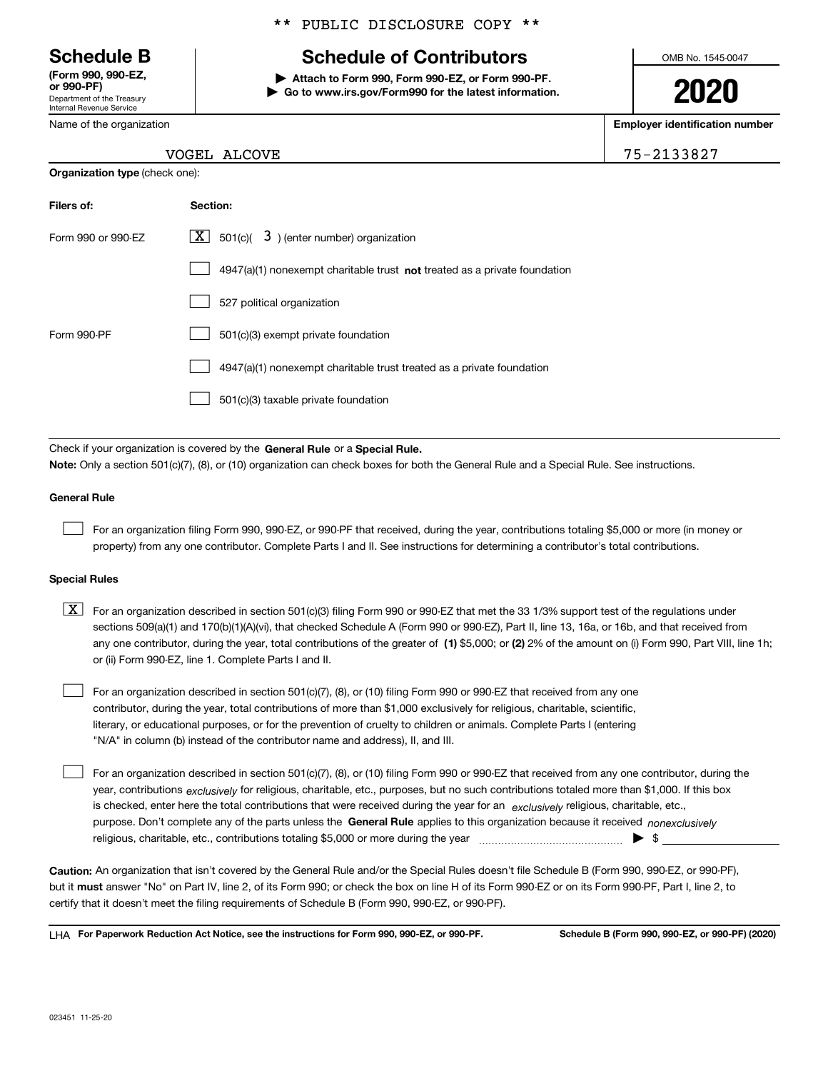Department of the Treasury Internal Revenue Service **(Form 990, 990-EZ, or 990-PF)**

Name of the organization

**Organization type** (check one):

### \*\* PUBLIC DISCLOSURE COPY \*\*

### **Schedule B Schedule of Contributors**

**| Attach to Form 990, Form 990-EZ, or Form 990-PF. | Go to www.irs.gov/Form990 for the latest information.** OMB No. 1545-0047

**2020**

**Employer identification number**

| VOGEL ALCOVE | 75-2133827 |
|--------------|------------|
|--------------|------------|

| Filers of:         | Section:                                                                    |
|--------------------|-----------------------------------------------------------------------------|
| Form 990 or 990-FZ | $\mathbf{X}$<br>$3$ ) (enter number) organization<br>501(c)(                |
|                    | $4947(a)(1)$ nonexempt charitable trust not treated as a private foundation |
|                    | 527 political organization                                                  |
| Form 990-PF        | 501(c)(3) exempt private foundation                                         |
|                    | 4947(a)(1) nonexempt charitable trust treated as a private foundation       |
|                    | 501(c)(3) taxable private foundation                                        |

Check if your organization is covered by the **General Rule** or a **Special Rule. Note:**  Only a section 501(c)(7), (8), or (10) organization can check boxes for both the General Rule and a Special Rule. See instructions.

### **General Rule**

 $\mathcal{L}^{\text{max}}$ 

For an organization filing Form 990, 990-EZ, or 990-PF that received, during the year, contributions totaling \$5,000 or more (in money or property) from any one contributor. Complete Parts I and II. See instructions for determining a contributor's total contributions.

#### **Special Rules**

any one contributor, during the year, total contributions of the greater of  $\,$  (1) \$5,000; or **(2)** 2% of the amount on (i) Form 990, Part VIII, line 1h;  $\boxed{\textbf{X}}$  For an organization described in section 501(c)(3) filing Form 990 or 990-EZ that met the 33 1/3% support test of the regulations under sections 509(a)(1) and 170(b)(1)(A)(vi), that checked Schedule A (Form 990 or 990-EZ), Part II, line 13, 16a, or 16b, and that received from or (ii) Form 990-EZ, line 1. Complete Parts I and II.

For an organization described in section 501(c)(7), (8), or (10) filing Form 990 or 990-EZ that received from any one contributor, during the year, total contributions of more than \$1,000 exclusively for religious, charitable, scientific, literary, or educational purposes, or for the prevention of cruelty to children or animals. Complete Parts I (entering "N/A" in column (b) instead of the contributor name and address), II, and III.  $\mathcal{L}^{\text{max}}$ 

purpose. Don't complete any of the parts unless the **General Rule** applies to this organization because it received *nonexclusively* year, contributions <sub>exclusively</sub> for religious, charitable, etc., purposes, but no such contributions totaled more than \$1,000. If this box is checked, enter here the total contributions that were received during the year for an  $\;$ exclusively religious, charitable, etc., For an organization described in section 501(c)(7), (8), or (10) filing Form 990 or 990-EZ that received from any one contributor, during the religious, charitable, etc., contributions totaling \$5,000 or more during the year  $\Box$ — $\Box$   $\Box$  $\mathcal{L}^{\text{max}}$ 

**Caution:**  An organization that isn't covered by the General Rule and/or the Special Rules doesn't file Schedule B (Form 990, 990-EZ, or 990-PF),  **must** but it answer "No" on Part IV, line 2, of its Form 990; or check the box on line H of its Form 990-EZ or on its Form 990-PF, Part I, line 2, to certify that it doesn't meet the filing requirements of Schedule B (Form 990, 990-EZ, or 990-PF).

**For Paperwork Reduction Act Notice, see the instructions for Form 990, 990-EZ, or 990-PF. Schedule B (Form 990, 990-EZ, or 990-PF) (2020)** LHA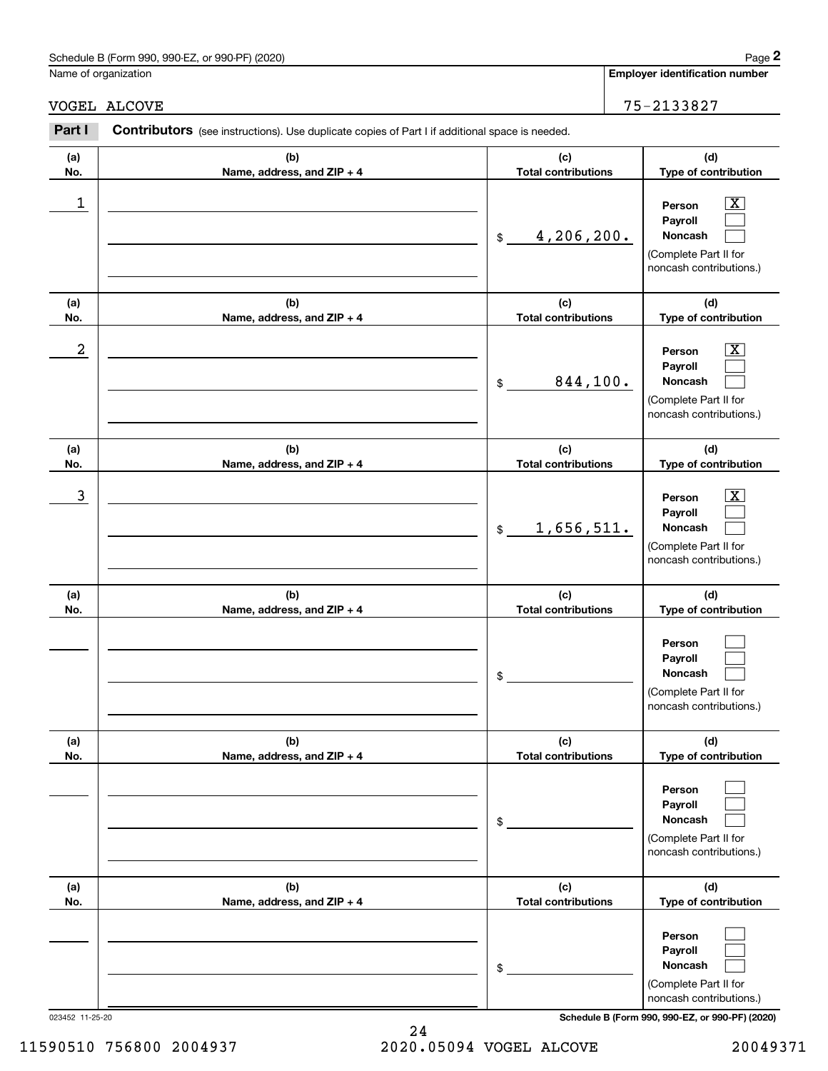| (2020)<br>Schedule<br>. or 990-PF`<br>---<br>990-F<br>990<br>$-2$<br>в (f<br>.<br>and the contract of | Page |
|-------------------------------------------------------------------------------------------------------|------|
|                                                                                                       |      |

Name of organization

**Employer identification number**

### VOGEL ALCOVE 75-2133827

**(a)No.(b)Name, address, and ZIP + 4 (c)Total contributions (d)Type of contribution PersonPayrollNoncash (a)No.(b)Name, address, and ZIP + 4 (c)Total contributions (d)Type of contribution PersonPayrollNoncash (a)No.(b)Name, address, and ZIP + 4 (c)Total contributions (d)Type of contribution PersonPayrollNoncash (a) No.(b) Name, address, and ZIP + 4 (c) Total contributions (d) Type of contribution PersonPayrollNoncash(a) No.(b) Name, address, and ZIP + 4 (c) Total contributions (d) Type of contribution PersonPayrollNoncash(a) No.(b)Name, address, and ZIP + 4 (c) Total contributions (d)Type of contribution PersonPayrollNoncash Contributors** (see instructions). Use duplicate copies of Part I if additional space is needed. \$(Complete Part II for noncash contributions.) \$(Complete Part II for noncash contributions.) \$(Complete Part II for noncash contributions.) \$(Complete Part II for noncash contributions.) \$(Complete Part II for noncash contributions.) \$(Complete Part II for noncash contributions.) **2Page 2**<br>
Iame of organization<br> **2Part I 2Part I Contributors** (see instructions). Use duplicate copies of Part I if additional space is needed.<br> **2Part I Contributors** (see instructions). Use duplicate copies of Pa  $|X|$  $\mathcal{L}^{\text{max}}$  $\mathcal{L}^{\text{max}}$  $\boxed{\text{X}}$  $\mathcal{L}^{\text{max}}$  $\mathcal{L}^{\text{max}}$  $|X|$  $\mathcal{L}^{\text{max}}$  $\mathcal{L}^{\text{max}}$  $\mathcal{L}^{\text{max}}$  $\mathcal{L}^{\text{max}}$  $\mathcal{L}^{\text{max}}$  $\mathcal{L}^{\text{max}}$  $\mathcal{L}^{\text{max}}$  $\mathcal{L}^{\text{max}}$  $\mathcal{L}^{\text{max}}$  $\mathcal{L}^{\text{max}}$  $\mathcal{L}^{\text{max}}$  $\begin{array}{c|c|c|c|c|c} 1 & \hspace{1.5cm} & \hspace{1.5cm} & \hspace{1.5cm} & \hspace{1.5cm} & \hspace{1.5cm} & \hspace{1.5cm} & \hspace{1.5cm} & \hspace{1.5cm} & \hspace{1.5cm} & \hspace{1.5cm} & \hspace{1.5cm} & \hspace{1.5cm} & \hspace{1.5cm} & \hspace{1.5cm} & \hspace{1.5cm} & \hspace{1.5cm} & \hspace{1.5cm} & \hspace{1.5cm} & \hspace{1.5cm} & \hspace{1.5cm} &$ 4,206,200.  $2$  | Person  $\overline{\text{X}}$ 844,100.  $\overline{3}$  | Person  $\overline{X}$ 1,656,511.

023452 11-25-20 **Schedule B (Form 990, 990-EZ, or 990-PF) (2020)**

24 11590510 756800 2004937 2020.05094 VOGEL ALCOVE 20049371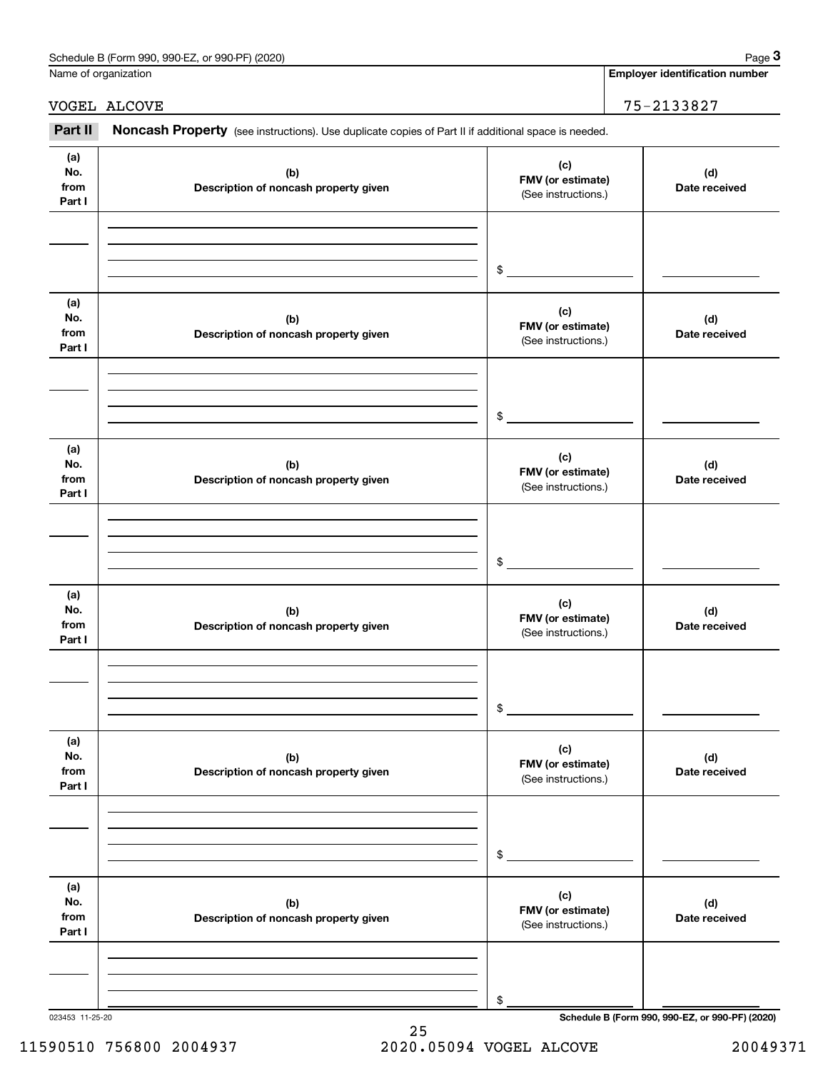| Schedule<br>or 990-PF<br>(2020)<br>990-EZ<br>: B (Form<br>990. | Page |
|----------------------------------------------------------------|------|
|                                                                |      |

Name of organization

**Employer identification number**

### VOGEL ALCOVE 25-2133827

Employer identification Page 3<br>
Iame of organization<br> **3Part II** ALCOVE **Part II Noncash Property** (see instructions). Use duplicate copies of Part II if additional space is needed.

| (a)<br>No.<br>from<br>Part I | (b)<br>Description of noncash property given | (c)<br>FMV (or estimate)<br>(See instructions.) | (d)<br>Date received                            |
|------------------------------|----------------------------------------------|-------------------------------------------------|-------------------------------------------------|
|                              |                                              | $\frac{1}{2}$                                   |                                                 |
| (a)<br>No.<br>from<br>Part I | (b)<br>Description of noncash property given | (c)<br>FMV (or estimate)<br>(See instructions.) | (d)<br>Date received                            |
|                              |                                              | $\mathfrak s$                                   |                                                 |
| (a)<br>No.<br>from<br>Part I | (b)<br>Description of noncash property given | (c)<br>FMV (or estimate)<br>(See instructions.) | (d)<br>Date received                            |
|                              |                                              | $\mathfrak s$                                   |                                                 |
| (a)<br>No.<br>from<br>Part I | (b)<br>Description of noncash property given | (c)<br>FMV (or estimate)<br>(See instructions.) | (d)<br>Date received                            |
|                              |                                              | $\sim$                                          |                                                 |
| (a)<br>No.<br>from<br>Part I | (b)<br>Description of noncash property given | (c)<br>FMV (or estimate)<br>(See instructions.) | (d)<br>Date received                            |
|                              |                                              | \$                                              |                                                 |
| (a)<br>No.<br>from<br>Part I | (b)<br>Description of noncash property given | (c)<br>FMV (or estimate)<br>(See instructions.) | (d)<br>Date received                            |
| 023453 11-25-20              |                                              | \$                                              | Schedule B (Form 990, 990-EZ, or 990-PF) (2020) |

25 11590510 756800 2004937 2020.05094 VOGEL ALCOVE 20049371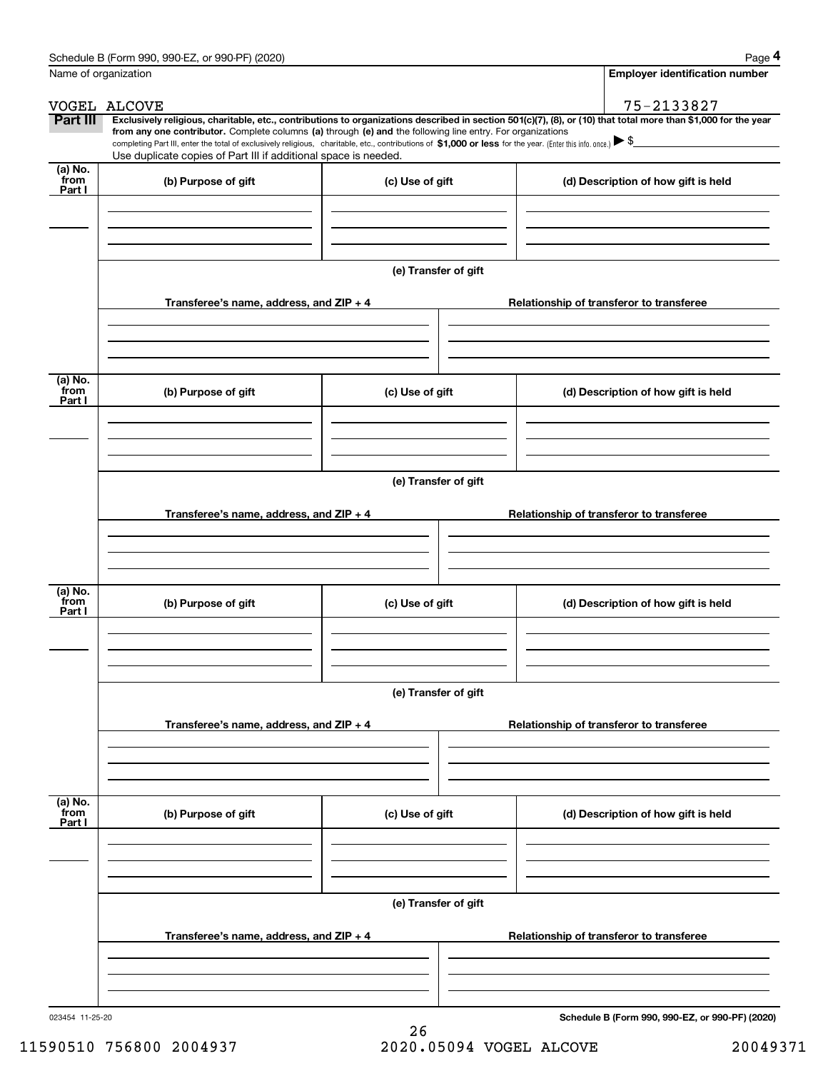|                      | Schedule B (Form 990, 990-EZ, or 990-PF) (2020)                                                                                                                                                                                 |                                          | Page 4                                                                                                                                                         |  |  |  |  |
|----------------------|---------------------------------------------------------------------------------------------------------------------------------------------------------------------------------------------------------------------------------|------------------------------------------|----------------------------------------------------------------------------------------------------------------------------------------------------------------|--|--|--|--|
| Name of organization |                                                                                                                                                                                                                                 |                                          | <b>Employer identification number</b>                                                                                                                          |  |  |  |  |
|                      | VOGEL ALCOVE                                                                                                                                                                                                                    |                                          | 75-2133827                                                                                                                                                     |  |  |  |  |
| <b>Part III</b>      | from any one contributor. Complete columns (a) through (e) and the following line entry. For organizations                                                                                                                      |                                          | Exclusively religious, charitable, etc., contributions to organizations described in section 501(c)(7), (8), or (10) that total more than \$1,000 for the year |  |  |  |  |
|                      | completing Part III, enter the total of exclusively religious, charitable, etc., contributions of \$1,000 or less for the year. (Enter this info. once.) \\$<br>Use duplicate copies of Part III if additional space is needed. |                                          |                                                                                                                                                                |  |  |  |  |
| (a) No.<br>from      |                                                                                                                                                                                                                                 |                                          |                                                                                                                                                                |  |  |  |  |
| Part I               | (b) Purpose of gift                                                                                                                                                                                                             | (c) Use of gift                          | (d) Description of how gift is held                                                                                                                            |  |  |  |  |
|                      |                                                                                                                                                                                                                                 |                                          |                                                                                                                                                                |  |  |  |  |
|                      |                                                                                                                                                                                                                                 |                                          |                                                                                                                                                                |  |  |  |  |
|                      |                                                                                                                                                                                                                                 |                                          |                                                                                                                                                                |  |  |  |  |
|                      |                                                                                                                                                                                                                                 | (e) Transfer of gift                     |                                                                                                                                                                |  |  |  |  |
|                      | Transferee's name, address, and ZIP + 4                                                                                                                                                                                         |                                          | Relationship of transferor to transferee                                                                                                                       |  |  |  |  |
|                      |                                                                                                                                                                                                                                 |                                          |                                                                                                                                                                |  |  |  |  |
|                      |                                                                                                                                                                                                                                 |                                          |                                                                                                                                                                |  |  |  |  |
|                      |                                                                                                                                                                                                                                 |                                          |                                                                                                                                                                |  |  |  |  |
| (a) No.<br>from      | (b) Purpose of gift                                                                                                                                                                                                             | (c) Use of gift                          | (d) Description of how gift is held                                                                                                                            |  |  |  |  |
| Part I               |                                                                                                                                                                                                                                 |                                          |                                                                                                                                                                |  |  |  |  |
|                      |                                                                                                                                                                                                                                 |                                          |                                                                                                                                                                |  |  |  |  |
|                      |                                                                                                                                                                                                                                 |                                          |                                                                                                                                                                |  |  |  |  |
|                      |                                                                                                                                                                                                                                 | (e) Transfer of gift                     |                                                                                                                                                                |  |  |  |  |
|                      |                                                                                                                                                                                                                                 |                                          |                                                                                                                                                                |  |  |  |  |
|                      | Transferee's name, address, and ZIP + 4                                                                                                                                                                                         |                                          | Relationship of transferor to transferee                                                                                                                       |  |  |  |  |
|                      |                                                                                                                                                                                                                                 |                                          |                                                                                                                                                                |  |  |  |  |
|                      |                                                                                                                                                                                                                                 |                                          |                                                                                                                                                                |  |  |  |  |
| (a) No.              |                                                                                                                                                                                                                                 |                                          |                                                                                                                                                                |  |  |  |  |
| from<br>Part I       | (b) Purpose of gift                                                                                                                                                                                                             | (c) Use of gift                          | (d) Description of how gift is held                                                                                                                            |  |  |  |  |
|                      |                                                                                                                                                                                                                                 |                                          |                                                                                                                                                                |  |  |  |  |
|                      |                                                                                                                                                                                                                                 |                                          |                                                                                                                                                                |  |  |  |  |
|                      |                                                                                                                                                                                                                                 |                                          |                                                                                                                                                                |  |  |  |  |
|                      | (e) Transfer of gift                                                                                                                                                                                                            |                                          |                                                                                                                                                                |  |  |  |  |
|                      | Transferee's name, address, and ZIP + 4                                                                                                                                                                                         |                                          | Relationship of transferor to transferee                                                                                                                       |  |  |  |  |
|                      |                                                                                                                                                                                                                                 |                                          |                                                                                                                                                                |  |  |  |  |
|                      |                                                                                                                                                                                                                                 |                                          |                                                                                                                                                                |  |  |  |  |
|                      |                                                                                                                                                                                                                                 |                                          |                                                                                                                                                                |  |  |  |  |
| (a) No.<br>from      |                                                                                                                                                                                                                                 |                                          |                                                                                                                                                                |  |  |  |  |
| Part I               | (b) Purpose of gift                                                                                                                                                                                                             | (c) Use of gift                          | (d) Description of how gift is held                                                                                                                            |  |  |  |  |
|                      |                                                                                                                                                                                                                                 |                                          |                                                                                                                                                                |  |  |  |  |
|                      |                                                                                                                                                                                                                                 |                                          |                                                                                                                                                                |  |  |  |  |
|                      |                                                                                                                                                                                                                                 |                                          |                                                                                                                                                                |  |  |  |  |
|                      | (e) Transfer of gift                                                                                                                                                                                                            |                                          |                                                                                                                                                                |  |  |  |  |
|                      | Transferee's name, address, and $ZIP + 4$                                                                                                                                                                                       | Relationship of transferor to transferee |                                                                                                                                                                |  |  |  |  |
|                      |                                                                                                                                                                                                                                 |                                          |                                                                                                                                                                |  |  |  |  |
|                      |                                                                                                                                                                                                                                 |                                          |                                                                                                                                                                |  |  |  |  |
|                      |                                                                                                                                                                                                                                 |                                          |                                                                                                                                                                |  |  |  |  |
|                      |                                                                                                                                                                                                                                 |                                          |                                                                                                                                                                |  |  |  |  |

**Schedule B (Form 990, 990-EZ, or 990-PF) (2020)**

11590510 756800 2004937 2020.05094 VOGEL ALCOVE 20049371

26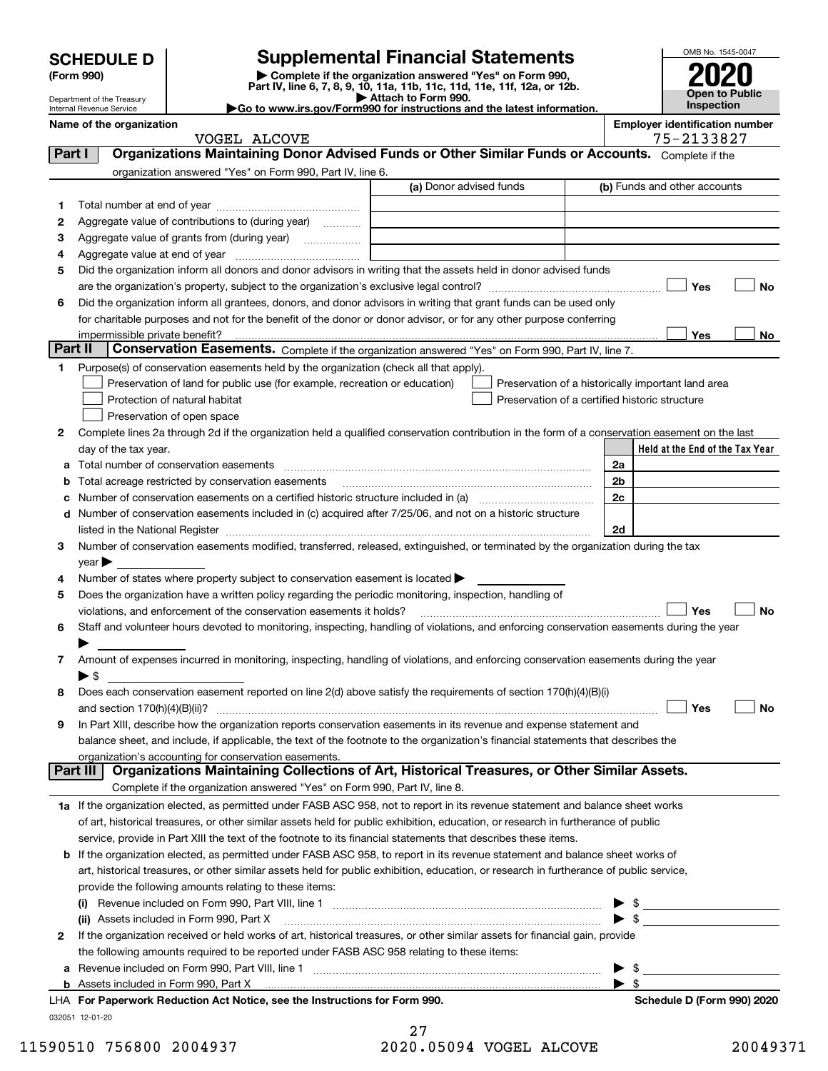| <b>SCHEDULE D</b> |
|-------------------|
|                   |

Department of the Treasury Internal Revenue Service

### **SCHEDULE D Supplemental Financial Statements**

(Form 990)<br>
Pepartment of the Treasury<br>
Department of the Treasury<br>
Department of the Treasury<br>
Department of the Treasury<br> **Co to www.irs.gov/Form990 for instructions and the latest information.**<br> **Co to www.irs.gov/Form9** 



|         | Name of the organization                                                                                                                       |                         | <b>Employer identification number</b><br>75-2133827 |                                                                                                                                                                                                                                                                                                                     |  |           |  |
|---------|------------------------------------------------------------------------------------------------------------------------------------------------|-------------------------|-----------------------------------------------------|---------------------------------------------------------------------------------------------------------------------------------------------------------------------------------------------------------------------------------------------------------------------------------------------------------------------|--|-----------|--|
|         | VOGEL ALCOVE<br>Organizations Maintaining Donor Advised Funds or Other Similar Funds or Accounts. Complete if the                              |                         |                                                     |                                                                                                                                                                                                                                                                                                                     |  |           |  |
| Part I  |                                                                                                                                                |                         |                                                     |                                                                                                                                                                                                                                                                                                                     |  |           |  |
|         | organization answered "Yes" on Form 990, Part IV, line 6.                                                                                      | (a) Donor advised funds |                                                     | (b) Funds and other accounts                                                                                                                                                                                                                                                                                        |  |           |  |
|         |                                                                                                                                                |                         |                                                     |                                                                                                                                                                                                                                                                                                                     |  |           |  |
| 1       |                                                                                                                                                |                         |                                                     |                                                                                                                                                                                                                                                                                                                     |  |           |  |
| 2       | Aggregate value of contributions to (during year)                                                                                              |                         |                                                     |                                                                                                                                                                                                                                                                                                                     |  |           |  |
| 3       | Aggregate value of grants from (during year)                                                                                                   |                         |                                                     |                                                                                                                                                                                                                                                                                                                     |  |           |  |
| 4       |                                                                                                                                                |                         |                                                     |                                                                                                                                                                                                                                                                                                                     |  |           |  |
| 5       | Did the organization inform all donors and donor advisors in writing that the assets held in donor advised funds                               |                         |                                                     |                                                                                                                                                                                                                                                                                                                     |  |           |  |
|         |                                                                                                                                                |                         |                                                     | Yes                                                                                                                                                                                                                                                                                                                 |  | No        |  |
| 6       | Did the organization inform all grantees, donors, and donor advisors in writing that grant funds can be used only                              |                         |                                                     |                                                                                                                                                                                                                                                                                                                     |  |           |  |
|         | for charitable purposes and not for the benefit of the donor or donor advisor, or for any other purpose conferring                             |                         |                                                     |                                                                                                                                                                                                                                                                                                                     |  |           |  |
| Part II | impermissible private benefit?<br>Conservation Easements. Complete if the organization answered "Yes" on Form 990, Part IV, line 7.            |                         |                                                     | Yes                                                                                                                                                                                                                                                                                                                 |  | No        |  |
|         |                                                                                                                                                |                         |                                                     |                                                                                                                                                                                                                                                                                                                     |  |           |  |
| 1       | Purpose(s) of conservation easements held by the organization (check all that apply).                                                          |                         |                                                     |                                                                                                                                                                                                                                                                                                                     |  |           |  |
|         | Preservation of land for public use (for example, recreation or education)                                                                     |                         |                                                     | Preservation of a historically important land area                                                                                                                                                                                                                                                                  |  |           |  |
|         | Protection of natural habitat                                                                                                                  |                         |                                                     | Preservation of a certified historic structure                                                                                                                                                                                                                                                                      |  |           |  |
|         | Preservation of open space                                                                                                                     |                         |                                                     |                                                                                                                                                                                                                                                                                                                     |  |           |  |
| 2       | Complete lines 2a through 2d if the organization held a qualified conservation contribution in the form of a conservation easement on the last |                         |                                                     |                                                                                                                                                                                                                                                                                                                     |  |           |  |
|         | day of the tax year.                                                                                                                           |                         |                                                     | Held at the End of the Tax Year                                                                                                                                                                                                                                                                                     |  |           |  |
| а       |                                                                                                                                                |                         | 2a<br>2 <sub>b</sub>                                |                                                                                                                                                                                                                                                                                                                     |  |           |  |
| b       | Total acreage restricted by conservation easements                                                                                             |                         | 2c                                                  |                                                                                                                                                                                                                                                                                                                     |  |           |  |
| с       | Number of conservation easements included in (c) acquired after 7/25/06, and not on a historic structure                                       |                         |                                                     |                                                                                                                                                                                                                                                                                                                     |  |           |  |
| d       |                                                                                                                                                |                         | 2d                                                  |                                                                                                                                                                                                                                                                                                                     |  |           |  |
| 3       | Number of conservation easements modified, transferred, released, extinguished, or terminated by the organization during the tax               |                         |                                                     |                                                                                                                                                                                                                                                                                                                     |  |           |  |
|         |                                                                                                                                                |                         |                                                     |                                                                                                                                                                                                                                                                                                                     |  |           |  |
| 4       | $\mathsf{year}$<br>Number of states where property subject to conservation easement is located >                                               |                         |                                                     |                                                                                                                                                                                                                                                                                                                     |  |           |  |
| 5       | Does the organization have a written policy regarding the periodic monitoring, inspection, handling of                                         |                         |                                                     |                                                                                                                                                                                                                                                                                                                     |  |           |  |
|         | violations, and enforcement of the conservation easements it holds?                                                                            |                         |                                                     | Yes                                                                                                                                                                                                                                                                                                                 |  | <b>No</b> |  |
| 6       | Staff and volunteer hours devoted to monitoring, inspecting, handling of violations, and enforcing conservation easements during the year      |                         |                                                     |                                                                                                                                                                                                                                                                                                                     |  |           |  |
|         |                                                                                                                                                |                         |                                                     |                                                                                                                                                                                                                                                                                                                     |  |           |  |
| 7       | Amount of expenses incurred in monitoring, inspecting, handling of violations, and enforcing conservation easements during the year            |                         |                                                     |                                                                                                                                                                                                                                                                                                                     |  |           |  |
|         | $\blacktriangleright$ \$                                                                                                                       |                         |                                                     |                                                                                                                                                                                                                                                                                                                     |  |           |  |
| 8       | Does each conservation easement reported on line 2(d) above satisfy the requirements of section 170(h)(4)(B)(i)                                |                         |                                                     |                                                                                                                                                                                                                                                                                                                     |  |           |  |
|         |                                                                                                                                                |                         |                                                     | Yes                                                                                                                                                                                                                                                                                                                 |  | No        |  |
|         | In Part XIII, describe how the organization reports conservation easements in its revenue and expense statement and                            |                         |                                                     |                                                                                                                                                                                                                                                                                                                     |  |           |  |
|         | balance sheet, and include, if applicable, the text of the footnote to the organization's financial statements that describes the              |                         |                                                     |                                                                                                                                                                                                                                                                                                                     |  |           |  |
|         | organization's accounting for conservation easements.                                                                                          |                         |                                                     |                                                                                                                                                                                                                                                                                                                     |  |           |  |
|         | Organizations Maintaining Collections of Art, Historical Treasures, or Other Similar Assets.<br><b>Part III</b>                                |                         |                                                     |                                                                                                                                                                                                                                                                                                                     |  |           |  |
|         | Complete if the organization answered "Yes" on Form 990, Part IV, line 8.                                                                      |                         |                                                     |                                                                                                                                                                                                                                                                                                                     |  |           |  |
|         | 1a If the organization elected, as permitted under FASB ASC 958, not to report in its revenue statement and balance sheet works                |                         |                                                     |                                                                                                                                                                                                                                                                                                                     |  |           |  |
|         | of art, historical treasures, or other similar assets held for public exhibition, education, or research in furtherance of public              |                         |                                                     |                                                                                                                                                                                                                                                                                                                     |  |           |  |
|         | service, provide in Part XIII the text of the footnote to its financial statements that describes these items.                                 |                         |                                                     |                                                                                                                                                                                                                                                                                                                     |  |           |  |
|         | <b>b</b> If the organization elected, as permitted under FASB ASC 958, to report in its revenue statement and balance sheet works of           |                         |                                                     |                                                                                                                                                                                                                                                                                                                     |  |           |  |
|         | art, historical treasures, or other similar assets held for public exhibition, education, or research in furtherance of public service,        |                         |                                                     |                                                                                                                                                                                                                                                                                                                     |  |           |  |
|         | provide the following amounts relating to these items:                                                                                         |                         |                                                     |                                                                                                                                                                                                                                                                                                                     |  |           |  |
|         |                                                                                                                                                |                         |                                                     | $\frac{1}{2}$ $\frac{1}{2}$ $\frac{1}{2}$ $\frac{1}{2}$ $\frac{1}{2}$ $\frac{1}{2}$ $\frac{1}{2}$ $\frac{1}{2}$ $\frac{1}{2}$ $\frac{1}{2}$ $\frac{1}{2}$ $\frac{1}{2}$ $\frac{1}{2}$ $\frac{1}{2}$ $\frac{1}{2}$ $\frac{1}{2}$ $\frac{1}{2}$ $\frac{1}{2}$ $\frac{1}{2}$ $\frac{1}{2}$ $\frac{1}{2}$ $\frac{1}{2}$ |  |           |  |
|         | (ii) Assets included in Form 990, Part X                                                                                                       |                         |                                                     | $\blacktriangleright$ \$                                                                                                                                                                                                                                                                                            |  |           |  |
| 2       | If the organization received or held works of art, historical treasures, or other similar assets for financial gain, provide                   |                         |                                                     |                                                                                                                                                                                                                                                                                                                     |  |           |  |
|         | the following amounts required to be reported under FASB ASC 958 relating to these items:                                                      |                         |                                                     |                                                                                                                                                                                                                                                                                                                     |  |           |  |
| a       |                                                                                                                                                |                         |                                                     | - \$                                                                                                                                                                                                                                                                                                                |  |           |  |
|         |                                                                                                                                                |                         |                                                     | $\blacktriangleright$ s                                                                                                                                                                                                                                                                                             |  |           |  |
|         | LHA For Paperwork Reduction Act Notice, see the Instructions for Form 990.                                                                     |                         |                                                     | Schedule D (Form 990) 2020                                                                                                                                                                                                                                                                                          |  |           |  |
|         | 032051 12-01-20                                                                                                                                |                         |                                                     |                                                                                                                                                                                                                                                                                                                     |  |           |  |
|         |                                                                                                                                                | 27                      |                                                     |                                                                                                                                                                                                                                                                                                                     |  |           |  |

11590510 756800 2004937 2020.05094 VOGEL ALCOVE 20049371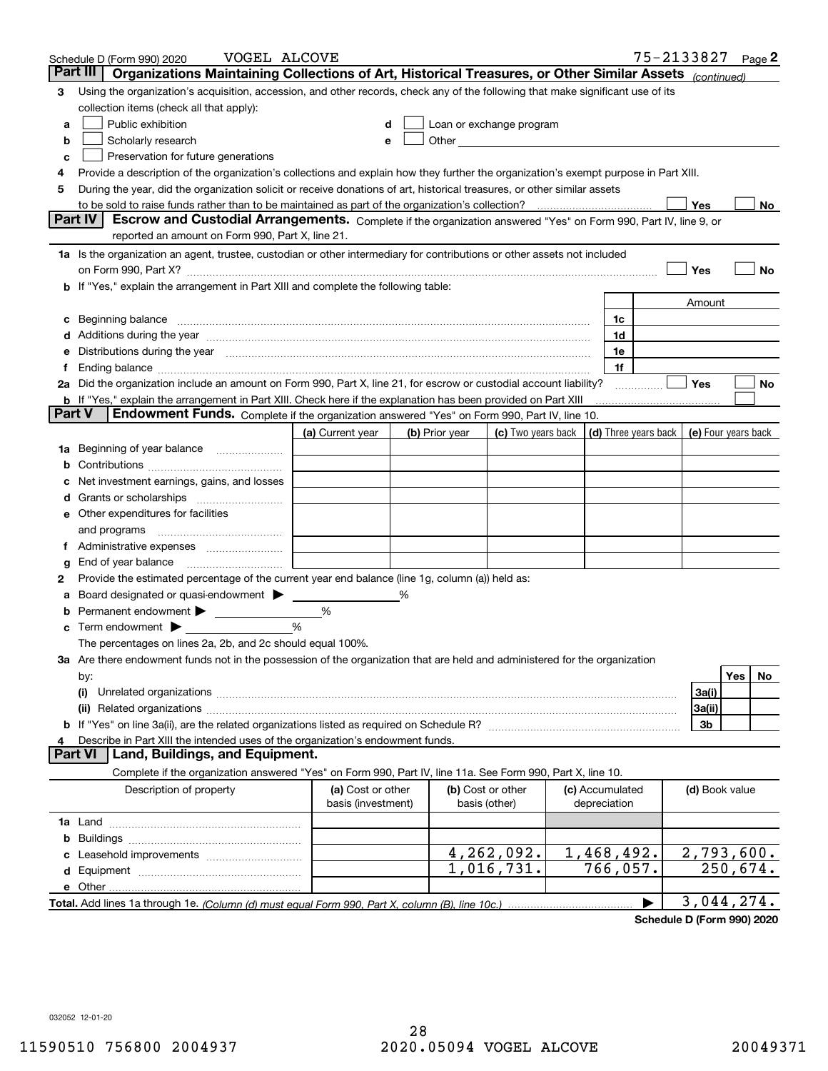|        | VOGEL ALCOVE<br>Schedule D (Form 990) 2020                                                                                                                                                                                     |                                         |   |                |                                                      |                                 | 75-2133827           |                     |          | Page $2$ |
|--------|--------------------------------------------------------------------------------------------------------------------------------------------------------------------------------------------------------------------------------|-----------------------------------------|---|----------------|------------------------------------------------------|---------------------------------|----------------------|---------------------|----------|----------|
|        | Part III<br>Organizations Maintaining Collections of Art, Historical Treasures, or Other Similar Assets (continued)                                                                                                            |                                         |   |                |                                                      |                                 |                      |                     |          |          |
| 3      | Using the organization's acquisition, accession, and other records, check any of the following that make significant use of its                                                                                                |                                         |   |                |                                                      |                                 |                      |                     |          |          |
|        | collection items (check all that apply):                                                                                                                                                                                       |                                         |   |                |                                                      |                                 |                      |                     |          |          |
| a      | Public exhibition                                                                                                                                                                                                              |                                         |   |                | Loan or exchange program                             |                                 |                      |                     |          |          |
| b      | Scholarly research                                                                                                                                                                                                             | е                                       |   |                | Other <b>Committee Committee Committee Committee</b> |                                 |                      |                     |          |          |
| с      | Preservation for future generations                                                                                                                                                                                            |                                         |   |                |                                                      |                                 |                      |                     |          |          |
| 4      | Provide a description of the organization's collections and explain how they further the organization's exempt purpose in Part XIII.                                                                                           |                                         |   |                |                                                      |                                 |                      |                     |          |          |
| 5      | During the year, did the organization solicit or receive donations of art, historical treasures, or other similar assets                                                                                                       |                                         |   |                |                                                      |                                 |                      |                     |          |          |
|        | to be sold to raise funds rather than to be maintained as part of the organization's collection?                                                                                                                               |                                         |   |                |                                                      |                                 |                      | Yes                 |          | No       |
|        | <b>Part IV</b><br>Escrow and Custodial Arrangements. Complete if the organization answered "Yes" on Form 990, Part IV, line 9, or                                                                                              |                                         |   |                |                                                      |                                 |                      |                     |          |          |
|        | reported an amount on Form 990, Part X, line 21.                                                                                                                                                                               |                                         |   |                |                                                      |                                 |                      |                     |          |          |
|        | 1a Is the organization an agent, trustee, custodian or other intermediary for contributions or other assets not included                                                                                                       |                                         |   |                |                                                      |                                 |                      |                     |          |          |
|        | on Form 990, Part X? [11] matter contracts and contracts and contracts are contracted and contracts are contracted and contract and contract of the contract of the contract of the contract of the contract of the contract o |                                         |   |                |                                                      |                                 |                      | Yes                 |          | No       |
|        | b If "Yes," explain the arrangement in Part XIII and complete the following table:                                                                                                                                             |                                         |   |                |                                                      |                                 |                      |                     |          |          |
|        |                                                                                                                                                                                                                                |                                         |   |                |                                                      |                                 |                      | Amount              |          |          |
| c      | Beginning balance material content contracts and content and content and content and content and content and content and content and content and content and content and content and content and content and content and conte |                                         |   |                |                                                      | 1c                              |                      |                     |          |          |
|        | Additions during the year manufactured and an account of the state of the state of the state of the state of the state of the state of the state of the state of the state of the state of the state of the state of the state |                                         |   |                |                                                      | 1d                              |                      |                     |          |          |
|        | Distributions during the year manufactured and an extraordinary of the year manufactured and the year manufactured and the set of the set of the set of the set of the set of the set of the set of the set of the set of the  |                                         |   |                |                                                      | 1e                              |                      |                     |          |          |
| Ť.     |                                                                                                                                                                                                                                |                                         |   |                |                                                      | 1f                              |                      |                     |          |          |
|        | 2a Did the organization include an amount on Form 990, Part X, line 21, for escrow or custodial account liability?                                                                                                             |                                         |   |                |                                                      |                                 | .                    | Yes                 |          | No       |
| Part V | <b>b</b> If "Yes," explain the arrangement in Part XIII. Check here if the explanation has been provided on Part XIII<br>Endowment Funds. Complete if the organization answered "Yes" on Form 990, Part IV, line 10.           |                                         |   |                |                                                      |                                 |                      |                     |          |          |
|        |                                                                                                                                                                                                                                |                                         |   |                |                                                      |                                 |                      |                     |          |          |
|        |                                                                                                                                                                                                                                | (a) Current year                        |   | (b) Prior year | (c) Two years back                                   |                                 | (d) Three years back | (e) Four years back |          |          |
| 1a     | Beginning of year balance                                                                                                                                                                                                      |                                         |   |                |                                                      |                                 |                      |                     |          |          |
|        |                                                                                                                                                                                                                                |                                         |   |                |                                                      |                                 |                      |                     |          |          |
|        | Net investment earnings, gains, and losses                                                                                                                                                                                     |                                         |   |                |                                                      |                                 |                      |                     |          |          |
| d      | e Other expenditures for facilities                                                                                                                                                                                            |                                         |   |                |                                                      |                                 |                      |                     |          |          |
|        |                                                                                                                                                                                                                                |                                         |   |                |                                                      |                                 |                      |                     |          |          |
|        | and programs                                                                                                                                                                                                                   |                                         |   |                |                                                      |                                 |                      |                     |          |          |
|        | End of year balance                                                                                                                                                                                                            |                                         |   |                |                                                      |                                 |                      |                     |          |          |
| g<br>2 | Provide the estimated percentage of the current year end balance (line 1g, column (a)) held as:                                                                                                                                |                                         |   |                |                                                      |                                 |                      |                     |          |          |
| а      | Board designated or quasi-endowment                                                                                                                                                                                            |                                         | % |                |                                                      |                                 |                      |                     |          |          |
|        | Permanent endowment > <u>example</u>                                                                                                                                                                                           | %                                       |   |                |                                                      |                                 |                      |                     |          |          |
| c      | Term endowment $\blacktriangleright$                                                                                                                                                                                           | %                                       |   |                |                                                      |                                 |                      |                     |          |          |
|        | The percentages on lines 2a, 2b, and 2c should equal 100%.                                                                                                                                                                     |                                         |   |                |                                                      |                                 |                      |                     |          |          |
|        | 3a Are there endowment funds not in the possession of the organization that are held and administered for the organization                                                                                                     |                                         |   |                |                                                      |                                 |                      |                     |          |          |
|        | by:                                                                                                                                                                                                                            |                                         |   |                |                                                      |                                 |                      |                     | Yes      | No.      |
|        | (i)                                                                                                                                                                                                                            |                                         |   |                |                                                      |                                 |                      | 3a(i)               |          |          |
|        |                                                                                                                                                                                                                                |                                         |   |                |                                                      |                                 |                      | 3a(ii)              |          |          |
|        |                                                                                                                                                                                                                                |                                         |   |                |                                                      |                                 |                      | 3b                  |          |          |
|        | Describe in Part XIII the intended uses of the organization's endowment funds.                                                                                                                                                 |                                         |   |                |                                                      |                                 |                      |                     |          |          |
|        | Land, Buildings, and Equipment.<br>Part VI                                                                                                                                                                                     |                                         |   |                |                                                      |                                 |                      |                     |          |          |
|        | Complete if the organization answered "Yes" on Form 990, Part IV, line 11a. See Form 990, Part X, line 10.                                                                                                                     |                                         |   |                |                                                      |                                 |                      |                     |          |          |
|        | Description of property                                                                                                                                                                                                        | (a) Cost or other<br>basis (investment) |   |                | (b) Cost or other<br>basis (other)                   | (c) Accumulated<br>depreciation |                      | (d) Book value      |          |          |
|        |                                                                                                                                                                                                                                |                                         |   |                |                                                      |                                 |                      |                     |          |          |
| b      |                                                                                                                                                                                                                                |                                         |   |                |                                                      |                                 |                      |                     |          |          |
|        |                                                                                                                                                                                                                                |                                         |   |                | 4,262,092.                                           | 1,468,492.                      |                      | 2,793,600.          |          |          |
|        |                                                                                                                                                                                                                                |                                         |   |                | 1,016,731.                                           | 766,057.                        |                      |                     | 250,674. |          |
|        |                                                                                                                                                                                                                                |                                         |   |                |                                                      |                                 |                      |                     |          |          |
|        |                                                                                                                                                                                                                                |                                         |   |                |                                                      |                                 |                      | 3,044,274.          |          |          |

**Schedule D (Form 990) 2020**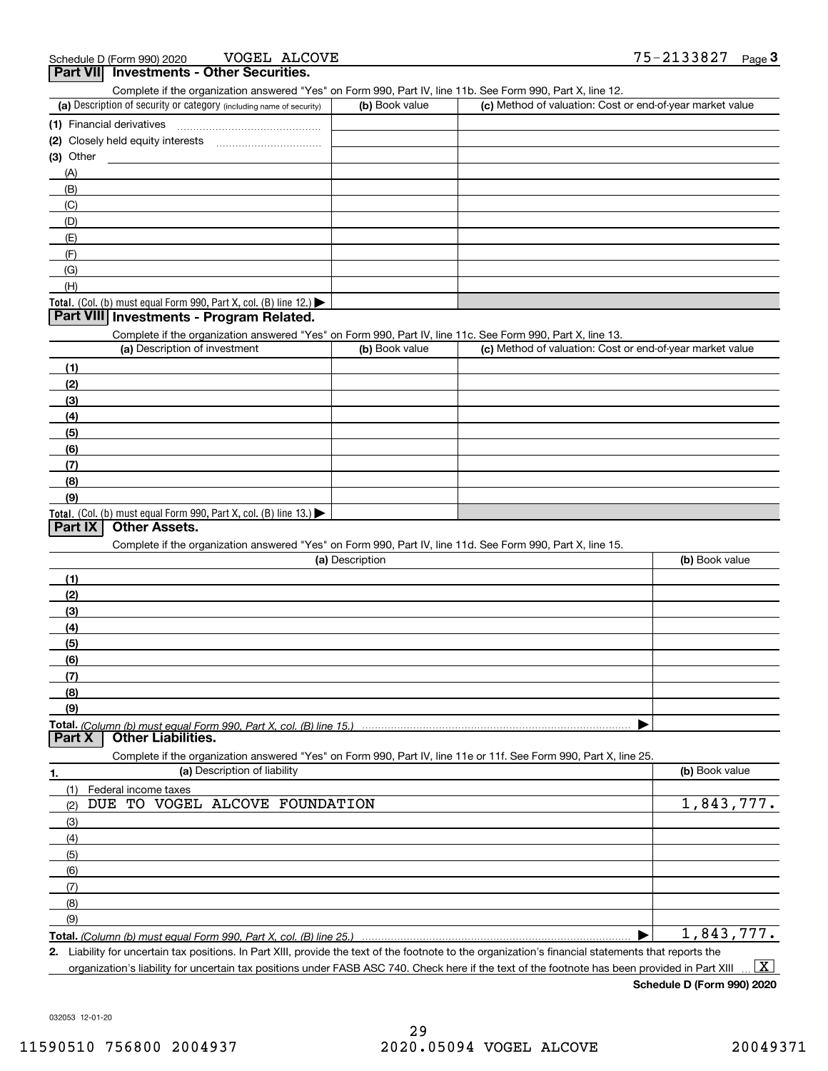VOGEL ALCOVE

| .<br>Complete if the organization answered "Yes" on Form 990, Part IV, line 11b. See Form 990, Part X, line 12.   |                 |                                                           |                |
|-------------------------------------------------------------------------------------------------------------------|-----------------|-----------------------------------------------------------|----------------|
| (a) Description of security or category (including name of security)                                              | (b) Book value  | (c) Method of valuation: Cost or end-of-year market value |                |
| (1) Financial derivatives                                                                                         |                 |                                                           |                |
|                                                                                                                   |                 |                                                           |                |
| (3) Other                                                                                                         |                 |                                                           |                |
| (A)                                                                                                               |                 |                                                           |                |
| (B)                                                                                                               |                 |                                                           |                |
| (C)                                                                                                               |                 |                                                           |                |
| (D)                                                                                                               |                 |                                                           |                |
| (E)                                                                                                               |                 |                                                           |                |
| (F)                                                                                                               |                 |                                                           |                |
| (G)                                                                                                               |                 |                                                           |                |
| (H)                                                                                                               |                 |                                                           |                |
| Total. (Col. (b) must equal Form 990, Part X, col. (B) line 12.) $\blacktriangleright$                            |                 |                                                           |                |
| Part VIII Investments - Program Related.                                                                          |                 |                                                           |                |
| Complete if the organization answered "Yes" on Form 990, Part IV, line 11c. See Form 990, Part X, line 13.        |                 |                                                           |                |
| (a) Description of investment                                                                                     | (b) Book value  | (c) Method of valuation: Cost or end-of-year market value |                |
| (1)                                                                                                               |                 |                                                           |                |
| (2)                                                                                                               |                 |                                                           |                |
| (3)                                                                                                               |                 |                                                           |                |
| (4)                                                                                                               |                 |                                                           |                |
| (5)                                                                                                               |                 |                                                           |                |
| (6)                                                                                                               |                 |                                                           |                |
| (7)                                                                                                               |                 |                                                           |                |
| (8)                                                                                                               |                 |                                                           |                |
| (9)                                                                                                               |                 |                                                           |                |
| Total. (Col. (b) must equal Form 990, Part X, col. (B) line 13.)                                                  |                 |                                                           |                |
| <b>Other Assets.</b><br>Part IX                                                                                   |                 |                                                           |                |
| Complete if the organization answered "Yes" on Form 990, Part IV, line 11d. See Form 990, Part X, line 15.        |                 |                                                           |                |
|                                                                                                                   | (a) Description |                                                           | (b) Book value |
| (1)                                                                                                               |                 |                                                           |                |
| (2)                                                                                                               |                 |                                                           |                |
| (3)                                                                                                               |                 |                                                           |                |
| (4)                                                                                                               |                 |                                                           |                |
| (5)                                                                                                               |                 |                                                           |                |
| (6)                                                                                                               |                 |                                                           |                |
| (7)                                                                                                               |                 |                                                           |                |
| (8)                                                                                                               |                 |                                                           |                |
| (9)                                                                                                               |                 |                                                           |                |
| Total. (Column (b) must equal Form 990. Part X, col. (B) line 15.)                                                |                 |                                                           |                |
| <b>Other Liabilities.</b><br><b>Part X</b>                                                                        |                 |                                                           |                |
| Complete if the organization answered "Yes" on Form 990, Part IV, line 11e or 11f. See Form 990, Part X, line 25. |                 |                                                           |                |
| (a) Description of liability<br>1.                                                                                |                 |                                                           | (b) Book value |
| Federal income taxes<br>(1)                                                                                       |                 |                                                           |                |
| DUE TO VOGEL ALCOVE FOUNDATION<br>(2)                                                                             |                 |                                                           | 1,843,777.     |
| (3)                                                                                                               |                 |                                                           |                |
| (4)                                                                                                               |                 |                                                           |                |
| (5)                                                                                                               |                 |                                                           |                |
| (6)                                                                                                               |                 |                                                           |                |
| (7)                                                                                                               |                 |                                                           |                |
| (8)                                                                                                               |                 |                                                           |                |
| (9)                                                                                                               |                 |                                                           |                |
| Total. (Column (b) must equal Form 990, Part X, col. (B) line 25.)                                                |                 |                                                           | 1,843,777.     |
|                                                                                                                   |                 |                                                           |                |

**2.** Liability for uncertain tax positions. In Part XIII, provide the text of the footnote to the organization's financial statements that reports the organization's liability for uncertain tax positions under FASB ASC 740. Check here if the text of the footnote has been provided in Part XIII  $\boxed{\text{X}}$ 

**Schedule D (Form 990) 2020**

032053 12-01-20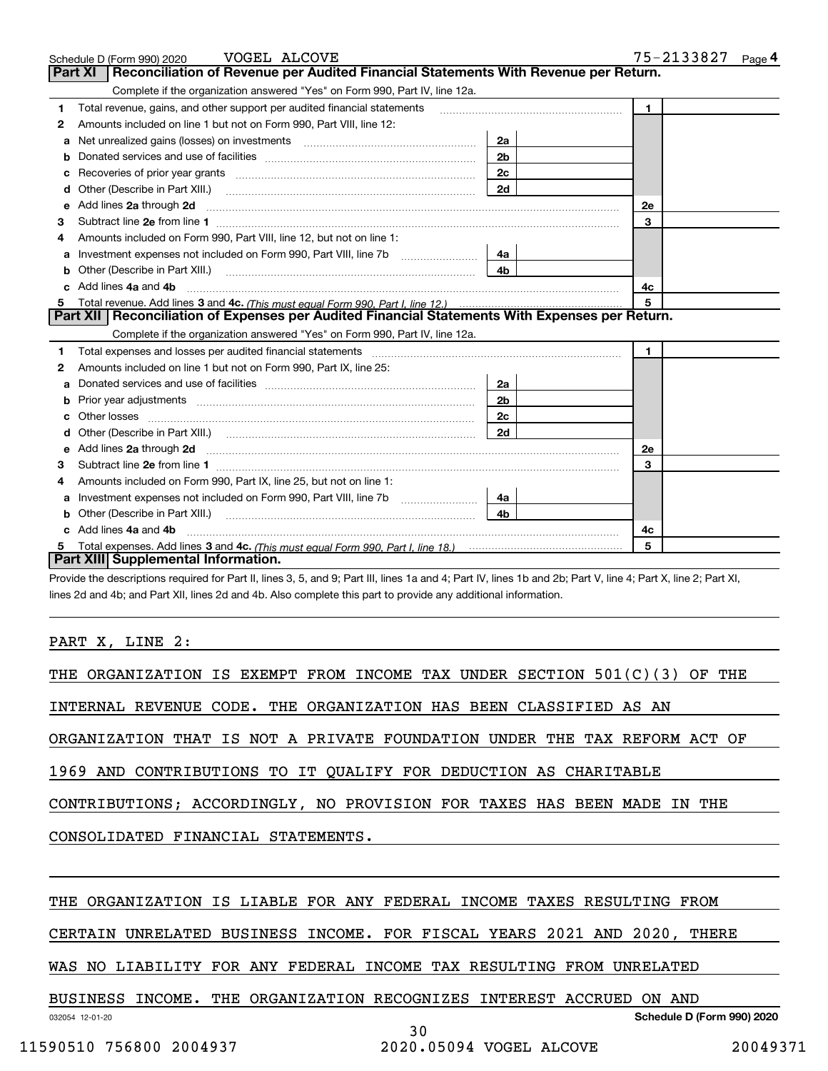|    | Schedule D (Form 990) 2020 VOGEL ALCOVE                                                                                                                                                                                             |                | 75-2133827<br>Page $4$ |
|----|-------------------------------------------------------------------------------------------------------------------------------------------------------------------------------------------------------------------------------------|----------------|------------------------|
|    | Reconciliation of Revenue per Audited Financial Statements With Revenue per Return.<br>Part XI                                                                                                                                      |                |                        |
|    | Complete if the organization answered "Yes" on Form 990, Part IV, line 12a.                                                                                                                                                         |                |                        |
| 1  | Total revenue, gains, and other support per audited financial statements                                                                                                                                                            |                | $\blacksquare$         |
| 2  | Amounts included on line 1 but not on Form 990, Part VIII, line 12:                                                                                                                                                                 |                |                        |
| a  | Net unrealized gains (losses) on investments [11] matter contracts and the unrealized gains (losses) on investments                                                                                                                 | 2a             |                        |
|    |                                                                                                                                                                                                                                     | 2 <sub>b</sub> |                        |
| с  |                                                                                                                                                                                                                                     | 2c             |                        |
| d  | Other (Describe in Part XIII.) <b>2006</b> 2007 2010 2010 2010 2010 2011 2012 2013 2014 2014 2015 2016 2017 2018 2019 2016 2017 2018 2019 2016 2017 2018 2019 2016 2017 2018 2019 2018 2019 2019 2016 2017 2018 2019 2018 2019 2019 | 2d             |                        |
| е  | Add lines 2a through 2d                                                                                                                                                                                                             |                | 2e                     |
| 3  |                                                                                                                                                                                                                                     |                | 3                      |
| 4  | Amounts included on Form 990, Part VIII, line 12, but not on line 1:                                                                                                                                                                |                |                        |
| а  |                                                                                                                                                                                                                                     | 4a             |                        |
| b  | Other (Describe in Part XIII.) <b>Construction Contract Construction</b> Chern Construction Construction Construction                                                                                                               | 4 <sub>b</sub> |                        |
| c. | Add lines 4a and 4b                                                                                                                                                                                                                 |                | 4с                     |
| 5  |                                                                                                                                                                                                                                     | 5              |                        |
|    | Part XII   Reconciliation of Expenses per Audited Financial Statements With Expenses per Return.                                                                                                                                    |                |                        |
|    | Complete if the organization answered "Yes" on Form 990, Part IV, line 12a.                                                                                                                                                         |                |                        |
| 1  | Total expenses and losses per audited financial statements [111] [12] manuscription and statements [13] Total expenses and losses per audited financial statements [13] manuscription and the statements [13] manuscription an      |                | $\blacksquare$         |
| 2  | Amounts included on line 1 but not on Form 990, Part IX, line 25:                                                                                                                                                                   |                |                        |
| a  |                                                                                                                                                                                                                                     | 2a             |                        |
| b  |                                                                                                                                                                                                                                     | 2 <sub>b</sub> |                        |
| c  |                                                                                                                                                                                                                                     | 2 <sub>c</sub> |                        |
|    |                                                                                                                                                                                                                                     | 2d             |                        |
| е  | Add lines 2a through 2d <b>minimum contained a contract and a</b> contract a contract of the contract of the contract of the contract of the contract of the contract of the contract of the contract of the contract of the contra |                | <b>2e</b>              |
| 3  |                                                                                                                                                                                                                                     |                | 3                      |
| 4  | Amounts included on Form 990, Part IX, line 25, but not on line 1:                                                                                                                                                                  |                |                        |
| а  |                                                                                                                                                                                                                                     | 4a             |                        |
|    |                                                                                                                                                                                                                                     | 4b             |                        |
|    | Add lines 4a and 4b                                                                                                                                                                                                                 |                | 4c                     |
|    |                                                                                                                                                                                                                                     |                | 5                      |
|    | Part XIII Supplemental Information.                                                                                                                                                                                                 |                |                        |

Provide the descriptions required for Part II, lines 3, 5, and 9; Part III, lines 1a and 4; Part IV, lines 1b and 2b; Part V, line 4; Part X, line 2; Part XI, lines 2d and 4b; and Part XII, lines 2d and 4b. Also complete this part to provide any additional information.

PART X, LINE 2:

| THE ORGANIZATION IS EXEMPT FROM INCOME TAX UNDER SECTION 501(C)(3) OF THE |  |  |  |  |  |
|---------------------------------------------------------------------------|--|--|--|--|--|
| INTERNAL REVENUE CODE. THE ORGANIZATION HAS BEEN CLASSIFIED AS AN         |  |  |  |  |  |
| ORGANIZATION THAT IS NOT A PRIVATE FOUNDATION UNDER THE TAX REFORM ACT OF |  |  |  |  |  |
| 1969 AND CONTRIBUTIONS TO IT QUALIFY FOR DEDUCTION AS CHARITABLE          |  |  |  |  |  |
| CONTRIBUTIONS; ACCORDINGLY, NO PROVISION FOR TAXES HAS BEEN MADE IN THE   |  |  |  |  |  |
| CONSOLIDATED FINANCIAL STATEMENTS.                                        |  |  |  |  |  |
|                                                                           |  |  |  |  |  |
| THE ORGANIZATION IS LIABLE FOR ANY FEDERAL INCOME TAXES RESULTING FROM    |  |  |  |  |  |

CERTAIN UNRELATED BUSINESS INCOME. FOR FISCAL YEARS 2021 AND 2020, THERE

30

WAS NO LIABILITY FOR ANY FEDERAL INCOME TAX RESULTING FROM UNRELATED

BUSINESS INCOME. THE ORGANIZATION RECOGNIZES INTEREST ACCRUED ON AND

032054 12-01-20

**Schedule D (Form 990) 2020**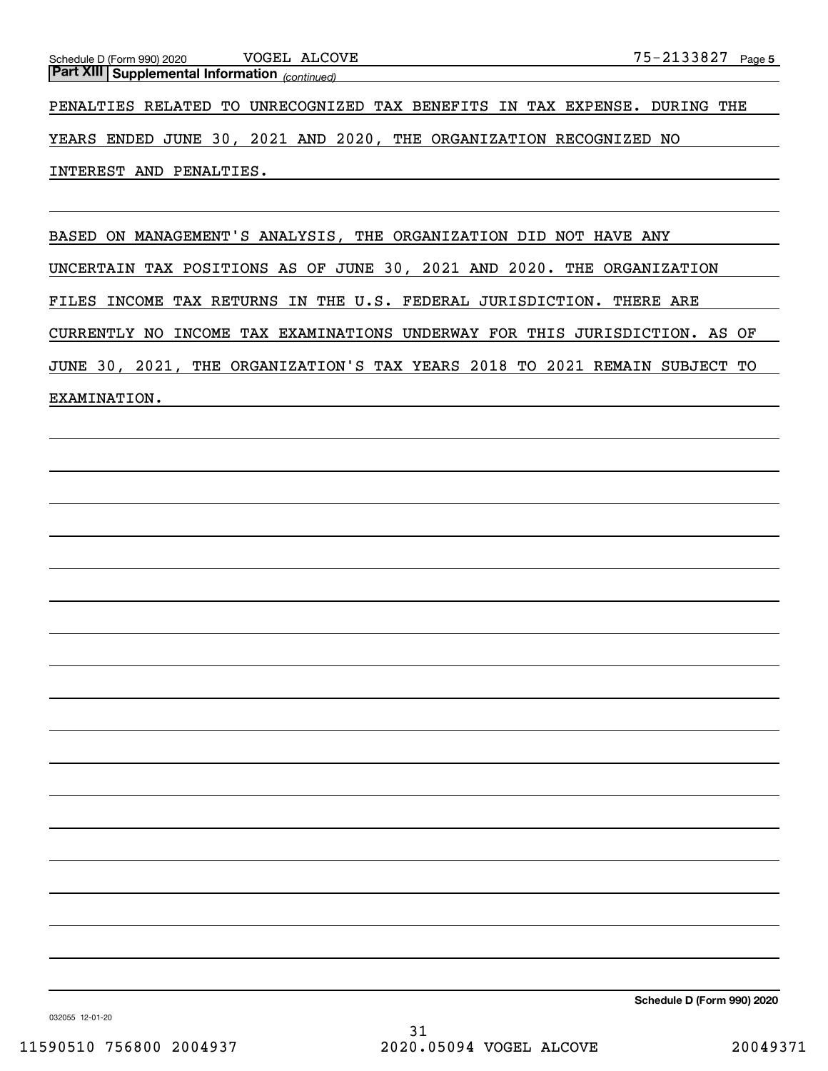*(continued)* **Part XIII Supplemental Information**  Schedule D (Form 990) 2020 VOGEL ALCOVE

PENALTIES RELATED TO UNRECOGNIZED TAX BENEFITS IN TAX EXPENSE. DURING THE

YEARS ENDED JUNE 30, 2021 AND 2020, THE ORGANIZATION RECOGNIZED NO

INTEREST AND PENALTIES.

BASED ON MANAGEMENT'S ANALYSIS, THE ORGANIZATION DID NOT HAVE ANY UNCERTAIN TAX POSITIONS AS OF JUNE 30, 2021 AND 2020. THE ORGANIZATION FILES INCOME TAX RETURNS IN THE U.S. FEDERAL JURISDICTION. THERE ARE CURRENTLY NO INCOME TAX EXAMINATIONS UNDERWAY FOR THIS JURISDICTION. AS OF JUNE 30, 2021, THE ORGANIZATION'S TAX YEARS 2018 TO 2021 REMAIN SUBJECT TO EXAMINATION.

**Schedule D (Form 990) 2020**

032055 12-01-20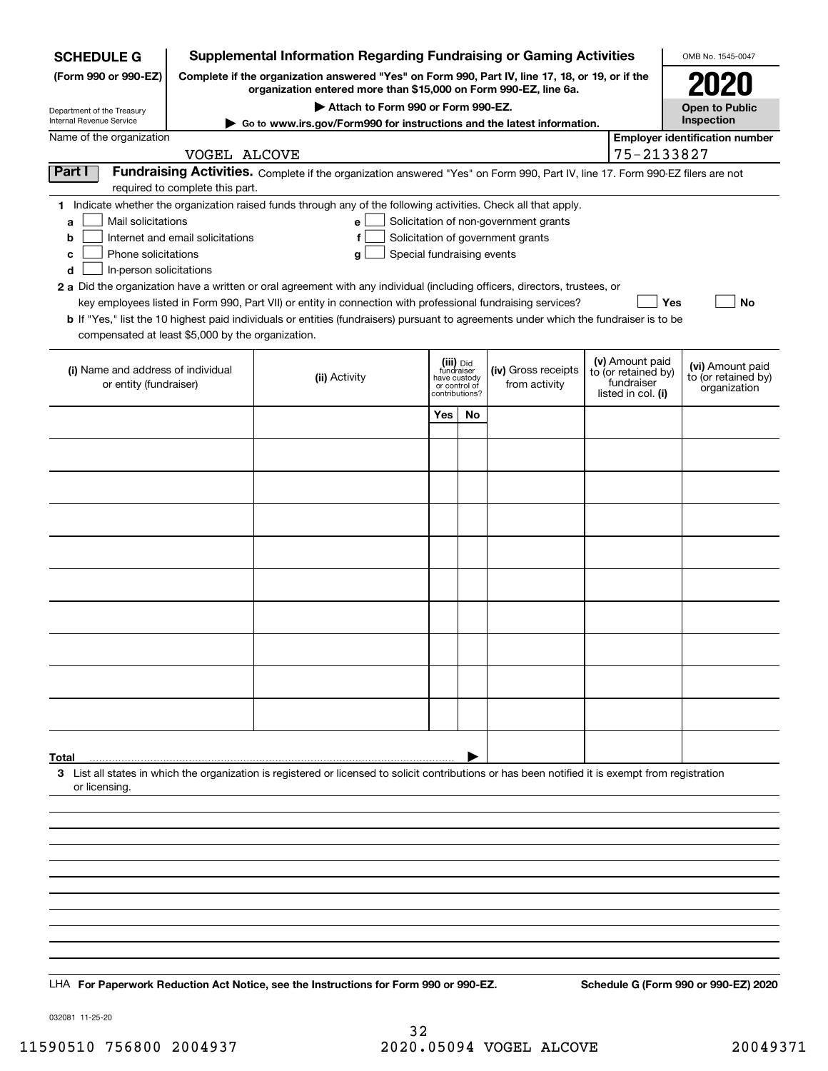| <b>Supplemental Information Regarding Fundraising or Gaming Activities</b><br><b>SCHEDULE G</b>                                                                                                                                                             |                                                                                                                                                                     |                                                                                                                                                                                                                                                                                                                                                                                                                                                                                                                                                    |     |           | OMB No. 1545-0047                                                          |                                                         |            |                                       |
|-------------------------------------------------------------------------------------------------------------------------------------------------------------------------------------------------------------------------------------------------------------|---------------------------------------------------------------------------------------------------------------------------------------------------------------------|----------------------------------------------------------------------------------------------------------------------------------------------------------------------------------------------------------------------------------------------------------------------------------------------------------------------------------------------------------------------------------------------------------------------------------------------------------------------------------------------------------------------------------------------------|-----|-----------|----------------------------------------------------------------------------|---------------------------------------------------------|------------|---------------------------------------|
| (Form 990 or 990-EZ)                                                                                                                                                                                                                                        | Complete if the organization answered "Yes" on Form 990, Part IV, line 17, 18, or 19, or if the<br>organization entered more than \$15,000 on Form 990-EZ, line 6a. |                                                                                                                                                                                                                                                                                                                                                                                                                                                                                                                                                    |     |           |                                                                            |                                                         |            |                                       |
| Attach to Form 990 or Form 990-EZ.<br>Department of the Treasury<br>Internal Revenue Service<br>► Go to www.irs.gov/Form990 for instructions and the latest information.                                                                                    |                                                                                                                                                                     |                                                                                                                                                                                                                                                                                                                                                                                                                                                                                                                                                    |     |           |                                                                            |                                                         |            | <b>Open to Public</b><br>Inspection   |
| Name of the organization                                                                                                                                                                                                                                    |                                                                                                                                                                     |                                                                                                                                                                                                                                                                                                                                                                                                                                                                                                                                                    |     |           |                                                                            |                                                         |            | <b>Employer identification number</b> |
|                                                                                                                                                                                                                                                             | VOGEL ALCOVE                                                                                                                                                        |                                                                                                                                                                                                                                                                                                                                                                                                                                                                                                                                                    |     |           |                                                                            |                                                         | 75-2133827 |                                       |
| Part I                                                                                                                                                                                                                                                      | required to complete this part.                                                                                                                                     | Fundraising Activities. Complete if the organization answered "Yes" on Form 990, Part IV, line 17. Form 990-EZ filers are not                                                                                                                                                                                                                                                                                                                                                                                                                      |     |           |                                                                            |                                                         |            |                                       |
| Mail solicitations<br>a<br>b<br>Phone solicitations<br>с<br>In-person solicitations<br>d<br>compensated at least \$5,000 by the organization.                                                                                                               | Internet and email solicitations                                                                                                                                    | 1 Indicate whether the organization raised funds through any of the following activities. Check all that apply.<br>е<br>f<br>Special fundraising events<br>g<br>2 a Did the organization have a written or oral agreement with any individual (including officers, directors, trustees, or<br>key employees listed in Form 990, Part VII) or entity in connection with professional fundraising services?<br>b If "Yes," list the 10 highest paid individuals or entities (fundraisers) pursuant to agreements under which the fundraiser is to be |     |           | Solicitation of non-government grants<br>Solicitation of government grants |                                                         | <b>Yes</b> | <b>No</b>                             |
| (v) Amount paid<br>(iii) Did<br>fundraiser<br>(iv) Gross receipts<br>(i) Name and address of individual<br>to (or retained by)<br>(ii) Activity<br>have custody<br>fundraiser<br>from activity<br>or entity (fundraiser)<br>or control of<br>contributions? |                                                                                                                                                                     |                                                                                                                                                                                                                                                                                                                                                                                                                                                                                                                                                    |     |           | listed in col. (i)                                                         | (vi) Amount paid<br>to (or retained by)<br>organization |            |                                       |
|                                                                                                                                                                                                                                                             |                                                                                                                                                                     |                                                                                                                                                                                                                                                                                                                                                                                                                                                                                                                                                    | Yes | <b>No</b> |                                                                            |                                                         |            |                                       |
|                                                                                                                                                                                                                                                             |                                                                                                                                                                     |                                                                                                                                                                                                                                                                                                                                                                                                                                                                                                                                                    |     |           |                                                                            |                                                         |            |                                       |
|                                                                                                                                                                                                                                                             |                                                                                                                                                                     |                                                                                                                                                                                                                                                                                                                                                                                                                                                                                                                                                    |     |           |                                                                            |                                                         |            |                                       |
|                                                                                                                                                                                                                                                             |                                                                                                                                                                     |                                                                                                                                                                                                                                                                                                                                                                                                                                                                                                                                                    |     |           |                                                                            |                                                         |            |                                       |
|                                                                                                                                                                                                                                                             |                                                                                                                                                                     |                                                                                                                                                                                                                                                                                                                                                                                                                                                                                                                                                    |     |           |                                                                            |                                                         |            |                                       |
|                                                                                                                                                                                                                                                             |                                                                                                                                                                     |                                                                                                                                                                                                                                                                                                                                                                                                                                                                                                                                                    |     |           |                                                                            |                                                         |            |                                       |
|                                                                                                                                                                                                                                                             |                                                                                                                                                                     |                                                                                                                                                                                                                                                                                                                                                                                                                                                                                                                                                    |     |           |                                                                            |                                                         |            |                                       |
|                                                                                                                                                                                                                                                             |                                                                                                                                                                     |                                                                                                                                                                                                                                                                                                                                                                                                                                                                                                                                                    |     |           |                                                                            |                                                         |            |                                       |
|                                                                                                                                                                                                                                                             |                                                                                                                                                                     |                                                                                                                                                                                                                                                                                                                                                                                                                                                                                                                                                    |     |           |                                                                            |                                                         |            |                                       |
|                                                                                                                                                                                                                                                             |                                                                                                                                                                     |                                                                                                                                                                                                                                                                                                                                                                                                                                                                                                                                                    |     |           |                                                                            |                                                         |            |                                       |
|                                                                                                                                                                                                                                                             |                                                                                                                                                                     |                                                                                                                                                                                                                                                                                                                                                                                                                                                                                                                                                    |     |           |                                                                            |                                                         |            |                                       |
|                                                                                                                                                                                                                                                             |                                                                                                                                                                     |                                                                                                                                                                                                                                                                                                                                                                                                                                                                                                                                                    |     |           |                                                                            |                                                         |            |                                       |
|                                                                                                                                                                                                                                                             |                                                                                                                                                                     |                                                                                                                                                                                                                                                                                                                                                                                                                                                                                                                                                    |     |           |                                                                            |                                                         |            |                                       |
|                                                                                                                                                                                                                                                             |                                                                                                                                                                     |                                                                                                                                                                                                                                                                                                                                                                                                                                                                                                                                                    |     |           |                                                                            |                                                         |            |                                       |
| Total                                                                                                                                                                                                                                                       |                                                                                                                                                                     |                                                                                                                                                                                                                                                                                                                                                                                                                                                                                                                                                    |     |           |                                                                            |                                                         |            |                                       |
| or licensing.                                                                                                                                                                                                                                               |                                                                                                                                                                     | 3 List all states in which the organization is registered or licensed to solicit contributions or has been notified it is exempt from registration                                                                                                                                                                                                                                                                                                                                                                                                 |     |           |                                                                            |                                                         |            |                                       |
|                                                                                                                                                                                                                                                             |                                                                                                                                                                     |                                                                                                                                                                                                                                                                                                                                                                                                                                                                                                                                                    |     |           |                                                                            |                                                         |            |                                       |
|                                                                                                                                                                                                                                                             |                                                                                                                                                                     |                                                                                                                                                                                                                                                                                                                                                                                                                                                                                                                                                    |     |           |                                                                            |                                                         |            |                                       |
|                                                                                                                                                                                                                                                             |                                                                                                                                                                     |                                                                                                                                                                                                                                                                                                                                                                                                                                                                                                                                                    |     |           |                                                                            |                                                         |            |                                       |
|                                                                                                                                                                                                                                                             |                                                                                                                                                                     |                                                                                                                                                                                                                                                                                                                                                                                                                                                                                                                                                    |     |           |                                                                            |                                                         |            |                                       |
|                                                                                                                                                                                                                                                             |                                                                                                                                                                     |                                                                                                                                                                                                                                                                                                                                                                                                                                                                                                                                                    |     |           |                                                                            |                                                         |            |                                       |
|                                                                                                                                                                                                                                                             |                                                                                                                                                                     |                                                                                                                                                                                                                                                                                                                                                                                                                                                                                                                                                    |     |           |                                                                            |                                                         |            |                                       |
|                                                                                                                                                                                                                                                             |                                                                                                                                                                     |                                                                                                                                                                                                                                                                                                                                                                                                                                                                                                                                                    |     |           |                                                                            |                                                         |            |                                       |
|                                                                                                                                                                                                                                                             |                                                                                                                                                                     |                                                                                                                                                                                                                                                                                                                                                                                                                                                                                                                                                    |     |           |                                                                            |                                                         |            |                                       |
|                                                                                                                                                                                                                                                             |                                                                                                                                                                     | LHA For Paperwork Reduction Act Notice, see the Instructions for Form 990 or 990-EZ.                                                                                                                                                                                                                                                                                                                                                                                                                                                               |     |           |                                                                            |                                                         |            | Schedule G (Form 990 or 990-EZ) 2020  |

032081 11-25-20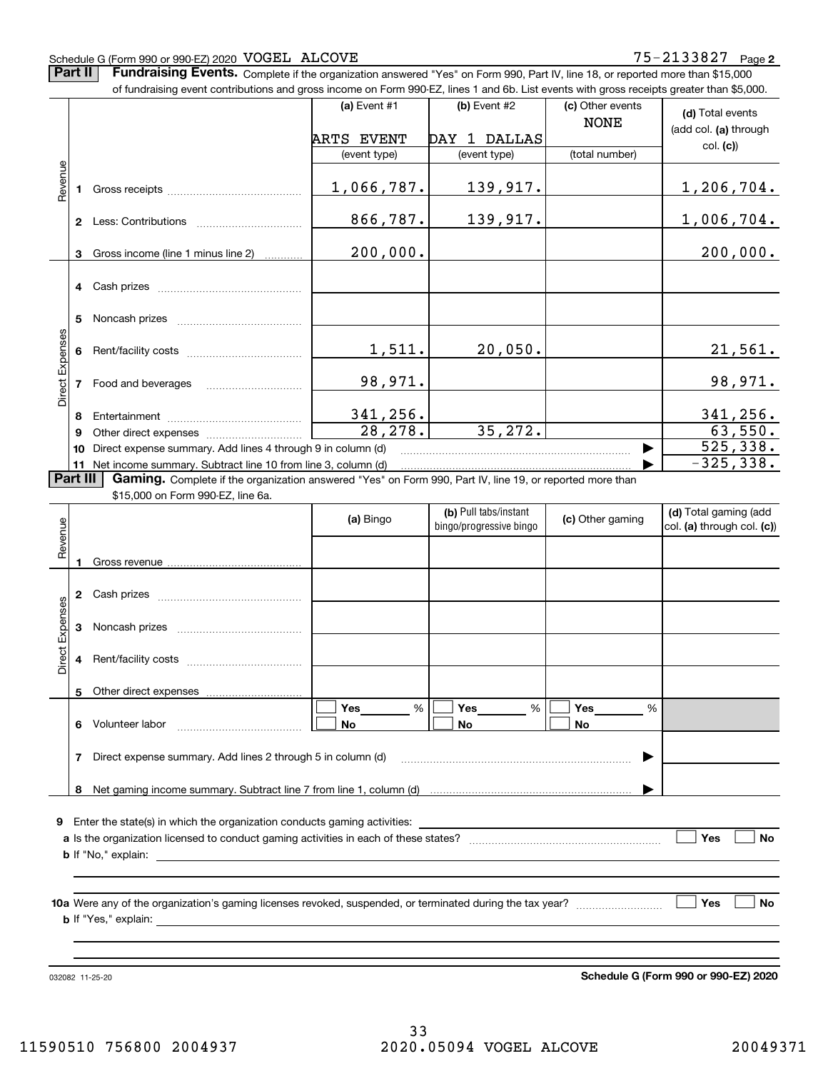#### Schedule G (Form 990 or 990-EZ) 2020 Page VOGEL ALCOVE 75-2133827

**Part II** | Fundraising Events. Complete if the organization answered "Yes" on Form 990, Part IV, line 18, or reported more than \$15,000

|                 |          | of fundraising event contributions and gross income on Form 990-EZ, lines 1 and 6b. List events with gross receipts greater than \$5,000.     |                       |                         |                                 |                            |
|-----------------|----------|-----------------------------------------------------------------------------------------------------------------------------------------------|-----------------------|-------------------------|---------------------------------|----------------------------|
|                 |          |                                                                                                                                               | (a) Event #1          | (b) Event #2            | (c) Other events<br><b>NONE</b> | (d) Total events           |
|                 |          |                                                                                                                                               | <b>ARTS EVENT</b>     | DAY 1 DALLAS            |                                 | (add col. (a) through      |
|                 |          |                                                                                                                                               | (event type)          | (event type)            | (total number)                  | col. (c)                   |
|                 |          |                                                                                                                                               |                       |                         |                                 |                            |
| Revenue         |          |                                                                                                                                               | 1,066,787.            | 139,917.                |                                 | 1,206,704.                 |
|                 |          |                                                                                                                                               |                       |                         |                                 |                            |
|                 |          |                                                                                                                                               | 866,787.              | 139,917.                |                                 | 1,006,704.                 |
|                 |          | 3 Gross income (line 1 minus line 2)                                                                                                          | 200,000.              |                         |                                 | 200,000.                   |
|                 |          |                                                                                                                                               |                       |                         |                                 |                            |
|                 |          |                                                                                                                                               |                       |                         |                                 |                            |
|                 |          |                                                                                                                                               |                       |                         |                                 |                            |
|                 | 5.       |                                                                                                                                               |                       |                         |                                 |                            |
|                 |          |                                                                                                                                               | 1,511.                | 20,050.                 |                                 | 21,561.                    |
|                 |          |                                                                                                                                               |                       |                         |                                 |                            |
| Direct Expenses |          |                                                                                                                                               | 98,971.               |                         |                                 | 98,971.                    |
|                 |          |                                                                                                                                               |                       |                         |                                 |                            |
|                 | 8        |                                                                                                                                               | 341,256.              |                         |                                 | 341, 256.                  |
|                 | 9        |                                                                                                                                               | $\overline{28,278}$ . | 35, 272.                |                                 | 63,550.                    |
|                 | 10       | Direct expense summary. Add lines 4 through 9 in column (d)                                                                                   |                       |                         |                                 | 525, 338.                  |
|                 | Part III | 11 Net income summary. Subtract line 10 from line 3, column (d)                                                                               |                       |                         |                                 | $-325, 338.$               |
|                 |          | Gaming. Complete if the organization answered "Yes" on Form 990, Part IV, line 19, or reported more than<br>\$15,000 on Form 990-EZ, line 6a. |                       |                         |                                 |                            |
|                 |          |                                                                                                                                               |                       | (b) Pull tabs/instant   |                                 | (d) Total gaming (add      |
|                 |          |                                                                                                                                               | (a) Bingo             | bingo/progressive bingo | (c) Other gaming                | col. (a) through col. (c)) |
| Revenue         |          |                                                                                                                                               |                       |                         |                                 |                            |
|                 |          |                                                                                                                                               |                       |                         |                                 |                            |
|                 |          |                                                                                                                                               |                       |                         |                                 |                            |
|                 |          |                                                                                                                                               |                       |                         |                                 |                            |
|                 |          |                                                                                                                                               |                       |                         |                                 |                            |
|                 |          |                                                                                                                                               |                       |                         |                                 |                            |
| Direct Expenses |          |                                                                                                                                               |                       |                         |                                 |                            |
|                 |          |                                                                                                                                               |                       |                         |                                 |                            |
|                 |          | 5 Other direct expenses                                                                                                                       |                       |                         |                                 |                            |
|                 |          |                                                                                                                                               | Yes<br>%              | Yes<br>%                | Yes<br>%                        |                            |
|                 |          | 6 Volunteer labor                                                                                                                             | No                    | No.                     | No                              |                            |
|                 |          |                                                                                                                                               |                       |                         |                                 |                            |
|                 |          | 7 Direct expense summary. Add lines 2 through 5 in column (d)                                                                                 |                       |                         |                                 |                            |
|                 |          |                                                                                                                                               |                       |                         |                                 |                            |
|                 |          |                                                                                                                                               |                       |                         |                                 |                            |
|                 |          |                                                                                                                                               |                       |                         |                                 |                            |
|                 |          |                                                                                                                                               |                       |                         |                                 |                            |
|                 |          |                                                                                                                                               |                       |                         |                                 | Yes<br>No                  |
|                 |          |                                                                                                                                               |                       |                         |                                 |                            |
|                 |          |                                                                                                                                               |                       |                         |                                 |                            |
|                 |          |                                                                                                                                               |                       |                         |                                 | Yes<br>No                  |
|                 |          |                                                                                                                                               |                       |                         |                                 |                            |
|                 |          |                                                                                                                                               |                       |                         |                                 |                            |
|                 |          |                                                                                                                                               |                       |                         |                                 |                            |

032082 11-25-20

**Schedule G (Form 990 or 990-EZ) 2020**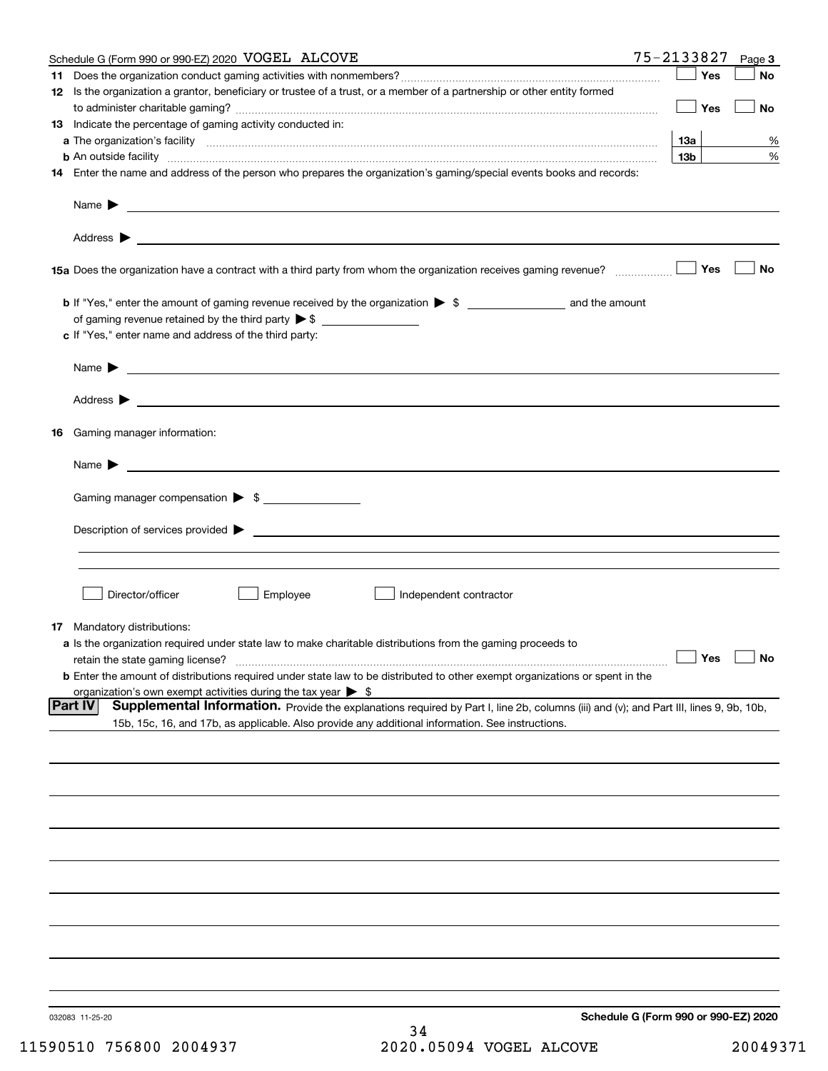|                 | Schedule G (Form 990 or 990-EZ) 2020 VOGEL ALCOVE                                                                                                                                                                                          | 75-2133827                           |     | Page 3    |
|-----------------|--------------------------------------------------------------------------------------------------------------------------------------------------------------------------------------------------------------------------------------------|--------------------------------------|-----|-----------|
|                 |                                                                                                                                                                                                                                            |                                      | Yes | No        |
|                 | 12 Is the organization a grantor, beneficiary or trustee of a trust, or a member of a partnership or other entity formed                                                                                                                   |                                      | Yes | No        |
|                 | <b>13</b> Indicate the percentage of gaming activity conducted in:                                                                                                                                                                         |                                      |     |           |
|                 |                                                                                                                                                                                                                                            | 13а                                  |     | %         |
|                 | <b>b</b> An outside facility <b>contained an according to the contract of the contract of the contract of the contract of the contract of the contract of the contract of the contract of the contract of the contract of the contrac</b>  | 13 <sub>b</sub>                      |     | %         |
|                 | 14 Enter the name and address of the person who prepares the organization's gaming/special events books and records:                                                                                                                       |                                      |     |           |
|                 |                                                                                                                                                                                                                                            |                                      |     |           |
|                 |                                                                                                                                                                                                                                            |                                      |     |           |
|                 |                                                                                                                                                                                                                                            |                                      | Yes | No        |
|                 |                                                                                                                                                                                                                                            |                                      |     |           |
|                 | of gaming revenue retained by the third party $\triangleright$ \$<br>c If "Yes," enter name and address of the third party:                                                                                                                |                                      |     |           |
|                 | <u> 1989 - Johann Barbara, marka a shekara tsa na shekara tsa na shekara tsa na shekara tsa na shekara tsa na sh</u><br>Name $\blacktriangleright$                                                                                         |                                      |     |           |
|                 |                                                                                                                                                                                                                                            |                                      |     |           |
| 16              | Gaming manager information:                                                                                                                                                                                                                |                                      |     |           |
|                 | $Name \rightarrow$                                                                                                                                                                                                                         |                                      |     |           |
|                 | Gaming manager compensation > \$                                                                                                                                                                                                           |                                      |     |           |
|                 |                                                                                                                                                                                                                                            |                                      |     |           |
|                 |                                                                                                                                                                                                                                            |                                      |     |           |
|                 |                                                                                                                                                                                                                                            |                                      |     |           |
|                 | Director/officer<br>Employee<br>Independent contractor                                                                                                                                                                                     |                                      |     |           |
|                 | <b>17</b> Mandatory distributions:                                                                                                                                                                                                         |                                      |     |           |
|                 | a Is the organization required under state law to make charitable distributions from the gaming proceeds to<br>retain the state gaming license?                                                                                            | $\Box$ Yes                           |     | $\Box$ No |
|                 | <b>b</b> Enter the amount of distributions required under state law to be distributed to other exempt organizations or spent in the                                                                                                        |                                      |     |           |
|                 | organization's own exempt activities during the tax year $\triangleright$ \$                                                                                                                                                               |                                      |     |           |
| <b>Part IV</b>  | Supplemental Information. Provide the explanations required by Part I, line 2b, columns (iii) and (v); and Part III, lines 9, 9b, 10b,<br>15b, 15c, 16, and 17b, as applicable. Also provide any additional information. See instructions. |                                      |     |           |
|                 |                                                                                                                                                                                                                                            |                                      |     |           |
|                 |                                                                                                                                                                                                                                            |                                      |     |           |
|                 |                                                                                                                                                                                                                                            |                                      |     |           |
|                 |                                                                                                                                                                                                                                            |                                      |     |           |
|                 |                                                                                                                                                                                                                                            |                                      |     |           |
|                 |                                                                                                                                                                                                                                            |                                      |     |           |
|                 |                                                                                                                                                                                                                                            |                                      |     |           |
|                 |                                                                                                                                                                                                                                            |                                      |     |           |
|                 |                                                                                                                                                                                                                                            |                                      |     |           |
| 032083 11-25-20 |                                                                                                                                                                                                                                            | Schedule G (Form 990 or 990-EZ) 2020 |     |           |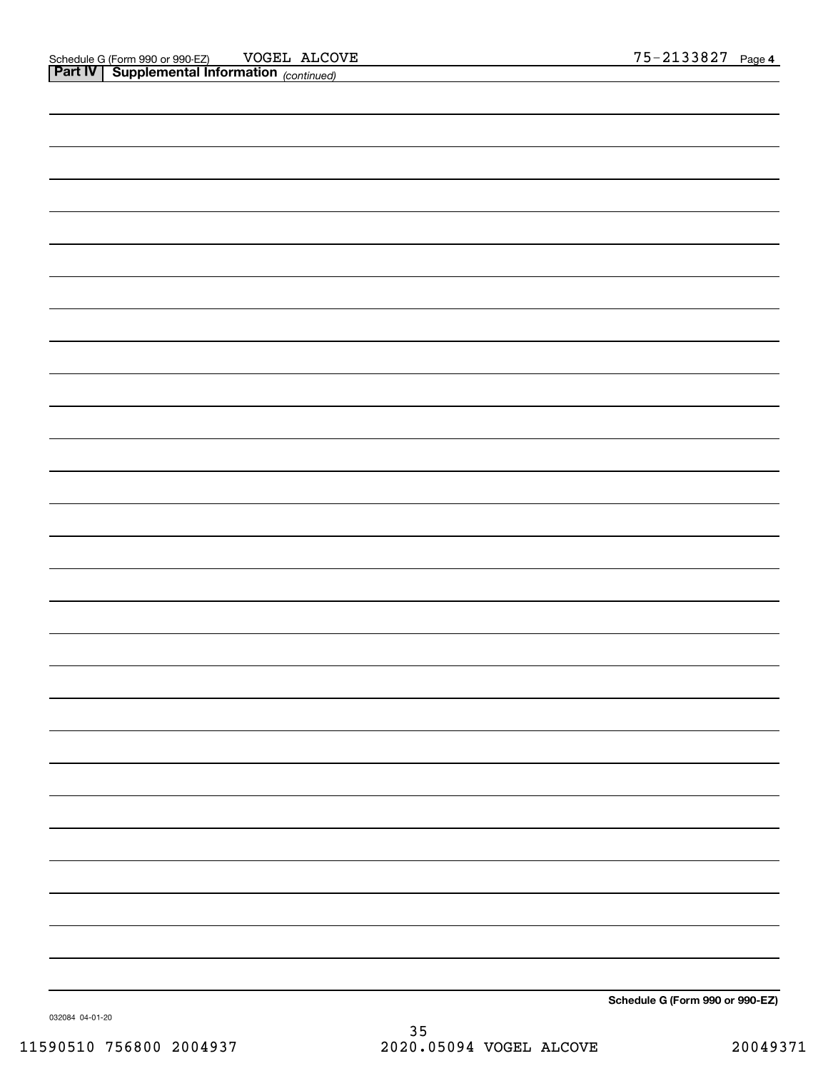| <b>Part IV Supplemental Information</b> (continued) |                                                                                                                                                                                                                                  |
|-----------------------------------------------------|----------------------------------------------------------------------------------------------------------------------------------------------------------------------------------------------------------------------------------|
|                                                     |                                                                                                                                                                                                                                  |
|                                                     |                                                                                                                                                                                                                                  |
|                                                     |                                                                                                                                                                                                                                  |
|                                                     |                                                                                                                                                                                                                                  |
|                                                     |                                                                                                                                                                                                                                  |
|                                                     |                                                                                                                                                                                                                                  |
|                                                     |                                                                                                                                                                                                                                  |
|                                                     |                                                                                                                                                                                                                                  |
|                                                     |                                                                                                                                                                                                                                  |
|                                                     |                                                                                                                                                                                                                                  |
|                                                     |                                                                                                                                                                                                                                  |
|                                                     |                                                                                                                                                                                                                                  |
|                                                     |                                                                                                                                                                                                                                  |
|                                                     |                                                                                                                                                                                                                                  |
|                                                     |                                                                                                                                                                                                                                  |
|                                                     |                                                                                                                                                                                                                                  |
|                                                     |                                                                                                                                                                                                                                  |
|                                                     |                                                                                                                                                                                                                                  |
|                                                     |                                                                                                                                                                                                                                  |
|                                                     |                                                                                                                                                                                                                                  |
|                                                     |                                                                                                                                                                                                                                  |
|                                                     |                                                                                                                                                                                                                                  |
|                                                     |                                                                                                                                                                                                                                  |
|                                                     |                                                                                                                                                                                                                                  |
|                                                     |                                                                                                                                                                                                                                  |
|                                                     |                                                                                                                                                                                                                                  |
|                                                     |                                                                                                                                                                                                                                  |
|                                                     |                                                                                                                                                                                                                                  |
|                                                     |                                                                                                                                                                                                                                  |
|                                                     |                                                                                                                                                                                                                                  |
|                                                     |                                                                                                                                                                                                                                  |
|                                                     | a shekarar 1992 a tsara tsara tsara tsara tsara tsara tsara tsara tsara tsara tsara tsara tsara tsara tsara ts<br>Ta an tsara tsara tsara tsara tsara tsara tsara tsara tsara tsara tsara tsara tsara tsara tsara tsara tsara ts |

**Schedule G (Form 990 or 990-EZ)**

032084 04-01-20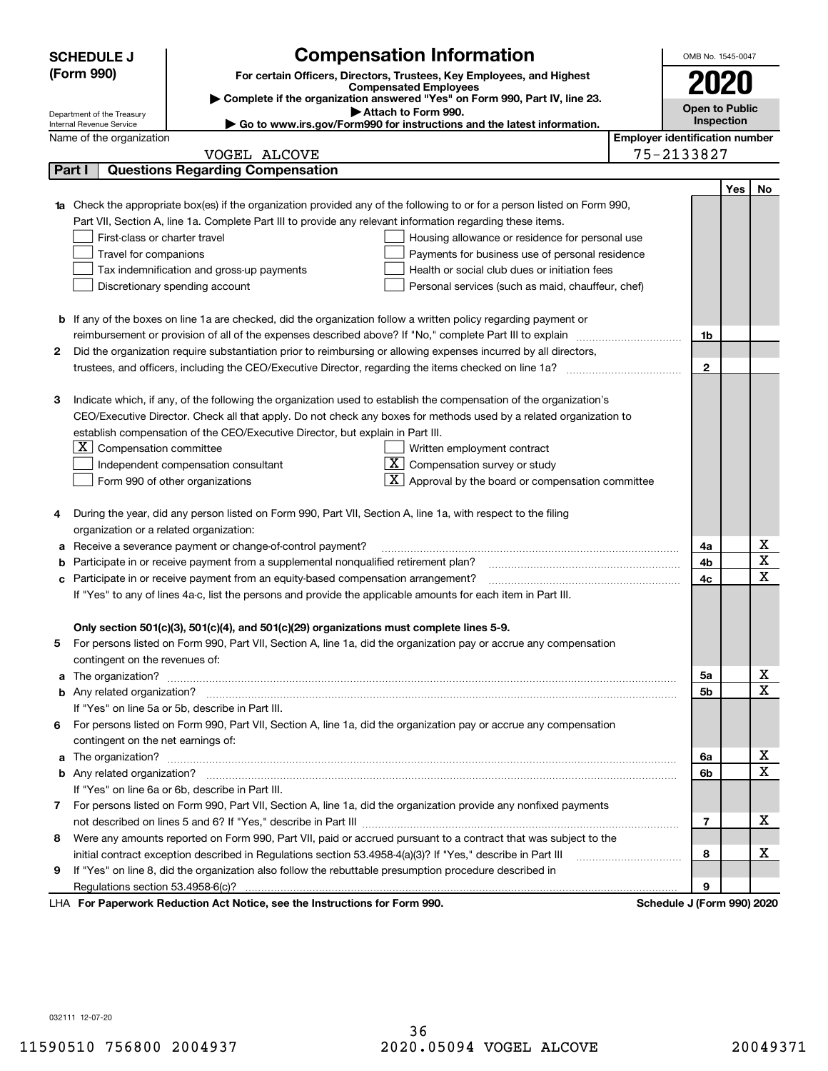|        | <b>Compensation Information</b><br><b>SCHEDULE J</b>                                                                             |                                       | OMB No. 1545-0047     |     |                         |  |
|--------|----------------------------------------------------------------------------------------------------------------------------------|---------------------------------------|-----------------------|-----|-------------------------|--|
|        | (Form 990)<br>For certain Officers, Directors, Trustees, Key Employees, and Highest                                              |                                       |                       |     |                         |  |
|        | <b>Compensated Employees</b>                                                                                                     |                                       |                       |     |                         |  |
|        | Complete if the organization answered "Yes" on Form 990, Part IV, line 23.<br>Attach to Form 990.                                |                                       | <b>Open to Public</b> |     |                         |  |
|        | Department of the Treasury<br>Go to www.irs.gov/Form990 for instructions and the latest information.<br>Internal Revenue Service |                                       | Inspection            |     |                         |  |
|        | Name of the organization                                                                                                         | <b>Employer identification number</b> |                       |     |                         |  |
|        | VOGEL ALCOVE                                                                                                                     | 75-2133827                            |                       |     |                         |  |
| Part I | <b>Questions Regarding Compensation</b>                                                                                          |                                       |                       |     |                         |  |
|        |                                                                                                                                  |                                       |                       | Yes | No                      |  |
|        | 1a Check the appropriate box(es) if the organization provided any of the following to or for a person listed on Form 990,        |                                       |                       |     |                         |  |
|        | Part VII, Section A, line 1a. Complete Part III to provide any relevant information regarding these items.                       |                                       |                       |     |                         |  |
|        | First-class or charter travel<br>Housing allowance or residence for personal use                                                 |                                       |                       |     |                         |  |
|        | Travel for companions<br>Payments for business use of personal residence                                                         |                                       |                       |     |                         |  |
|        | Tax indemnification and gross-up payments<br>Health or social club dues or initiation fees                                       |                                       |                       |     |                         |  |
|        | Discretionary spending account<br>Personal services (such as maid, chauffeur, chef)                                              |                                       |                       |     |                         |  |
|        |                                                                                                                                  |                                       |                       |     |                         |  |
|        | <b>b</b> If any of the boxes on line 1a are checked, did the organization follow a written policy regarding payment or           |                                       |                       |     |                         |  |
|        | reimbursement or provision of all of the expenses described above? If "No," complete Part III to explain                         |                                       | 1b                    |     |                         |  |
| 2      | Did the organization require substantiation prior to reimbursing or allowing expenses incurred by all directors,                 |                                       | $\overline{2}$        |     |                         |  |
|        | trustees, and officers, including the CEO/Executive Director, regarding the items checked on line 1a?                            |                                       |                       |     |                         |  |
| 3      | Indicate which, if any, of the following the organization used to establish the compensation of the organization's               |                                       |                       |     |                         |  |
|        | CEO/Executive Director. Check all that apply. Do not check any boxes for methods used by a related organization to               |                                       |                       |     |                         |  |
|        | establish compensation of the CEO/Executive Director, but explain in Part III.                                                   |                                       |                       |     |                         |  |
|        | $ \mathbf{X} $ Compensation committee<br>Written employment contract                                                             |                                       |                       |     |                         |  |
|        | $X$ Compensation survey or study<br>Independent compensation consultant                                                          |                                       |                       |     |                         |  |
|        | $\mathbf{X}$ Approval by the board or compensation committee<br>Form 990 of other organizations                                  |                                       |                       |     |                         |  |
|        |                                                                                                                                  |                                       |                       |     |                         |  |
|        | During the year, did any person listed on Form 990, Part VII, Section A, line 1a, with respect to the filing                     |                                       |                       |     |                         |  |
|        | organization or a related organization:                                                                                          |                                       |                       |     |                         |  |
|        | Receive a severance payment or change-of-control payment?                                                                        |                                       | 4a                    |     | х                       |  |
|        | Participate in or receive payment from a supplemental nonqualified retirement plan?                                              |                                       | 4b                    |     | $\overline{\textbf{X}}$ |  |
| с      | Participate in or receive payment from an equity-based compensation arrangement?                                                 |                                       | 4c                    |     | $\overline{\mathbf{x}}$ |  |
|        | If "Yes" to any of lines 4a-c, list the persons and provide the applicable amounts for each item in Part III.                    |                                       |                       |     |                         |  |
|        |                                                                                                                                  |                                       |                       |     |                         |  |
|        | Only section 501(c)(3), 501(c)(4), and 501(c)(29) organizations must complete lines 5-9.                                         |                                       |                       |     |                         |  |
|        | For persons listed on Form 990, Part VII, Section A, line 1a, did the organization pay or accrue any compensation                |                                       |                       |     |                         |  |
|        | contingent on the revenues of:                                                                                                   |                                       |                       |     |                         |  |
|        |                                                                                                                                  |                                       | 5а                    |     | х                       |  |
|        |                                                                                                                                  |                                       | 5b                    |     | $\overline{\mathbf{x}}$ |  |
|        | If "Yes" on line 5a or 5b, describe in Part III.                                                                                 |                                       |                       |     |                         |  |
| 6.     | For persons listed on Form 990, Part VII, Section A, line 1a, did the organization pay or accrue any compensation                |                                       |                       |     |                         |  |
|        | contingent on the net earnings of:                                                                                               |                                       |                       |     |                         |  |
|        |                                                                                                                                  |                                       | 6а                    |     | x                       |  |
|        |                                                                                                                                  |                                       | 6b                    |     | $\overline{\mathbf{x}}$ |  |
|        | If "Yes" on line 6a or 6b, describe in Part III.                                                                                 |                                       |                       |     |                         |  |
|        | 7 For persons listed on Form 990, Part VII, Section A, line 1a, did the organization provide any nonfixed payments               |                                       |                       |     |                         |  |
|        |                                                                                                                                  |                                       | 7                     |     | х                       |  |
| 8      | Were any amounts reported on Form 990, Part VII, paid or accrued pursuant to a contract that was subject to the                  |                                       |                       |     |                         |  |
|        | initial contract exception described in Regulations section 53.4958-4(a)(3)? If "Yes," describe in Part III                      |                                       | 8                     |     | X                       |  |
| 9      | If "Yes" on line 8, did the organization also follow the rebuttable presumption procedure described in                           |                                       |                       |     |                         |  |
|        | Regulations section 53.4958-6(c)?                                                                                                |                                       | 9                     |     |                         |  |
|        | LHA For Paperwork Reduction Act Notice, see the Instructions for Form 990.                                                       | Schedule J (Form 990) 2020            |                       |     |                         |  |

032111 12-07-20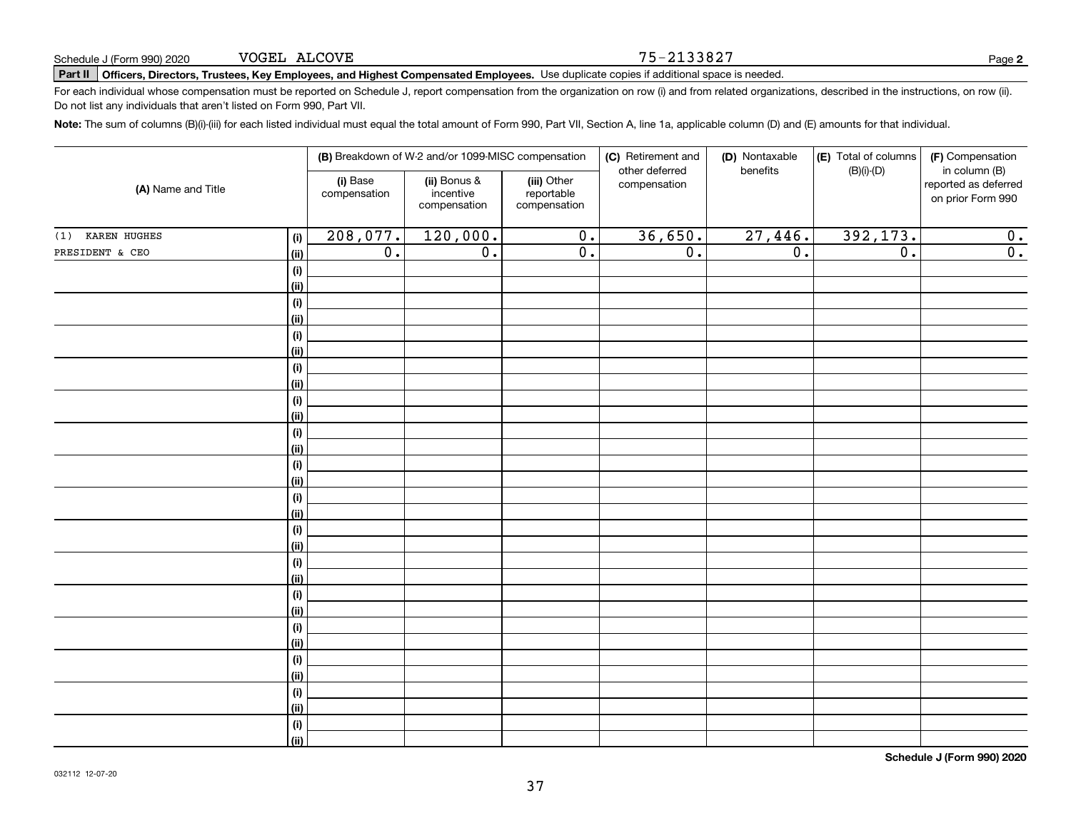|                            | (B) Breakdown of W-2 and/or 1099-MISC compensation |                                           |                                           | (C) Retirement and<br>other deferred | (D) Nontaxable<br>benefits | (E) Total of columns<br>(F) Compensation |                                                            |  |
|----------------------------|----------------------------------------------------|-------------------------------------------|-------------------------------------------|--------------------------------------|----------------------------|------------------------------------------|------------------------------------------------------------|--|
| (A) Name and Title         | (i) Base<br>compensation                           | (ii) Bonus &<br>incentive<br>compensation | (iii) Other<br>reportable<br>compensation | compensation                         |                            | $(B)(i)$ - $(D)$                         | in column (B)<br>reported as deferred<br>on prior Form 990 |  |
| KAREN HUGHES<br>(1)<br>(i) | 208,077.                                           | 120,000.                                  | $\overline{0}$ .                          | 36,650.                              | 27,446.                    | 392,173.                                 | 0.                                                         |  |
| PRESIDENT & CEO<br>(ii)    | $\overline{0}$ .                                   | $\overline{\mathfrak{o}}$ .               | $\overline{0}$ .                          | $\overline{0}$ .                     | $\overline{0}$ .           | $\overline{\mathfrak{0}}$ .              | $\overline{0}$ .                                           |  |
| (i)                        |                                                    |                                           |                                           |                                      |                            |                                          |                                                            |  |
| (ii)                       |                                                    |                                           |                                           |                                      |                            |                                          |                                                            |  |
| (i)                        |                                                    |                                           |                                           |                                      |                            |                                          |                                                            |  |
| (ii)                       |                                                    |                                           |                                           |                                      |                            |                                          |                                                            |  |
| (i)                        |                                                    |                                           |                                           |                                      |                            |                                          |                                                            |  |
| (ii)                       |                                                    |                                           |                                           |                                      |                            |                                          |                                                            |  |
| (i)                        |                                                    |                                           |                                           |                                      |                            |                                          |                                                            |  |
| (ii)                       |                                                    |                                           |                                           |                                      |                            |                                          |                                                            |  |
| (i)                        |                                                    |                                           |                                           |                                      |                            |                                          |                                                            |  |
| (ii)                       |                                                    |                                           |                                           |                                      |                            |                                          |                                                            |  |
| (i)                        |                                                    |                                           |                                           |                                      |                            |                                          |                                                            |  |
| (ii)                       |                                                    |                                           |                                           |                                      |                            |                                          |                                                            |  |
| (i)                        |                                                    |                                           |                                           |                                      |                            |                                          |                                                            |  |
| (ii)                       |                                                    |                                           |                                           |                                      |                            |                                          |                                                            |  |
| (i)                        |                                                    |                                           |                                           |                                      |                            |                                          |                                                            |  |
| (ii)                       |                                                    |                                           |                                           |                                      |                            |                                          |                                                            |  |
| (i)                        |                                                    |                                           |                                           |                                      |                            |                                          |                                                            |  |
| (ii)                       |                                                    |                                           |                                           |                                      |                            |                                          |                                                            |  |
| (i)                        |                                                    |                                           |                                           |                                      |                            |                                          |                                                            |  |
| (ii)                       |                                                    |                                           |                                           |                                      |                            |                                          |                                                            |  |
| (i)<br>(ii)                |                                                    |                                           |                                           |                                      |                            |                                          |                                                            |  |
| $(\sf{i})$                 |                                                    |                                           |                                           |                                      |                            |                                          |                                                            |  |
| (ii)                       |                                                    |                                           |                                           |                                      |                            |                                          |                                                            |  |
| $(\sf{i})$                 |                                                    |                                           |                                           |                                      |                            |                                          |                                                            |  |
| (ii)                       |                                                    |                                           |                                           |                                      |                            |                                          |                                                            |  |
| (i)                        |                                                    |                                           |                                           |                                      |                            |                                          |                                                            |  |
| (ii)                       |                                                    |                                           |                                           |                                      |                            |                                          |                                                            |  |
| $(\sf{i})$                 |                                                    |                                           |                                           |                                      |                            |                                          |                                                            |  |
| (ii)                       |                                                    |                                           |                                           |                                      |                            |                                          |                                                            |  |

37

# **Part II Officers, Directors, Trustees, Key Employees, and Highest Compensated Employees.**  Schedule J (Form 990) 2020 Page Use duplicate copies if additional space is needed.

For each individual whose compensation must be reported on Schedule J, report compensation from the organization on row (i) and from related organizations, described in the instructions, on row (ii). Do not list any individuals that aren't listed on Form 990, Part VII.

**Note:**  The sum of columns (B)(i)-(iii) for each listed individual must equal the total amount of Form 990, Part VII, Section A, line 1a, applicable column (D) and (E) amounts for that individual.

75-2133827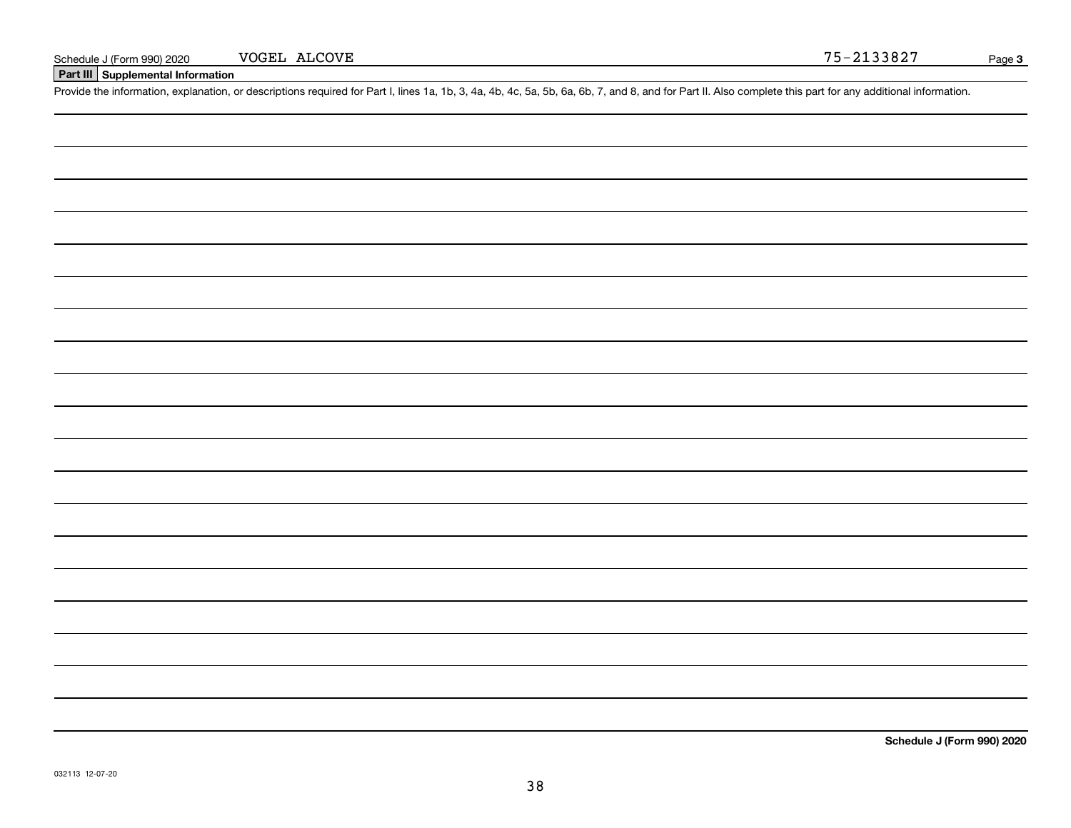### **Part III Supplemental Information**

Schedule J (Form 990) 2020 VOGEL ALCOVE<br>Part III Supplemental Information<br>Provide the information, explanation, or descriptions required for Part I, lines 1a, 1b, 3, 4a, 4b, 4c, 5a, 5b, 6a, 6b, 7, and 8, and for Part II. A

**Schedule J (Form 990) 2020**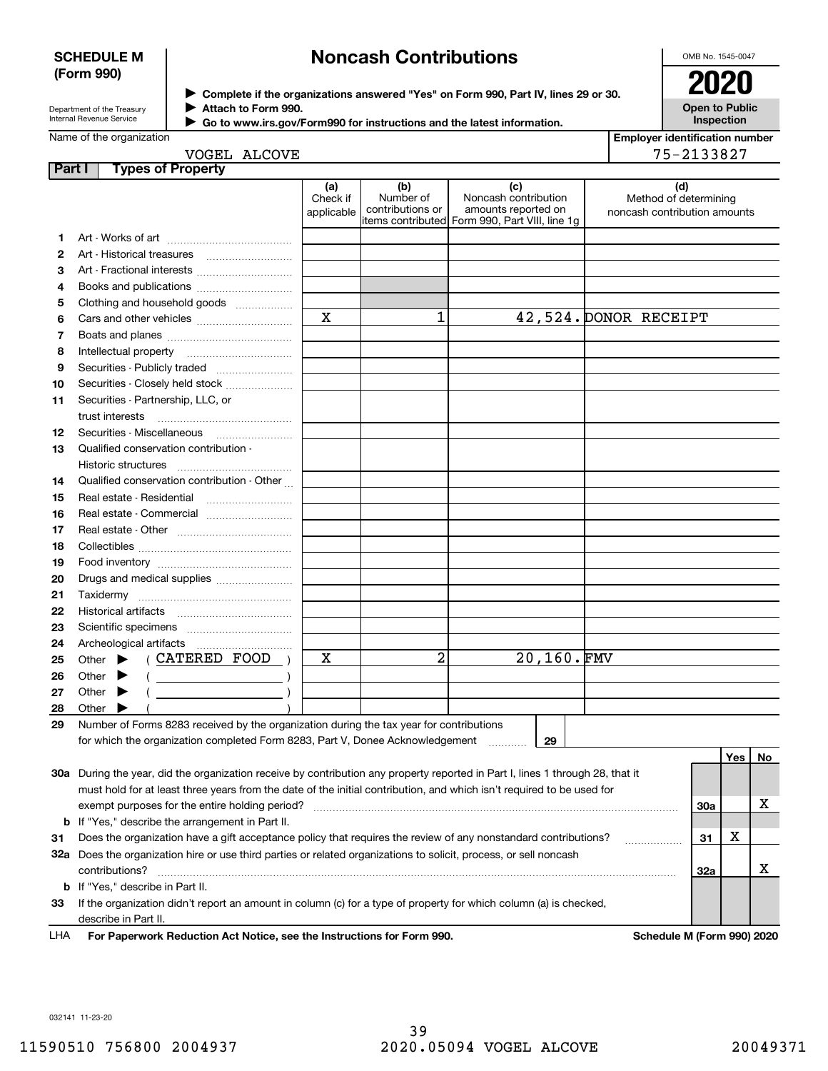### **SCHEDULE M (Form 990)**

### **Noncash Contributions**

OMB No. 1545-0047

| Department of the Treasury      |  |
|---------------------------------|--|
| <b>Internal Revenue Service</b> |  |

**Complete if the organizations answered "Yes" on Form 990, Part IV, lines 29 or 30.** <sup>J</sup>**2020 Attach to Form 990.** J

**Open to Public Inspection**

| Name of the organization |
|--------------------------|

 $\blacktriangleright$ 

| Go to www.irs.gov/Form990 for instructions and the latest information. |  |
|------------------------------------------------------------------------|--|
|                                                                        |  |

| <b>Employer identification number</b> |  |
|---------------------------------------|--|
| $75 - 212297$                         |  |

|        | VOGEL ALCOVE                                                                                                                   |                               |                                      |                                                                                                      | 75-2133827                                                   |     |    |
|--------|--------------------------------------------------------------------------------------------------------------------------------|-------------------------------|--------------------------------------|------------------------------------------------------------------------------------------------------|--------------------------------------------------------------|-----|----|
| Part I | <b>Types of Property</b>                                                                                                       |                               |                                      |                                                                                                      |                                                              |     |    |
|        |                                                                                                                                | (a)<br>Check if<br>applicable | (b)<br>Number of<br>contributions or | (c)<br>Noncash contribution<br>amounts reported on<br>items contributed Form 990, Part VIII, line 1g | (d)<br>Method of determining<br>noncash contribution amounts |     |    |
| 1      |                                                                                                                                |                               |                                      |                                                                                                      |                                                              |     |    |
| 2      |                                                                                                                                |                               |                                      |                                                                                                      |                                                              |     |    |
| 3      | Art - Fractional interests                                                                                                     |                               |                                      |                                                                                                      |                                                              |     |    |
| 4      |                                                                                                                                |                               |                                      |                                                                                                      |                                                              |     |    |
| 5      | Clothing and household goods                                                                                                   |                               |                                      |                                                                                                      |                                                              |     |    |
| 6      |                                                                                                                                | $\overline{\mathbf{x}}$       | 1                                    |                                                                                                      | 42,524. DONOR RECEIPT                                        |     |    |
| 7      |                                                                                                                                |                               |                                      |                                                                                                      |                                                              |     |    |
| 8      |                                                                                                                                |                               |                                      |                                                                                                      |                                                              |     |    |
| 9      |                                                                                                                                |                               |                                      |                                                                                                      |                                                              |     |    |
| 10     | Securities - Closely held stock                                                                                                |                               |                                      |                                                                                                      |                                                              |     |    |
| 11     | Securities - Partnership, LLC, or                                                                                              |                               |                                      |                                                                                                      |                                                              |     |    |
|        | trust interests                                                                                                                |                               |                                      |                                                                                                      |                                                              |     |    |
| 12     |                                                                                                                                |                               |                                      |                                                                                                      |                                                              |     |    |
| 13     | Qualified conservation contribution -                                                                                          |                               |                                      |                                                                                                      |                                                              |     |    |
|        |                                                                                                                                |                               |                                      |                                                                                                      |                                                              |     |    |
| 14     | Qualified conservation contribution - Other                                                                                    |                               |                                      |                                                                                                      |                                                              |     |    |
| 15     |                                                                                                                                |                               |                                      |                                                                                                      |                                                              |     |    |
| 16     | Real estate - Commercial                                                                                                       |                               |                                      |                                                                                                      |                                                              |     |    |
| 17     |                                                                                                                                |                               |                                      |                                                                                                      |                                                              |     |    |
| 18     |                                                                                                                                |                               |                                      |                                                                                                      |                                                              |     |    |
| 19     |                                                                                                                                |                               |                                      |                                                                                                      |                                                              |     |    |
| 20     | Drugs and medical supplies                                                                                                     |                               |                                      |                                                                                                      |                                                              |     |    |
| 21     |                                                                                                                                |                               |                                      |                                                                                                      |                                                              |     |    |
| 22     |                                                                                                                                |                               |                                      |                                                                                                      |                                                              |     |    |
| 23     |                                                                                                                                |                               |                                      |                                                                                                      |                                                              |     |    |
| 24     |                                                                                                                                |                               |                                      |                                                                                                      |                                                              |     |    |
| 25     | $( CATERED$ $FOOD$ $)$<br>Other $\blacktriangleright$                                                                          | Х                             | 2                                    | 20,160.FMV                                                                                           |                                                              |     |    |
| 26     | Other<br>$($ $)$                                                                                                               |                               |                                      |                                                                                                      |                                                              |     |    |
| 27     | $\begin{pmatrix} 1 & 1 & 1 \\ 1 & 1 & 1 \\ 1 & 1 & 1 \end{pmatrix}$<br>Other<br>▶                                              |                               |                                      |                                                                                                      |                                                              |     |    |
| 28     | Other                                                                                                                          |                               |                                      |                                                                                                      |                                                              |     |    |
| 29     | Number of Forms 8283 received by the organization during the tax year for contributions                                        |                               |                                      |                                                                                                      |                                                              |     |    |
|        | for which the organization completed Form 8283, Part V, Donee Acknowledgement                                                  |                               |                                      | 29                                                                                                   |                                                              |     |    |
|        |                                                                                                                                |                               |                                      |                                                                                                      |                                                              | Yes | No |
|        | 30a During the year, did the organization receive by contribution any property reported in Part I, lines 1 through 28, that it |                               |                                      |                                                                                                      |                                                              |     |    |
|        | must hold for at least three years from the date of the initial contribution, and which isn't required to be used for          |                               |                                      |                                                                                                      |                                                              |     |    |
|        |                                                                                                                                |                               |                                      |                                                                                                      | <b>30a</b>                                                   |     | х  |
|        | <b>b</b> If "Yes," describe the arrangement in Part II.                                                                        |                               |                                      |                                                                                                      |                                                              |     |    |
| 31     | Does the organization have a gift acceptance policy that requires the review of any nonstandard contributions?                 |                               |                                      |                                                                                                      | 31                                                           | х   |    |
|        | 32a Does the organization hire or use third parties or related organizations to solicit, process, or sell noncash              |                               |                                      |                                                                                                      |                                                              |     |    |
|        | contributions?                                                                                                                 |                               |                                      |                                                                                                      | 32a                                                          |     | х  |
|        | <b>b</b> If "Yes," describe in Part II.                                                                                        |                               |                                      |                                                                                                      |                                                              |     |    |
| 33     | If the organization didn't report an amount in column (c) for a type of property for which column (a) is checked,              |                               |                                      |                                                                                                      |                                                              |     |    |

describe in Part II.

**For Paperwork Reduction Act Notice, see the Instructions for Form 990. Schedule M (Form 990) 2020** LHA

032141 11-23-20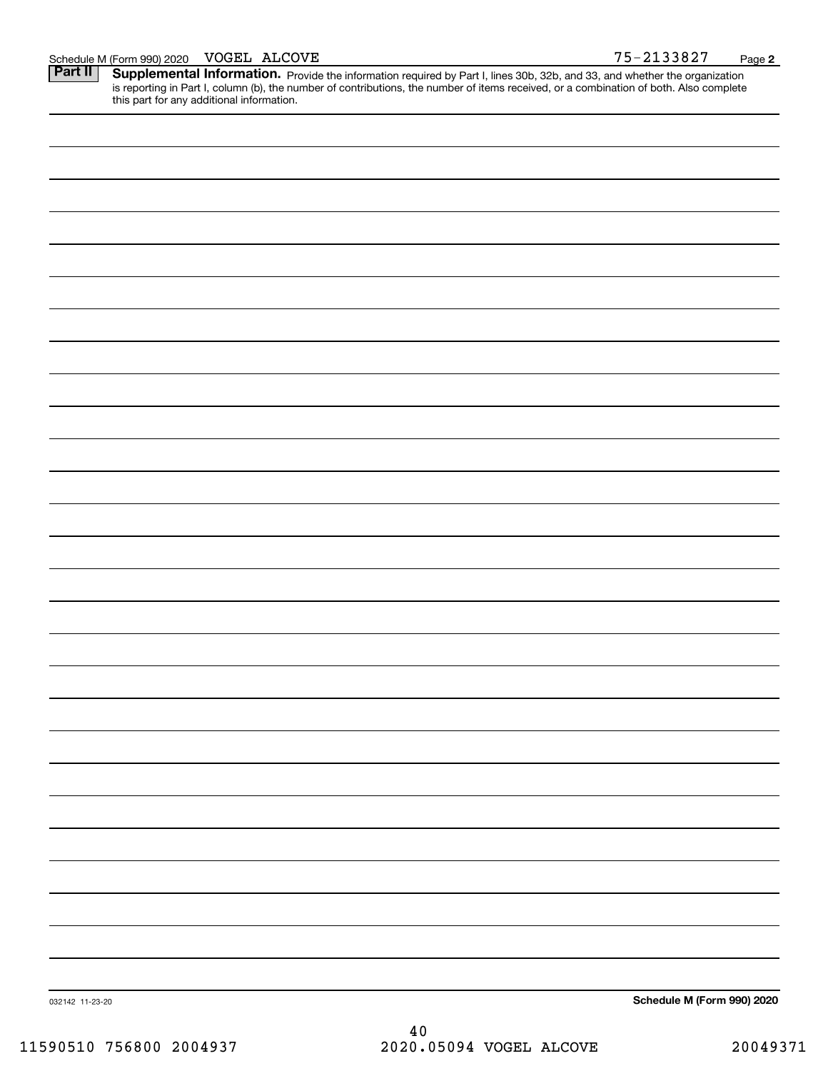| Schedule M (Form 990) 2020 | VOGEL | ALCOVE | 2133827<br>7 L | Page |  |
|----------------------------|-------|--------|----------------|------|--|
|----------------------------|-------|--------|----------------|------|--|

**2**

Part II | Supplemental Information. Provide the information required by Part I, lines 30b, 32b, and 33, and whether the organization is reporting in Part I, column (b), the number of contributions, the number of items received, or a combination of both. Also complete this part for any additional information.

| 032142 11-23-20 | Schedule M (Form 990) 2020 |
|-----------------|----------------------------|

40 11590510 756800 2004937 2020.05094 VOGEL ALCOVE 20049371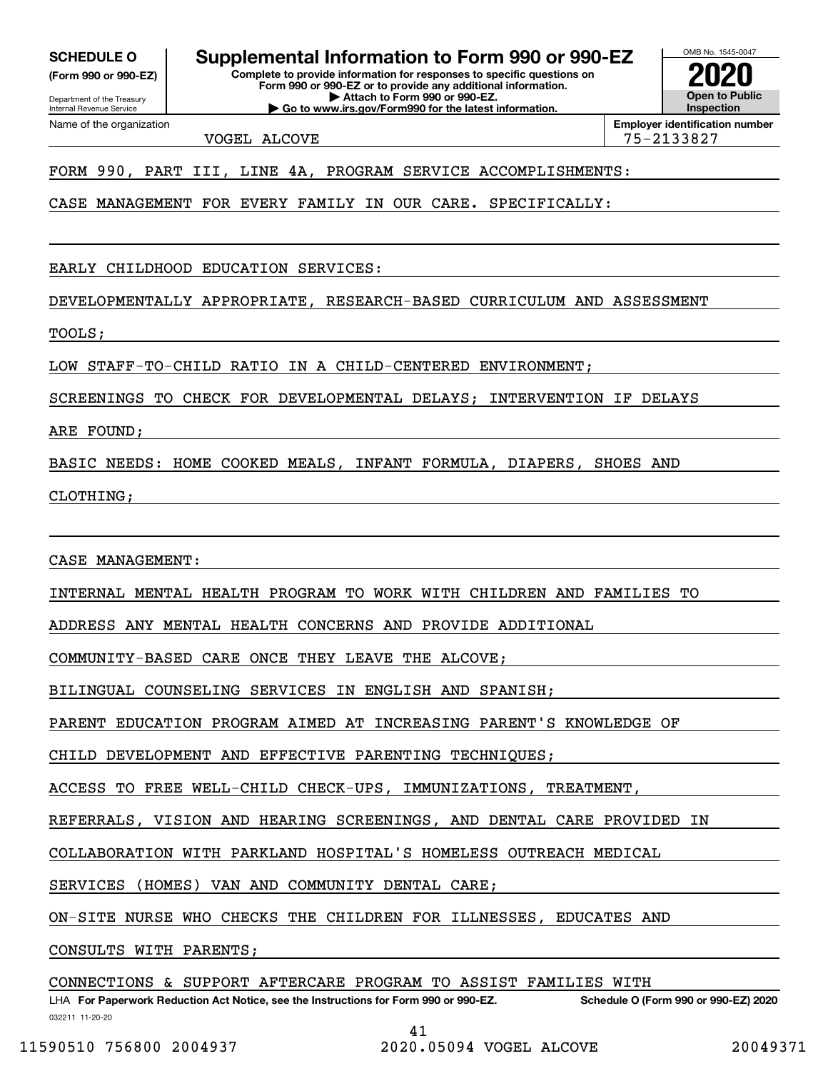**(Form 990 or 990-EZ)**

Department of the Treasury Internal Revenue Service Name of the organization

**SCHEDULE O Supplemental Information to Form 990 or 990-EZ**

**Complete to provide information for responses to specific questions on Form 990 or 990-EZ or to provide any additional information. | Attach to Form 990 or 990-EZ. | Go to www.irs.gov/Form990 for the latest information.**



VOGEL ALCOVE 75-2133827

FORM 990, PART III, LINE 4A, PROGRAM SERVICE ACCOMPLISHMENTS:

CASE MANAGEMENT FOR EVERY FAMILY IN OUR CARE. SPECIFICALLY:

EARLY CHILDHOOD EDUCATION SERVICES:

DEVELOPMENTALLY APPROPRIATE, RESEARCH-BASED CURRICULUM AND ASSESSMENT

TOOLS;

LOW STAFF-TO-CHILD RATIO IN A CHILD-CENTERED ENVIRONMENT;

SCREENINGS TO CHECK FOR DEVELOPMENTAL DELAYS; INTERVENTION IF DELAYS

ARE FOUND;

BASIC NEEDS: HOME COOKED MEALS, INFANT FORMULA, DIAPERS, SHOES AND

CLOTHING;

CASE MANAGEMENT:

INTERNAL MENTAL HEALTH PROGRAM TO WORK WITH CHILDREN AND FAMILIES TO

ADDRESS ANY MENTAL HEALTH CONCERNS AND PROVIDE ADDITIONAL

COMMUNITY-BASED CARE ONCE THEY LEAVE THE ALCOVE;

BILINGUAL COUNSELING SERVICES IN ENGLISH AND SPANISH;

PARENT EDUCATION PROGRAM AIMED AT INCREASING PARENT'S KNOWLEDGE OF

CHILD DEVELOPMENT AND EFFECTIVE PARENTING TECHNIQUES;

ACCESS TO FREE WELL-CHILD CHECK-UPS, IMMUNIZATIONS, TREATMENT,

REFERRALS, VISION AND HEARING SCREENINGS, AND DENTAL CARE PROVIDED IN

COLLABORATION WITH PARKLAND HOSPITAL'S HOMELESS OUTREACH MEDICAL

SERVICES (HOMES) VAN AND COMMUNITY DENTAL CARE;

ON-SITE NURSE WHO CHECKS THE CHILDREN FOR ILLNESSES, EDUCATES AND

CONSULTS WITH PARENTS;

CONNECTIONS & SUPPORT AFTERCARE PROGRAM TO ASSIST FAMILIES WITH

032211 11-20-20 LHA For Paperwork Reduction Act Notice, see the Instructions for Form 990 or 990-EZ. Schedule O (Form 990 or 990-EZ) 2020 41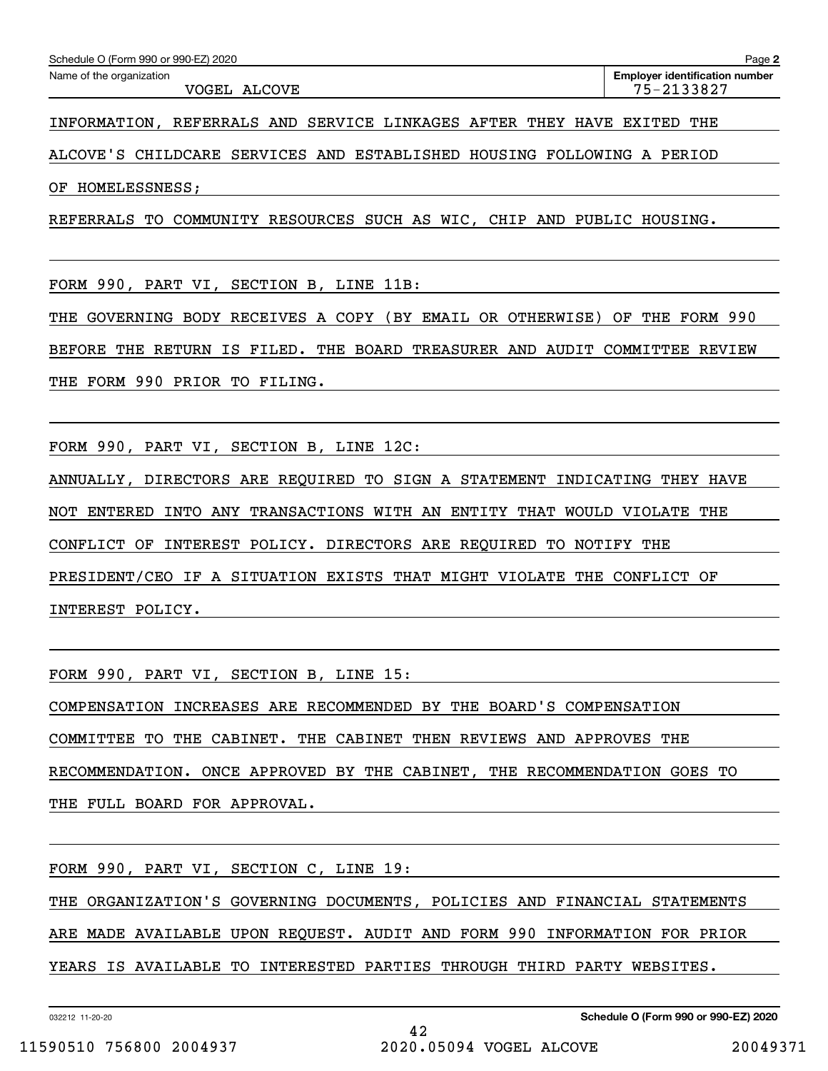VOGEL ALCOVE 75-2133827

INFORMATION, REFERRALS AND SERVICE LINKAGES AFTER THEY HAVE EXITED THE

ALCOVE'S CHILDCARE SERVICES AND ESTABLISHED HOUSING FOLLOWING A PERIOD

OF HOMELESSNESS;

REFERRALS TO COMMUNITY RESOURCES SUCH AS WIC, CHIP AND PUBLIC HOUSING.

FORM 990, PART VI, SECTION B, LINE 11B:

THE GOVERNING BODY RECEIVES A COPY (BY EMAIL OR OTHERWISE) OF THE FORM 990 BEFORE THE RETURN IS FILED. THE BOARD TREASURER AND AUDIT COMMITTEE REVIEW THE FORM 990 PRIOR TO FILING.

FORM 990, PART VI, SECTION B, LINE 12C:

ANNUALLY, DIRECTORS ARE REQUIRED TO SIGN A STATEMENT INDICATING THEY HAVE

NOT ENTERED INTO ANY TRANSACTIONS WITH AN ENTITY THAT WOULD VIOLATE THE

CONFLICT OF INTEREST POLICY. DIRECTORS ARE REQUIRED TO NOTIFY THE

PRESIDENT/CEO IF A SITUATION EXISTS THAT MIGHT VIOLATE THE CONFLICT OF

INTEREST POLICY.

FORM 990, PART VI, SECTION B, LINE 15:

COMPENSATION INCREASES ARE RECOMMENDED BY THE BOARD'S COMPENSATION

COMMITTEE TO THE CABINET. THE CABINET THEN REVIEWS AND APPROVES THE

RECOMMENDATION. ONCE APPROVED BY THE CABINET, THE RECOMMENDATION GOES TO

THE FULL BOARD FOR APPROVAL.

FORM 990, PART VI, SECTION C, LINE 19:

THE ORGANIZATION'S GOVERNING DOCUMENTS, POLICIES AND FINANCIAL STATEMENTS

ARE MADE AVAILABLE UPON REQUEST. AUDIT AND FORM 990 INFORMATION FOR PRIOR

YEARS IS AVAILABLE TO INTERESTED PARTIES THROUGH THIRD PARTY WEBSITES.

032212 11-20-20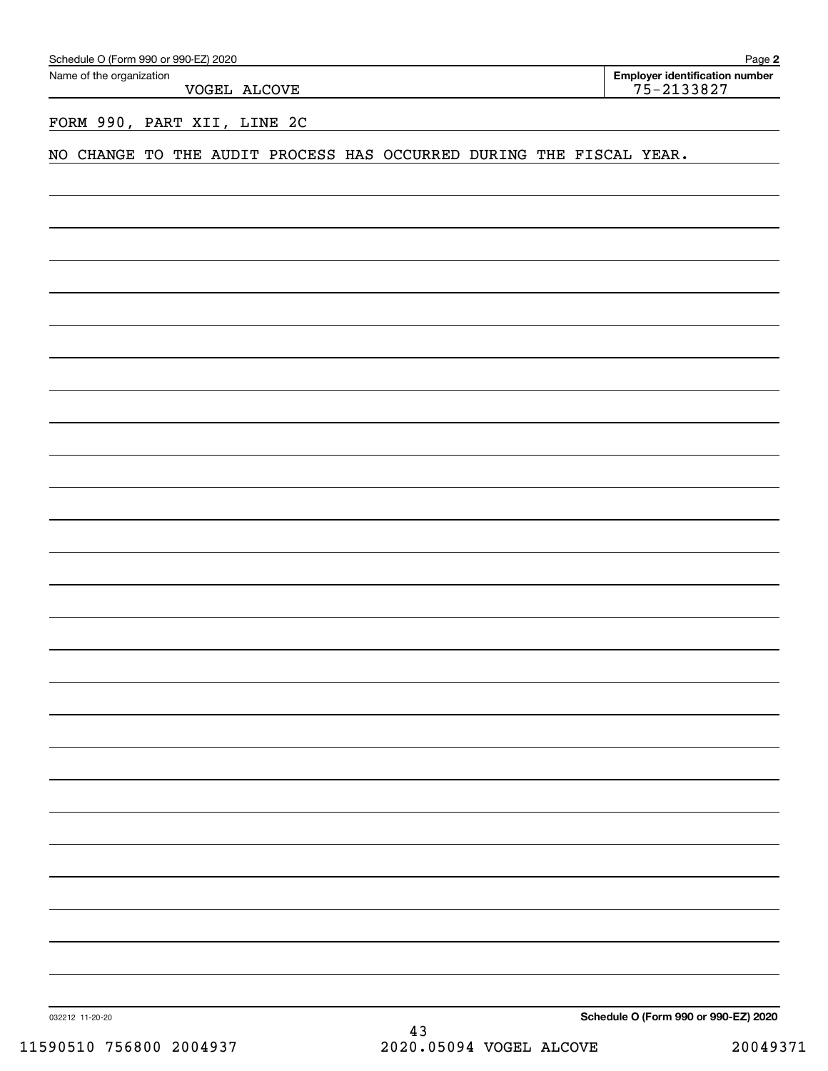| Schedule O (Form 990 or 990-EZ) 2020                                | Page 2                                           |
|---------------------------------------------------------------------|--------------------------------------------------|
| Name of the organization<br>VOGEL ALCOVE                            | Employer identification number<br>$75 - 2133827$ |
| FORM 990, PART XII, LINE 2C                                         |                                                  |
| NO CHANGE TO THE AUDIT PROCESS HAS OCCURRED DURING THE FISCAL YEAR. |                                                  |
|                                                                     |                                                  |
|                                                                     |                                                  |
|                                                                     |                                                  |
|                                                                     |                                                  |
|                                                                     |                                                  |
|                                                                     |                                                  |
|                                                                     |                                                  |
|                                                                     |                                                  |
|                                                                     |                                                  |
|                                                                     |                                                  |
|                                                                     |                                                  |
|                                                                     |                                                  |
|                                                                     |                                                  |
|                                                                     |                                                  |
|                                                                     |                                                  |
|                                                                     |                                                  |
|                                                                     |                                                  |
|                                                                     |                                                  |
|                                                                     |                                                  |
|                                                                     |                                                  |
|                                                                     |                                                  |
|                                                                     |                                                  |
|                                                                     |                                                  |
|                                                                     |                                                  |
|                                                                     |                                                  |
|                                                                     |                                                  |

032212 11-20-20

**Schedule O (Form 990 or 990-EZ) 2020**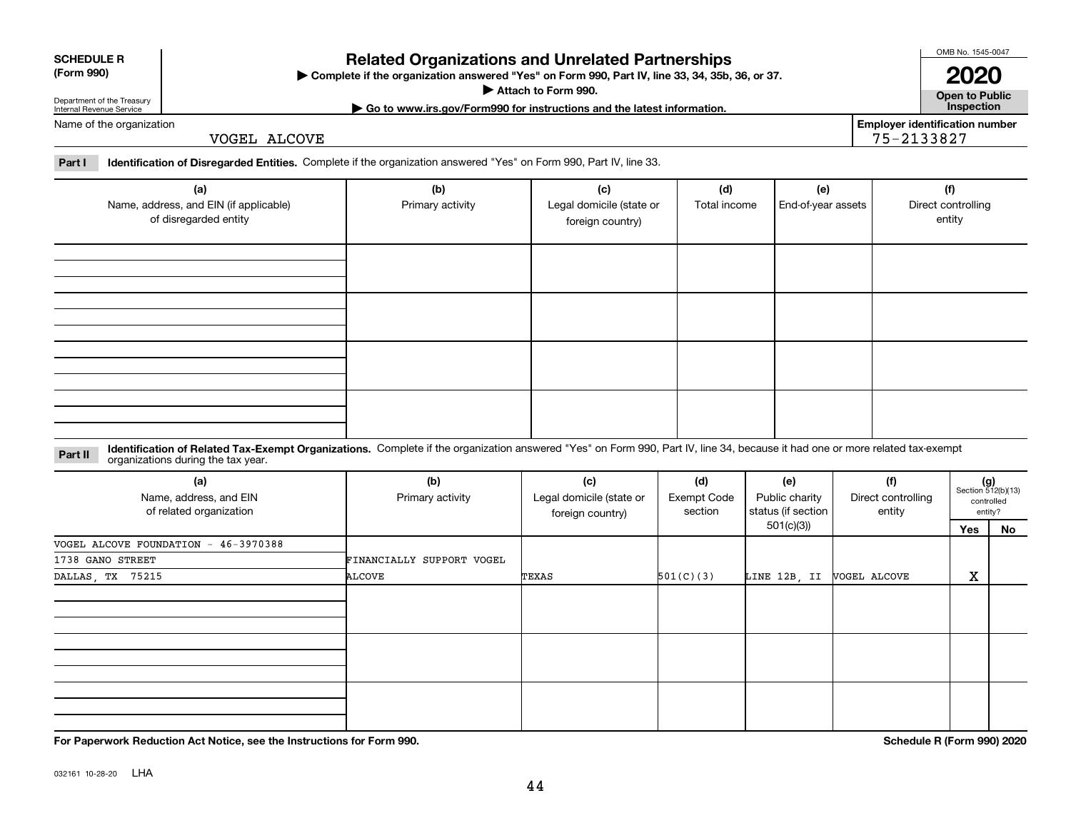**For Paperwork Reduction Act Notice, see the Instructions for Form 990. Schedule R (Form 990) 2020**

### **Related Organizations and Unrelated Partnerships**

**Complete if the organization answered "Yes" on Form 990, Part IV, line 33, 34, 35b, 36, or 37.** |

**Attach to Form 990.**  |

Department of the Treasury Internal Revenue Service

**SCHEDULE R (Form 990)**

VOGEL ALCOVE

**Part I Identification of Disregarded Entities.**  Complete if the organization answered "Yes" on Form 990, Part IV, line 33.

| (a)<br>Name, address, and EIN (if applicable)<br>of disregarded entity                                                                                                                                                        | (b)<br>Primary activity | (c)<br>Legal domicile (state or<br>foreign country) | (d)<br>Total income | (e)<br>End-of-year assets | (f)<br>Direct controlling<br>entity |
|-------------------------------------------------------------------------------------------------------------------------------------------------------------------------------------------------------------------------------|-------------------------|-----------------------------------------------------|---------------------|---------------------------|-------------------------------------|
|                                                                                                                                                                                                                               |                         |                                                     |                     |                           |                                     |
|                                                                                                                                                                                                                               |                         |                                                     |                     |                           |                                     |
|                                                                                                                                                                                                                               |                         |                                                     |                     |                           |                                     |
|                                                                                                                                                                                                                               |                         |                                                     |                     |                           |                                     |
| Identification of Related Tax-Exempt Organizations. Complete if the organization answered "Yes" on Form 990, Part IV, line 34, because it had one or more related tax-exempt<br>Part II<br>organizations during the tax year. |                         |                                                     |                     |                           |                                     |

| (a)<br>Name, address, and EIN<br>of related organization | (b)<br>Primary activity   | (c)<br>Legal domicile (state or<br>foreign country) | (d)<br><b>Exempt Code</b><br>section | (e)<br>Public charity<br>status (if section | (f)<br>Direct controlling<br>entity | $(g)$<br>Section 512(b)(13) | controlled<br>entity? |
|----------------------------------------------------------|---------------------------|-----------------------------------------------------|--------------------------------------|---------------------------------------------|-------------------------------------|-----------------------------|-----------------------|
|                                                          |                           |                                                     |                                      | 501(c)(3))                                  |                                     | Yes                         | No                    |
| VOGEL ALCOVE FOUNDATION - 46-3970388                     |                           |                                                     |                                      |                                             |                                     |                             |                       |
| 1738 GANO STREET                                         | FINANCIALLY SUPPORT VOGEL |                                                     |                                      |                                             |                                     |                             |                       |
| DALLAS, TX 75215                                         | ALCOVE                    | TEXAS                                               | 501(C)(3)                            | LINE 12B, II                                | VOGEL ALCOVE                        | X                           |                       |
|                                                          |                           |                                                     |                                      |                                             |                                     |                             |                       |
|                                                          |                           |                                                     |                                      |                                             |                                     |                             |                       |
|                                                          |                           |                                                     |                                      |                                             |                                     |                             |                       |

OMB No. 1545-0047

**Open to Public**

**Employer identification number**

75-2133827

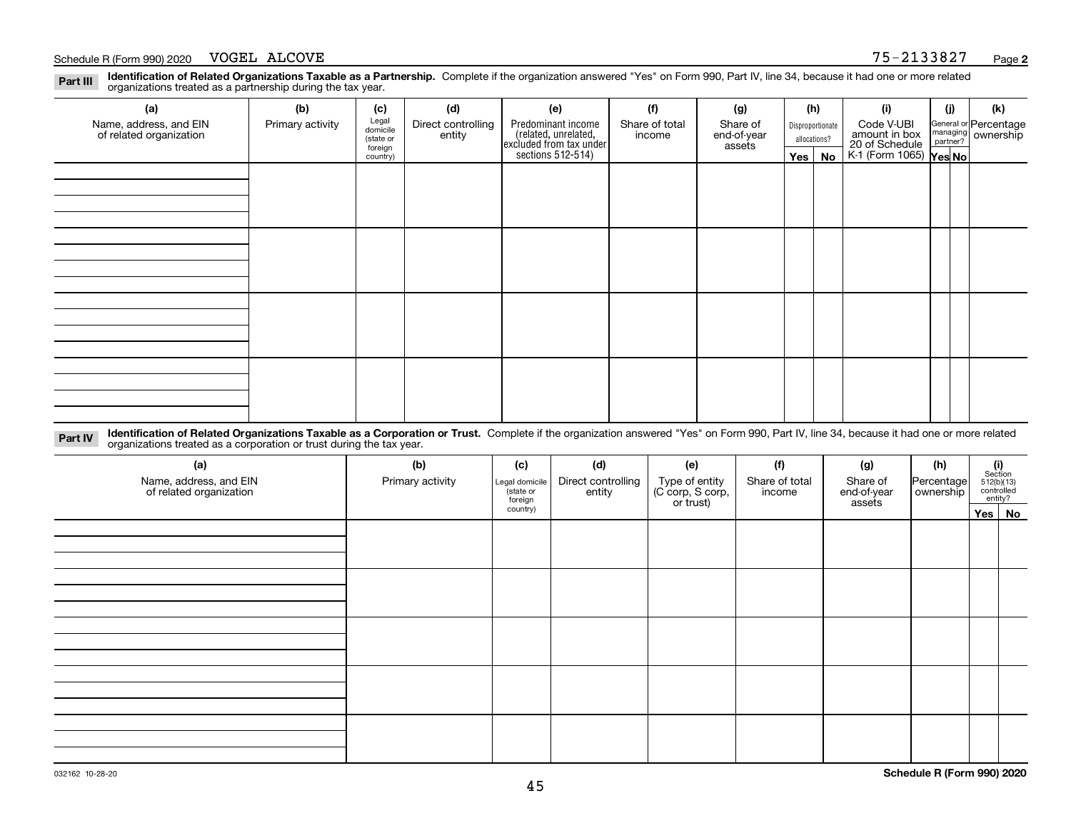#### Schedule R (Form 990) 2020 Page VOGEL ALCOVE 75-2133827

**Identification of Related Organizations Taxable as a Partnership.** Complete if the organization answered "Yes" on Form 990, Part IV, line 34, because it had one or more related **Part III** organizations treated as a partnership during the tax year.

| (a)                                               | (b)              | (c)                            | (d)                          | (e)                                                                 | (f)                      | (g)                     | (h)              |    | (i)                                                       | (j) | (k)                                                       |
|---------------------------------------------------|------------------|--------------------------------|------------------------------|---------------------------------------------------------------------|--------------------------|-------------------------|------------------|----|-----------------------------------------------------------|-----|-----------------------------------------------------------|
| Name, address, and EIN<br>of related organization | Primary activity | Legal<br>domicile              | Direct controlling<br>entity | Predominant income                                                  | Share of total<br>income | Share of<br>end-of-year | Disproportionate |    | Code V-UBI                                                |     | General or Percentage<br>managing<br>partner?<br>partner? |
|                                                   |                  | (state or<br>assets<br>foreign |                              |                                                                     | allocations?             |                         |                  |    |                                                           |     |                                                           |
|                                                   |                  | country)                       |                              | related, unrelated,<br>excluded from tax under<br>sections 512-514) |                          |                         | Yes $ $          | No | amount in box<br>20 of Schedule<br>K-1 (Form 1065) Yes No |     |                                                           |
|                                                   |                  |                                |                              |                                                                     |                          |                         |                  |    |                                                           |     |                                                           |
|                                                   |                  |                                |                              |                                                                     |                          |                         |                  |    |                                                           |     |                                                           |
|                                                   |                  |                                |                              |                                                                     |                          |                         |                  |    |                                                           |     |                                                           |
|                                                   |                  |                                |                              |                                                                     |                          |                         |                  |    |                                                           |     |                                                           |
|                                                   |                  |                                |                              |                                                                     |                          |                         |                  |    |                                                           |     |                                                           |
|                                                   |                  |                                |                              |                                                                     |                          |                         |                  |    |                                                           |     |                                                           |
|                                                   |                  |                                |                              |                                                                     |                          |                         |                  |    |                                                           |     |                                                           |
|                                                   |                  |                                |                              |                                                                     |                          |                         |                  |    |                                                           |     |                                                           |
|                                                   |                  |                                |                              |                                                                     |                          |                         |                  |    |                                                           |     |                                                           |
|                                                   |                  |                                |                              |                                                                     |                          |                         |                  |    |                                                           |     |                                                           |
|                                                   |                  |                                |                              |                                                                     |                          |                         |                  |    |                                                           |     |                                                           |
|                                                   |                  |                                |                              |                                                                     |                          |                         |                  |    |                                                           |     |                                                           |
|                                                   |                  |                                |                              |                                                                     |                          |                         |                  |    |                                                           |     |                                                           |
|                                                   |                  |                                |                              |                                                                     |                          |                         |                  |    |                                                           |     |                                                           |
|                                                   |                  |                                |                              |                                                                     |                          |                         |                  |    |                                                           |     |                                                           |
|                                                   |                  |                                |                              |                                                                     |                          |                         |                  |    |                                                           |     |                                                           |

**Identification of Related Organizations Taxable as a Corporation or Trust.** Complete if the organization answered "Yes" on Form 990, Part IV, line 34, because it had one or more related **Part IV** organizations treated as a corporation or trust during the tax year.

| (a)<br>Name, address, and EIN<br>of related organization | (b)<br>Primary activity | (c)<br>Legal domicile<br>(state or<br>foreign | (d)<br>Direct controlling<br>entity | (e)<br>Type of entity<br>(C corp, S corp,<br>or trust) | (f)<br>Share of total<br>income | (g)<br>Share of<br>end-of-year<br>assets | (h)<br>Percentage<br>ownership | $\begin{array}{c} \textbf{(i)}\\ \text{Section}\\ 512 \text{(b)} \text{(13)}\\ \text{controlled}\end{array}$<br>entity? |
|----------------------------------------------------------|-------------------------|-----------------------------------------------|-------------------------------------|--------------------------------------------------------|---------------------------------|------------------------------------------|--------------------------------|-------------------------------------------------------------------------------------------------------------------------|
|                                                          |                         | country)                                      |                                     |                                                        |                                 |                                          |                                | Yes No                                                                                                                  |
|                                                          |                         |                                               |                                     |                                                        |                                 |                                          |                                |                                                                                                                         |
|                                                          |                         |                                               |                                     |                                                        |                                 |                                          |                                |                                                                                                                         |
|                                                          |                         |                                               |                                     |                                                        |                                 |                                          |                                |                                                                                                                         |
|                                                          |                         |                                               |                                     |                                                        |                                 |                                          |                                |                                                                                                                         |
|                                                          |                         |                                               |                                     |                                                        |                                 |                                          |                                |                                                                                                                         |
|                                                          |                         |                                               |                                     |                                                        |                                 |                                          |                                |                                                                                                                         |
|                                                          |                         |                                               |                                     |                                                        |                                 |                                          |                                |                                                                                                                         |
|                                                          |                         |                                               |                                     |                                                        |                                 |                                          |                                |                                                                                                                         |
|                                                          |                         |                                               |                                     |                                                        |                                 |                                          |                                |                                                                                                                         |
|                                                          |                         |                                               |                                     |                                                        |                                 |                                          |                                |                                                                                                                         |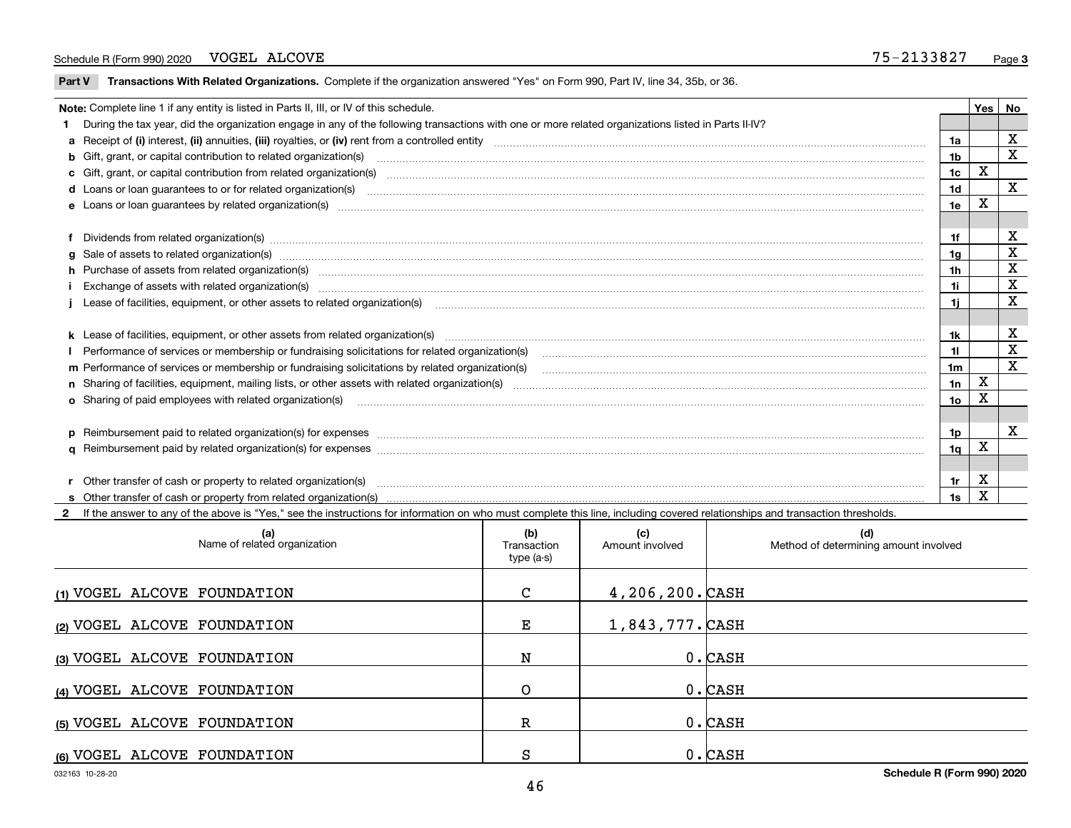#### Schedule R (Form 990) 2020 VOGEL ALCOVE 320 ALCOVE VOGEL ALCOVE

 $\overline{\phantom{a}}$ 

**Part V** T**ransactions With Related Organizations.** Complete if the organization answered "Yes" on Form 990, Part IV, line 34, 35b, or 36.

| Note: Complete line 1 if any entity is listed in Parts II, III, or IV of this schedule. |                                                                                                                                                                                                                                |                |             |             |  |  |
|-----------------------------------------------------------------------------------------|--------------------------------------------------------------------------------------------------------------------------------------------------------------------------------------------------------------------------------|----------------|-------------|-------------|--|--|
|                                                                                         | 1 During the tax year, did the organization engage in any of the following transactions with one or more related organizations listed in Parts II-IV?                                                                          |                |             |             |  |  |
|                                                                                         |                                                                                                                                                                                                                                | 1a             |             | X           |  |  |
|                                                                                         | b Gift, grant, or capital contribution to related organization(s) manufactured content and contribution to related organization(s)                                                                                             | 1b             |             | X           |  |  |
|                                                                                         |                                                                                                                                                                                                                                | 1c             | X           |             |  |  |
|                                                                                         |                                                                                                                                                                                                                                | 1 <sub>d</sub> |             | X           |  |  |
|                                                                                         |                                                                                                                                                                                                                                | 1e             | х           |             |  |  |
|                                                                                         |                                                                                                                                                                                                                                |                |             |             |  |  |
|                                                                                         | f Dividends from related organization(s) manufactured and contract the contract of the contract of the contract of the contract of the contract of the contract of the contract of the contract of the contract of the contrac |                |             | х           |  |  |
|                                                                                         | g Sale of assets to related organization(s) www.assettion.com/www.assettion.com/www.assettion.com/www.assettion.com/www.assettion.com/www.assettion.com/www.assettion.com/www.assettion.com/www.assettion.com/www.assettion.co | 1a             |             | X           |  |  |
|                                                                                         | h Purchase of assets from related organization(s) manufactured and content to the content of the content of the content of the content of the content of the content of the content of the content of the content of the conte | 1h.            |             | X           |  |  |
|                                                                                         | Exchange of assets with related organization(s) www.array.com/www.array.com/www.array.com/www.array.com/www.array.com/www.array.com/www.array.com/www.array.com/www.array.com/www.array.com/www.array.com/www.array.com/www.ar | 1i             |             | $\mathbf X$ |  |  |
|                                                                                         |                                                                                                                                                                                                                                | 1i.            |             | X           |  |  |
|                                                                                         |                                                                                                                                                                                                                                |                |             |             |  |  |
|                                                                                         | k Lease of facilities, equipment, or other assets from related organization(s) manufaction content to the manufacture of facilities, equipment, or other assets from related organization(s) manufacture manufacture manufactu | 1k             |             | X           |  |  |
|                                                                                         | Performance of services or membership or fundraising solicitations for related organization(s)                                                                                                                                 | 11.            |             | $\mathbf X$ |  |  |
|                                                                                         | m Performance of services or membership or fundraising solicitations by related organization(s)                                                                                                                                | 1m             |             | X           |  |  |
|                                                                                         |                                                                                                                                                                                                                                | 1n             | $\mathbf X$ |             |  |  |
|                                                                                         | <b>o</b> Sharing of paid employees with related organization(s)                                                                                                                                                                | 10             | x           |             |  |  |
|                                                                                         |                                                                                                                                                                                                                                |                |             |             |  |  |
|                                                                                         | p Reimbursement paid to related organization(s) for expenses [111] resummand content to content the set of the set of the set of the set of the set of the set of the set of the set of the set of the set of the set of the s | 1p             |             | х           |  |  |
|                                                                                         |                                                                                                                                                                                                                                | 1q             | x           |             |  |  |
|                                                                                         |                                                                                                                                                                                                                                |                |             |             |  |  |
|                                                                                         | r Other transfer of cash or property to related organization(s)                                                                                                                                                                | 1r             | х           |             |  |  |
|                                                                                         |                                                                                                                                                                                                                                | 1s             | x           |             |  |  |

**2**If the answer to any of the above is "Yes," see the instructions for information on who must complete this line, including covered relationships and transaction thresholds.

| (a)<br>Name of related organization | (b)<br>Transaction<br>type (a-s) | (c)<br>Amount involved | (d)<br>Method of determining amount involved |
|-------------------------------------|----------------------------------|------------------------|----------------------------------------------|
| (1) VOGEL ALCOVE FOUNDATION         | C                                | $4,206,200$ . CASH     |                                              |
| (2) VOGEL ALCOVE FOUNDATION         | Е                                | 1,843,777. CASH        |                                              |
| (3) VOGEL ALCOVE FOUNDATION         | N                                |                        | $0.$ CASH                                    |
| (4) VOGEL ALCOVE FOUNDATION         | O                                |                        | $0.$ CASH                                    |
| (5) VOGEL ALCOVE FOUNDATION         | R                                |                        | $0.$ CASH                                    |
| (6) VOGEL ALCOVE FOUNDATION         | S                                |                        | $0.$ CASH                                    |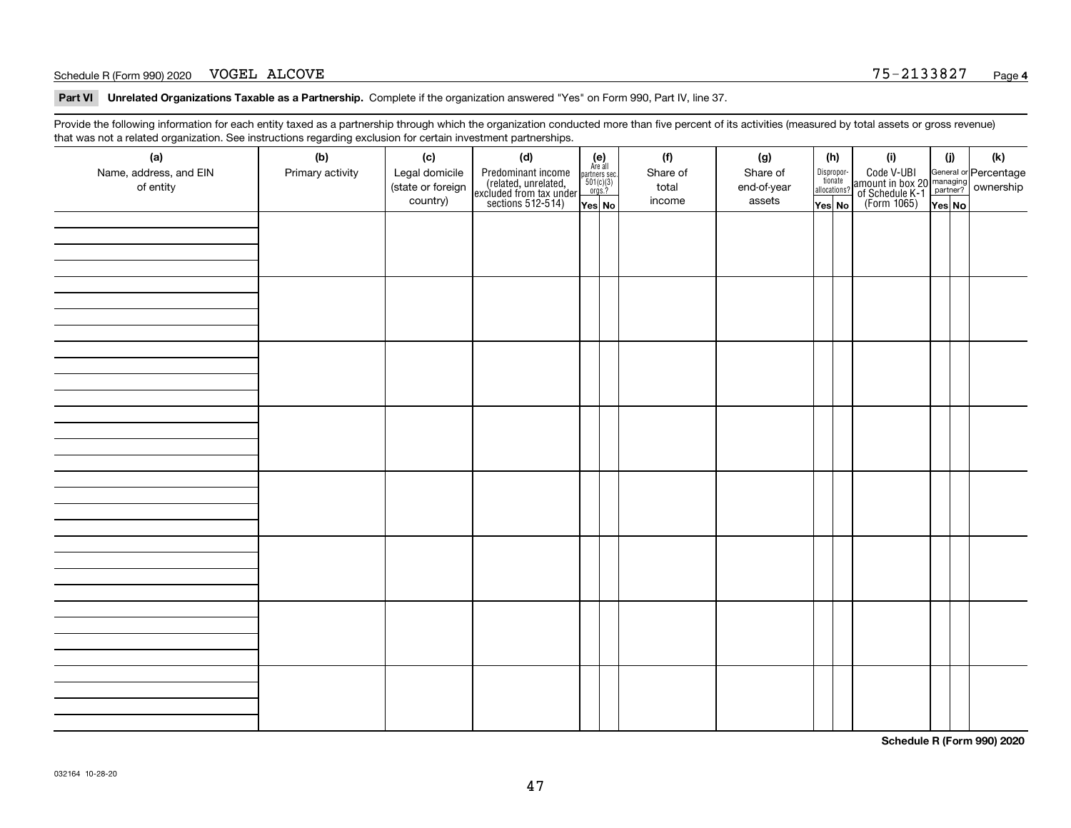#### Schedule R (Form 990) 2020 Page VOGEL ALCOVE 75-2133827

**Part VI Unrelated Organizations Taxable as a Partnership. Complete if the organization answered "Yes" on Form 990, Part IV, line 37.** 

Provide the following information for each entity taxed as a partnership through which the organization conducted more than five percent of its activities (measured by total assets or gross revenue) that was not a related organization. See instructions regarding exclusion for certain investment partnerships.

| (a)<br>Name, address, and EIN<br>of entity | ັ<br>(b)<br>Primary activity | (c)<br>Legal domicile<br>(state or foreign<br>country) | (d)<br>Predominant income<br>(related, unrelated,<br>excluded from tax under<br>sections 512-514) | $(e)$<br>Are all<br>partners sec.<br>501(c)(3)<br>orgs.? | (f)<br>Share of<br>total<br>income | (g)<br>Share of<br>end-of-year<br>assets | (h)<br>Disproportionate<br>allocations? | (i)<br>Code V-UBI<br>amount in box 20 managing<br>of Schedule K-1<br>(Form 1065)<br>$\overline{Yes}$ No | (i)    | $(\mathsf{k})$ |
|--------------------------------------------|------------------------------|--------------------------------------------------------|---------------------------------------------------------------------------------------------------|----------------------------------------------------------|------------------------------------|------------------------------------------|-----------------------------------------|---------------------------------------------------------------------------------------------------------|--------|----------------|
|                                            |                              |                                                        |                                                                                                   | Yes No                                                   |                                    |                                          | Yes No                                  |                                                                                                         | Yes No |                |
|                                            |                              |                                                        |                                                                                                   |                                                          |                                    |                                          |                                         |                                                                                                         |        |                |
|                                            |                              |                                                        |                                                                                                   |                                                          |                                    |                                          |                                         |                                                                                                         |        |                |
|                                            |                              |                                                        |                                                                                                   |                                                          |                                    |                                          |                                         |                                                                                                         |        |                |
|                                            |                              |                                                        |                                                                                                   |                                                          |                                    |                                          |                                         |                                                                                                         |        |                |
|                                            |                              |                                                        |                                                                                                   |                                                          |                                    |                                          |                                         |                                                                                                         |        |                |
|                                            |                              |                                                        |                                                                                                   |                                                          |                                    |                                          |                                         |                                                                                                         |        |                |
|                                            |                              |                                                        |                                                                                                   |                                                          |                                    |                                          |                                         |                                                                                                         |        |                |
|                                            |                              |                                                        |                                                                                                   |                                                          |                                    |                                          |                                         |                                                                                                         |        |                |

**Schedule R (Form 990) 2020**